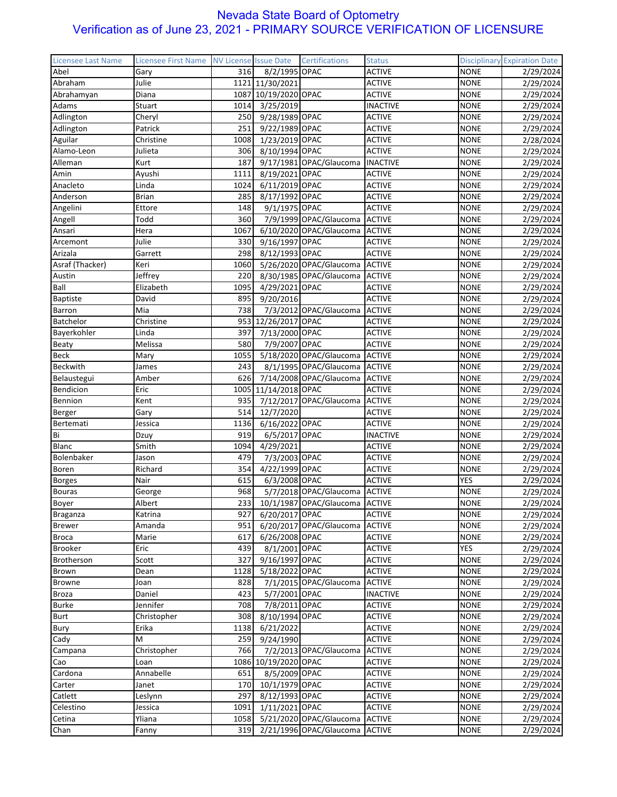| <b>Licensee Last Name</b> | Licensee First Name | <b>NV License Issue Date</b> |                      | Certifications                     | <b>Status</b>   |             | <b>Disciplinary Expiration Date</b> |
|---------------------------|---------------------|------------------------------|----------------------|------------------------------------|-----------------|-------------|-------------------------------------|
| Abel                      | Gary                | 316                          | 8/2/1995 OPAC        |                                    | <b>ACTIVE</b>   | <b>NONE</b> | 2/29/2024                           |
| Abraham                   | Julie               |                              | 1121 11/30/2021      |                                    | <b>ACTIVE</b>   | <b>NONE</b> | 2/29/2024                           |
| Abrahamyan                | Diana               |                              | 1087 10/19/2020 OPAC |                                    | <b>ACTIVE</b>   | <b>NONE</b> | 2/29/2024                           |
| Adams                     | Stuart              | 1014                         | 3/25/2019            |                                    | <b>INACTIVE</b> | <b>NONE</b> | 2/29/2024                           |
| Adlington                 | Cheryl              | 250                          | 9/28/1989 OPAC       |                                    | <b>ACTIVE</b>   | <b>NONE</b> | 2/29/2024                           |
| Adlington                 | Patrick             | 251                          | 9/22/1989 OPAC       |                                    | <b>ACTIVE</b>   | <b>NONE</b> | 2/29/2024                           |
| Aguilar                   | Christine           | 1008                         | 1/23/2019 OPAC       |                                    | <b>ACTIVE</b>   | <b>NONE</b> | 2/28/2024                           |
| Alamo-Leon                | Julieta             | 306                          | 8/10/1994 OPAC       |                                    | <b>ACTIVE</b>   | <b>NONE</b> | 2/29/2024                           |
| Alleman                   | Kurt                | 187                          |                      | 9/17/1981 OPAC/Glaucoma            | <b>INACTIVE</b> | <b>NONE</b> | 2/29/2024                           |
| Amin                      | Ayushi              | 1111                         | 8/19/2021 OPAC       |                                    | <b>ACTIVE</b>   | <b>NONE</b> | 2/29/2024                           |
| Anacleto                  | Linda               | 1024                         | 6/11/2019 OPAC       |                                    | <b>ACTIVE</b>   | <b>NONE</b> |                                     |
| Anderson                  | <b>Brian</b>        | 285                          | 8/17/1992 OPAC       |                                    | <b>ACTIVE</b>   | <b>NONE</b> | 2/29/2024<br>2/29/2024              |
|                           | Ettore              | 148                          | 9/1/1975 OPAC        |                                    | <b>ACTIVE</b>   | <b>NONE</b> | 2/29/2024                           |
| Angelini                  | Todd                | 360                          |                      | 7/9/1999 OPAC/Glaucoma ACTIVE      |                 |             |                                     |
| Angell                    |                     |                              |                      |                                    |                 | <b>NONE</b> | 2/29/2024                           |
| Ansari                    | Hera                | 1067                         |                      | 6/10/2020 OPAC/Glaucoma            | <b>ACTIVE</b>   | <b>NONE</b> | 2/29/2024                           |
| Arcemont                  | Julie               | 330                          | 9/16/1997 OPAC       |                                    | <b>ACTIVE</b>   | <b>NONE</b> | 2/29/2024                           |
| Arizala                   | Garrett             | 298                          | 8/12/1993 OPAC       |                                    | <b>ACTIVE</b>   | <b>NONE</b> | 2/29/2024                           |
| Asraf (Thacker)           | Keri                | 1060                         |                      | 5/26/2020 OPAC/Glaucoma ACTIVE     |                 | <b>NONE</b> | 2/29/2024                           |
| Austin                    | Jeffrey             | 220                          |                      | 8/30/1985 OPAC/Glaucoma ACTIVE     |                 | <b>NONE</b> | 2/29/2024                           |
| Ball                      | Elizabeth           | 1095                         | 4/29/2021 OPAC       |                                    | <b>ACTIVE</b>   | <b>NONE</b> | 2/29/2024                           |
| <b>Baptiste</b>           | David               | 895                          | 9/20/2016            |                                    | <b>ACTIVE</b>   | <b>NONE</b> | 2/29/2024                           |
| Barron                    | Mia                 | 738                          |                      | 7/3/2012 OPAC/Glaucoma             | <b>ACTIVE</b>   | <b>NONE</b> | 2/29/2024                           |
| Batchelor                 | Christine           |                              | 953 12/26/2017 OPAC  |                                    | <b>ACTIVE</b>   | <b>NONE</b> | 2/29/2024                           |
| Bayerkohler               | Linda               | 397                          | 7/13/2000 OPAC       |                                    | <b>ACTIVE</b>   | <b>NONE</b> | 2/29/2024                           |
| Beaty                     | Melissa             | 580                          | 7/9/2007 OPAC        |                                    | <b>ACTIVE</b>   | <b>NONE</b> | 2/29/2024                           |
| <b>Beck</b>               | Mary                | 1055                         |                      | 5/18/2020 OPAC/Glaucoma ACTIVE     |                 | <b>NONE</b> | 2/29/2024                           |
| Beckwith                  | James               | 243                          |                      | 8/1/1995 OPAC/Glaucoma ACTIVE      |                 | <b>NONE</b> | 2/29/2024                           |
| Belaustegui               | Amber               | 626                          |                      | 7/14/2008 OPAC/Glaucoma            | <b>ACTIVE</b>   | <b>NONE</b> | 2/29/2024                           |
| Bendicion                 | Eric                |                              | 1005 11/14/2018 OPAC |                                    | <b>ACTIVE</b>   | <b>NONE</b> | 2/29/2024                           |
| Bennion                   | Kent                | 935                          |                      | 7/12/2017 OPAC/Glaucoma            | <b>ACTIVE</b>   | <b>NONE</b> | 2/29/2024                           |
| Berger                    | Gary                | 514                          | 12/7/2020            |                                    | <b>ACTIVE</b>   | <b>NONE</b> | 2/29/2024                           |
| Bertemati                 | Jessica             | 1136                         | 6/16/2022 OPAC       |                                    | <b>ACTIVE</b>   | <b>NONE</b> | 2/29/2024                           |
| Bi                        | Dzuy                | 919                          | 6/5/2017 OPAC        |                                    | <b>INACTIVE</b> | <b>NONE</b> | 2/29/2024                           |
| Blanc                     | Smith               | 1094                         | 4/29/2021            |                                    | <b>ACTIVE</b>   | <b>NONE</b> | 2/29/2024                           |
| Bolenbaker                | Jason               | 479                          | 7/3/2003 OPAC        |                                    | <b>ACTIVE</b>   | <b>NONE</b> | 2/29/2024                           |
| Boren                     | Richard             | 354                          | 4/22/1999 OPAC       |                                    | <b>ACTIVE</b>   | <b>NONE</b> | 2/29/2024                           |
| <b>Borges</b>             | Nair                | 615                          | 6/3/2008 OPAC        |                                    | <b>ACTIVE</b>   | <b>YES</b>  | 2/29/2024                           |
| <b>Bouras</b>             | George              | 968                          |                      | 5/7/2018 OPAC/Glaucoma ACTIVE      |                 | <b>NONE</b> | 2/29/2024                           |
| Boyer                     | Albert              |                              |                      | 233 10/1/1987 OPAC/Glaucoma ACTIVE |                 | <b>NONE</b> | 2/29/2024                           |
| Braganza                  | Katrina             | 9271                         | 6/20/2017 OPAC       |                                    | <b>ACTIVE</b>   | <b>NONE</b> | 2/29/2024                           |
| <b>Brewer</b>             | Amanda              | 951                          |                      | 6/20/2017 OPAC/Glaucoma            | <b>ACTIVE</b>   | <b>NONE</b> | 2/29/2024                           |
| <b>Broca</b>              | Marie               | 617                          | 6/26/2008 OPAC       |                                    | <b>ACTIVE</b>   | <b>NONE</b> | 2/29/2024                           |
| <b>Brooker</b>            | Eric                | 439                          | 8/1/2001 OPAC        |                                    | <b>ACTIVE</b>   | YES         | 2/29/2024                           |
| Brotherson                | Scott               | 327                          | 9/16/1997 OPAC       |                                    | <b>ACTIVE</b>   | <b>NONE</b> | 2/29/2024                           |
| Brown                     | Dean                | 1128                         | 5/18/2022 OPAC       |                                    | <b>ACTIVE</b>   | <b>NONE</b> | 2/29/2024                           |
| <b>Browne</b>             | Joan                | 828                          |                      | 7/1/2015 OPAC/Glaucoma             | <b>ACTIVE</b>   | <b>NONE</b> | 2/29/2024                           |
| Broza                     | Daniel              | 423                          | 5/7/2001 OPAC        |                                    | <b>INACTIVE</b> | <b>NONE</b> | 2/29/2024                           |
| <b>Burke</b>              | Jennifer            | 708                          | 7/8/2011 OPAC        |                                    | <b>ACTIVE</b>   | <b>NONE</b> | 2/29/2024                           |
| Burt                      | Christopher         | 308                          | 8/10/1994 OPAC       |                                    | <b>ACTIVE</b>   | <b>NONE</b> | 2/29/2024                           |
|                           |                     |                              |                      |                                    |                 |             |                                     |
| Bury                      | Erika<br>M          | 1138                         | 6/21/2022            |                                    | <b>ACTIVE</b>   | <b>NONE</b> | 2/29/2024                           |
| Cady                      |                     | 259                          | 9/24/1990            |                                    | <b>ACTIVE</b>   | <b>NONE</b> | 2/29/2024                           |
| Campana                   | Christopher         | 766                          |                      | 7/2/2013 OPAC/Glaucoma             | <b>ACTIVE</b>   | <b>NONE</b> | 2/29/2024                           |
| Cao                       | Loan                |                              | 1086 10/19/2020 OPAC |                                    | <b>ACTIVE</b>   | <b>NONE</b> | 2/29/2024                           |
| Cardona                   | Annabelle           | 651                          | 8/5/2009 OPAC        |                                    | <b>ACTIVE</b>   | <b>NONE</b> | 2/29/2024                           |
| Carter                    | Janet               | 170                          | 10/1/1979 OPAC       |                                    | <b>ACTIVE</b>   | <b>NONE</b> | 2/29/2024                           |
| Catlett                   | Leslynn             | 297                          | 8/12/1993 OPAC       |                                    | <b>ACTIVE</b>   | <b>NONE</b> | 2/29/2024                           |
| Celestino                 | Jessica             | 1091                         | 1/11/2021 OPAC       |                                    | <b>ACTIVE</b>   | <b>NONE</b> | 2/29/2024                           |
| Cetina                    | Yliana              | 1058                         |                      | 5/21/2020 OPAC/Glaucoma            | <b>ACTIVE</b>   | <b>NONE</b> | 2/29/2024                           |
| Chan                      | Fanny               | 319                          |                      | 2/21/1996 OPAC/Glaucoma ACTIVE     |                 | <b>NONE</b> | 2/29/2024                           |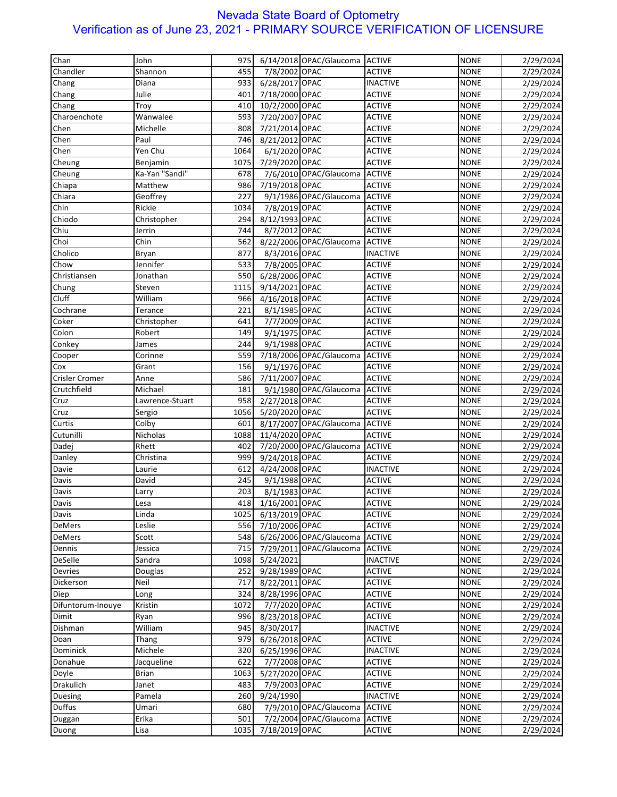| Chandler<br>7/8/2002 OPAC<br>Shannon<br>455<br><b>ACTIVE</b><br><b>NONE</b><br>2/29/2024<br>933<br>6/28/2017 OPAC<br><b>NONE</b><br>Chang<br>Diana<br><b>INACTIVE</b><br>2/29/2024<br>Julie<br>7/18/2000 OPAC<br><b>NONE</b><br>Chang<br>401<br><b>ACTIVE</b><br>2/29/2024<br>10/2/2000 OPAC<br><b>ACTIVE</b><br><b>NONE</b><br>Chang<br>410<br>Troy<br>2/29/2024<br>593<br>7/20/2007 OPAC<br><b>ACTIVE</b><br><b>NONE</b><br>Charoenchote<br>Wanwalee<br>2/29/2024<br>Chen<br><b>ACTIVE</b><br><b>NONE</b><br>Michelle<br>808<br>7/21/2014 OPAC<br>2/29/2024<br>746<br><b>ACTIVE</b><br><b>NONE</b><br>Chen<br>Paul<br>8/21/2012 OPAC<br>2/29/2024<br>Yen Chu<br>1064<br><b>ACTIVE</b><br><b>NONE</b><br>Chen<br>6/1/2020 OPAC<br>2/29/2024<br><b>ACTIVE</b><br><b>NONE</b><br>Cheung<br>Benjamin<br>1075<br>7/29/2020 OPAC<br>2/29/2024<br>Ka-Yan "Sandi"<br>678<br>7/6/2010 OPAC/Glaucoma<br><b>NONE</b><br>Cheung<br><b>ACTIVE</b><br>2/29/2024<br>986<br>7/19/2018 OPAC<br><b>ACTIVE</b><br><b>NONE</b><br>Chiapa<br>Matthew<br>2/29/2024<br>Chiara<br>Geoffrey<br>227<br>9/1/1986 OPAC/Glaucoma<br><b>ACTIVE</b><br><b>NONE</b><br>2/29/2024<br>Chin<br>Rickie<br>7/8/2019 OPAC<br><b>ACTIVE</b><br><b>NONE</b><br>2/29/2024<br>1034<br>8/12/1993 OPAC<br><b>NONE</b><br>294<br><b>ACTIVE</b><br>2/29/2024<br>Chiodo<br>Christopher<br>Chiu<br>744<br>8/7/2012 OPAC<br><b>ACTIVE</b><br><b>NONE</b><br>Jerrin<br>2/29/2024<br>Choi<br>Chin<br>562<br>8/22/2006 OPAC/Glaucoma<br><b>ACTIVE</b><br><b>NONE</b><br>2/29/2024<br>Cholico<br><b>INACTIVE</b><br><b>NONE</b><br>Bryan<br>877<br>8/3/2016 OPAC<br>2/29/2024<br>Jennifer<br>533<br>7/8/2005 OPAC<br><b>NONE</b><br>Chow<br><b>ACTIVE</b><br>2/29/2024<br>550<br><b>NONE</b><br>Christiansen<br>Jonathan<br>6/28/2006 OPAC<br><b>ACTIVE</b><br>2/29/2024<br>9/14/2021 OPAC<br><b>ACTIVE</b><br><b>NONE</b><br>Steven<br>1115<br>Chung<br>2/29/2024<br>Cluff<br>William<br><b>ACTIVE</b><br><b>NONE</b><br>966<br>4/16/2018 OPAC<br>2/29/2024<br>8/1/1985 OPAC<br><b>ACTIVE</b><br><b>NONE</b><br>Cochrane<br>Terance<br>221<br>2/29/2024<br>641<br>7/7/2009 OPAC<br><b>ACTIVE</b><br><b>NONE</b><br>2/29/2024<br>Coker<br>Christopher<br>9/1/1975 OPAC<br>Colon<br>149<br><b>ACTIVE</b><br><b>NONE</b><br>2/29/2024<br>Robert<br>9/1/1988 OPAC<br><b>ACTIVE</b><br><b>NONE</b><br>Conkey<br>244<br>2/29/2024<br>James<br>7/18/2006 OPAC/Glaucoma<br>Cooper<br>Corinne<br>559<br><b>ACTIVE</b><br><b>NONE</b><br>2/29/2024<br>156<br>9/1/1976 OPAC<br><b>NONE</b><br>Grant<br><b>ACTIVE</b><br>2/29/2024<br>Cox<br>586<br>7/11/2007 OPAC<br><b>ACTIVE</b><br><b>NONE</b><br><b>Crisler Cromer</b><br>Anne<br>2/29/2024<br>Crutchfield<br>181<br>9/1/1980 OPAC/Glaucoma<br><b>NONE</b><br>Michael<br><b>ACTIVE</b><br>2/29/2024<br>958<br><b>ACTIVE</b><br><b>NONE</b><br>Cruz<br>Lawrence-Stuart<br>2/27/2018 OPAC<br>2/29/2024<br>1056<br>5/20/2020 OPAC<br><b>ACTIVE</b><br><b>NONE</b><br>Cruz<br>Sergio<br>2/29/2024<br>Curtis<br>Colby<br>8/17/2007 OPAC/Glaucoma<br><b>ACTIVE</b><br><b>NONE</b><br>601<br>2/29/2024<br>Cutunilli<br>Nicholas<br>1088<br>11/4/2020 OPAC<br><b>ACTIVE</b><br><b>NONE</b><br>2/29/2024<br>Dadej<br>Rhett<br>7/20/2000 OPAC/Glaucoma<br><b>NONE</b><br>402<br><b>ACTIVE</b><br>2/29/2024<br>999<br>9/24/2018 OPAC<br><b>NONE</b><br>Danley<br>Christina<br><b>ACTIVE</b><br>2/29/2024<br>Davie<br>612<br>4/24/2008 OPAC<br><b>NONE</b><br>Laurie<br><b>INACTIVE</b><br>2/29/2024<br>9/1/1988 OPAC<br>Davis<br>David<br>245<br><b>ACTIVE</b><br><b>NONE</b><br>2/29/2024<br>8/1/1983 OPAC<br>203<br><b>ACTIVE</b><br><b>NONE</b><br>2/29/2024<br>Davis<br>Larry<br>Davis<br>418<br>1/16/2001 OPAC<br><b>ACTIVE</b><br><b>NONE</b><br>2/29/2024<br>Lesa<br><b>NONE</b><br>Davis<br>Linda<br>1025<br>6/13/2019 OPAC<br><b>ACTIVE</b><br>2/29/2024<br><b>ACTIVE</b><br><b>NONE</b><br><b>DeMers</b><br>Leslie<br>556<br>7/10/2006 OPAC<br>2/29/2024<br>6/26/2006 OPAC/Glaucoma<br><b>ACTIVE</b><br><b>NONE</b><br><b>DeMers</b><br>Scott<br>548<br>2/29/2024<br>7/29/2011 OPAC/Glaucoma<br><b>NONE</b><br>Dennis<br>715<br><b>ACTIVE</b><br>Jessica<br>2/29/2024<br>DeSelle<br>Sandra<br><b>NONE</b><br>1098<br>5/24/2021<br><b>INACTIVE</b><br>2/29/2024<br>Devries<br>Douglas<br>252<br>9/28/1989 OPAC<br><b>NONE</b><br><b>ACTIVE</b><br>2/29/2024<br><b>NONE</b><br>Dickerson<br>Neil<br>717<br>8/22/2011 OPAC<br><b>ACTIVE</b><br>2/29/2024<br>324<br>8/28/1996 OPAC<br><b>ACTIVE</b><br><b>NONE</b><br>Diep<br>2/29/2024<br>Long<br>1072<br>7/7/2020 OPAC<br><b>ACTIVE</b><br><b>NONE</b><br>2/29/2024<br>Difuntorum-Inouye<br>Kristin<br>996<br>8/23/2018 OPAC<br><b>ACTIVE</b><br><b>NONE</b><br>2/29/2024<br>Dimit<br>Ryan<br>8/30/2017<br><b>INACTIVE</b><br><b>NONE</b><br>Dishman<br>William<br>945<br>2/29/2024<br>6/26/2018 OPAC<br>979<br><b>ACTIVE</b><br><b>NONE</b><br>2/29/2024<br>Doan<br>Thang<br>Michele<br>6/25/1996 OPAC<br>Dominick<br>320<br><b>INACTIVE</b><br><b>NONE</b><br>2/29/2024<br>622<br><b>NONE</b><br>Donahue<br>Jacqueline<br>7/7/2008 OPAC<br><b>ACTIVE</b><br>2/29/2024<br>5/27/2020 OPAC<br><b>NONE</b><br>Doyle<br>Brian<br>1063<br><b>ACTIVE</b><br>2/29/2024<br>483<br><b>ACTIVE</b><br><b>NONE</b><br><b>Drakulich</b><br>Janet<br>7/9/2003 OPAC<br>2/29/2024<br><b>INACTIVE</b><br><b>NONE</b><br>Duesing<br>Pamela<br>260<br>9/24/1990<br>2/29/2024<br><b>Duffus</b><br>7/9/2010 OPAC/Glaucoma<br><b>ACTIVE</b><br><b>NONE</b><br>Umari<br>680<br>2/29/2024<br>501<br>7/2/2004 OPAC/Glaucoma<br><b>ACTIVE</b><br><b>NONE</b><br>Duggan<br>Erika<br>2/29/2024<br>7/18/2019 OPAC<br>Duong<br>Lisa<br>1035<br><b>ACTIVE</b><br><b>NONE</b><br>2/29/2024 | Chan | John | 975 | 6/14/2018 OPAC/Glaucoma ACTIVE | <b>NONE</b> | 2/29/2024 |
|-------------------------------------------------------------------------------------------------------------------------------------------------------------------------------------------------------------------------------------------------------------------------------------------------------------------------------------------------------------------------------------------------------------------------------------------------------------------------------------------------------------------------------------------------------------------------------------------------------------------------------------------------------------------------------------------------------------------------------------------------------------------------------------------------------------------------------------------------------------------------------------------------------------------------------------------------------------------------------------------------------------------------------------------------------------------------------------------------------------------------------------------------------------------------------------------------------------------------------------------------------------------------------------------------------------------------------------------------------------------------------------------------------------------------------------------------------------------------------------------------------------------------------------------------------------------------------------------------------------------------------------------------------------------------------------------------------------------------------------------------------------------------------------------------------------------------------------------------------------------------------------------------------------------------------------------------------------------------------------------------------------------------------------------------------------------------------------------------------------------------------------------------------------------------------------------------------------------------------------------------------------------------------------------------------------------------------------------------------------------------------------------------------------------------------------------------------------------------------------------------------------------------------------------------------------------------------------------------------------------------------------------------------------------------------------------------------------------------------------------------------------------------------------------------------------------------------------------------------------------------------------------------------------------------------------------------------------------------------------------------------------------------------------------------------------------------------------------------------------------------------------------------------------------------------------------------------------------------------------------------------------------------------------------------------------------------------------------------------------------------------------------------------------------------------------------------------------------------------------------------------------------------------------------------------------------------------------------------------------------------------------------------------------------------------------------------------------------------------------------------------------------------------------------------------------------------------------------------------------------------------------------------------------------------------------------------------------------------------------------------------------------------------------------------------------------------------------------------------------------------------------------------------------------------------------------------------------------------------------------------------------------------------------------------------------------------------------------------------------------------------------------------------------------------------------------------------------------------------------------------------------------------------------------------------------------------------------------------------------------------------------------------------------------------------------------------------------------------------------------------------------------------------------------------------------------------------------------------------------------------------------------------------------------------------------------------------------------------------------------------------------------------------------------------------------------------------------------------------------------------------------------------------------------------------------------------------------------------------------------------------------------------------------------------------------------------------------------------------------------------------------------------------------------------------------------------------------------------------------------------------------------------------------------------------------------------------------------------------------------------------------------------------------------------------------------------|------|------|-----|--------------------------------|-------------|-----------|
|                                                                                                                                                                                                                                                                                                                                                                                                                                                                                                                                                                                                                                                                                                                                                                                                                                                                                                                                                                                                                                                                                                                                                                                                                                                                                                                                                                                                                                                                                                                                                                                                                                                                                                                                                                                                                                                                                                                                                                                                                                                                                                                                                                                                                                                                                                                                                                                                                                                                                                                                                                                                                                                                                                                                                                                                                                                                                                                                                                                                                                                                                                                                                                                                                                                                                                                                                                                                                                                                                                                                                                                                                                                                                                                                                                                                                                                                                                                                                                                                                                                                                                                                                                                                                                                                                                                                                                                                                                                                                                                                                                                                                                                                                                                                                                                                                                                                                                                                                                                                                                                                                                                                                                                                                                                                                                                                                                                                                                                                                                                                                                                                                                                                                                 |      |      |     |                                |             |           |
|                                                                                                                                                                                                                                                                                                                                                                                                                                                                                                                                                                                                                                                                                                                                                                                                                                                                                                                                                                                                                                                                                                                                                                                                                                                                                                                                                                                                                                                                                                                                                                                                                                                                                                                                                                                                                                                                                                                                                                                                                                                                                                                                                                                                                                                                                                                                                                                                                                                                                                                                                                                                                                                                                                                                                                                                                                                                                                                                                                                                                                                                                                                                                                                                                                                                                                                                                                                                                                                                                                                                                                                                                                                                                                                                                                                                                                                                                                                                                                                                                                                                                                                                                                                                                                                                                                                                                                                                                                                                                                                                                                                                                                                                                                                                                                                                                                                                                                                                                                                                                                                                                                                                                                                                                                                                                                                                                                                                                                                                                                                                                                                                                                                                                                 |      |      |     |                                |             |           |
|                                                                                                                                                                                                                                                                                                                                                                                                                                                                                                                                                                                                                                                                                                                                                                                                                                                                                                                                                                                                                                                                                                                                                                                                                                                                                                                                                                                                                                                                                                                                                                                                                                                                                                                                                                                                                                                                                                                                                                                                                                                                                                                                                                                                                                                                                                                                                                                                                                                                                                                                                                                                                                                                                                                                                                                                                                                                                                                                                                                                                                                                                                                                                                                                                                                                                                                                                                                                                                                                                                                                                                                                                                                                                                                                                                                                                                                                                                                                                                                                                                                                                                                                                                                                                                                                                                                                                                                                                                                                                                                                                                                                                                                                                                                                                                                                                                                                                                                                                                                                                                                                                                                                                                                                                                                                                                                                                                                                                                                                                                                                                                                                                                                                                                 |      |      |     |                                |             |           |
|                                                                                                                                                                                                                                                                                                                                                                                                                                                                                                                                                                                                                                                                                                                                                                                                                                                                                                                                                                                                                                                                                                                                                                                                                                                                                                                                                                                                                                                                                                                                                                                                                                                                                                                                                                                                                                                                                                                                                                                                                                                                                                                                                                                                                                                                                                                                                                                                                                                                                                                                                                                                                                                                                                                                                                                                                                                                                                                                                                                                                                                                                                                                                                                                                                                                                                                                                                                                                                                                                                                                                                                                                                                                                                                                                                                                                                                                                                                                                                                                                                                                                                                                                                                                                                                                                                                                                                                                                                                                                                                                                                                                                                                                                                                                                                                                                                                                                                                                                                                                                                                                                                                                                                                                                                                                                                                                                                                                                                                                                                                                                                                                                                                                                                 |      |      |     |                                |             |           |
|                                                                                                                                                                                                                                                                                                                                                                                                                                                                                                                                                                                                                                                                                                                                                                                                                                                                                                                                                                                                                                                                                                                                                                                                                                                                                                                                                                                                                                                                                                                                                                                                                                                                                                                                                                                                                                                                                                                                                                                                                                                                                                                                                                                                                                                                                                                                                                                                                                                                                                                                                                                                                                                                                                                                                                                                                                                                                                                                                                                                                                                                                                                                                                                                                                                                                                                                                                                                                                                                                                                                                                                                                                                                                                                                                                                                                                                                                                                                                                                                                                                                                                                                                                                                                                                                                                                                                                                                                                                                                                                                                                                                                                                                                                                                                                                                                                                                                                                                                                                                                                                                                                                                                                                                                                                                                                                                                                                                                                                                                                                                                                                                                                                                                                 |      |      |     |                                |             |           |
|                                                                                                                                                                                                                                                                                                                                                                                                                                                                                                                                                                                                                                                                                                                                                                                                                                                                                                                                                                                                                                                                                                                                                                                                                                                                                                                                                                                                                                                                                                                                                                                                                                                                                                                                                                                                                                                                                                                                                                                                                                                                                                                                                                                                                                                                                                                                                                                                                                                                                                                                                                                                                                                                                                                                                                                                                                                                                                                                                                                                                                                                                                                                                                                                                                                                                                                                                                                                                                                                                                                                                                                                                                                                                                                                                                                                                                                                                                                                                                                                                                                                                                                                                                                                                                                                                                                                                                                                                                                                                                                                                                                                                                                                                                                                                                                                                                                                                                                                                                                                                                                                                                                                                                                                                                                                                                                                                                                                                                                                                                                                                                                                                                                                                                 |      |      |     |                                |             |           |
|                                                                                                                                                                                                                                                                                                                                                                                                                                                                                                                                                                                                                                                                                                                                                                                                                                                                                                                                                                                                                                                                                                                                                                                                                                                                                                                                                                                                                                                                                                                                                                                                                                                                                                                                                                                                                                                                                                                                                                                                                                                                                                                                                                                                                                                                                                                                                                                                                                                                                                                                                                                                                                                                                                                                                                                                                                                                                                                                                                                                                                                                                                                                                                                                                                                                                                                                                                                                                                                                                                                                                                                                                                                                                                                                                                                                                                                                                                                                                                                                                                                                                                                                                                                                                                                                                                                                                                                                                                                                                                                                                                                                                                                                                                                                                                                                                                                                                                                                                                                                                                                                                                                                                                                                                                                                                                                                                                                                                                                                                                                                                                                                                                                                                                 |      |      |     |                                |             |           |
|                                                                                                                                                                                                                                                                                                                                                                                                                                                                                                                                                                                                                                                                                                                                                                                                                                                                                                                                                                                                                                                                                                                                                                                                                                                                                                                                                                                                                                                                                                                                                                                                                                                                                                                                                                                                                                                                                                                                                                                                                                                                                                                                                                                                                                                                                                                                                                                                                                                                                                                                                                                                                                                                                                                                                                                                                                                                                                                                                                                                                                                                                                                                                                                                                                                                                                                                                                                                                                                                                                                                                                                                                                                                                                                                                                                                                                                                                                                                                                                                                                                                                                                                                                                                                                                                                                                                                                                                                                                                                                                                                                                                                                                                                                                                                                                                                                                                                                                                                                                                                                                                                                                                                                                                                                                                                                                                                                                                                                                                                                                                                                                                                                                                                                 |      |      |     |                                |             |           |
|                                                                                                                                                                                                                                                                                                                                                                                                                                                                                                                                                                                                                                                                                                                                                                                                                                                                                                                                                                                                                                                                                                                                                                                                                                                                                                                                                                                                                                                                                                                                                                                                                                                                                                                                                                                                                                                                                                                                                                                                                                                                                                                                                                                                                                                                                                                                                                                                                                                                                                                                                                                                                                                                                                                                                                                                                                                                                                                                                                                                                                                                                                                                                                                                                                                                                                                                                                                                                                                                                                                                                                                                                                                                                                                                                                                                                                                                                                                                                                                                                                                                                                                                                                                                                                                                                                                                                                                                                                                                                                                                                                                                                                                                                                                                                                                                                                                                                                                                                                                                                                                                                                                                                                                                                                                                                                                                                                                                                                                                                                                                                                                                                                                                                                 |      |      |     |                                |             |           |
|                                                                                                                                                                                                                                                                                                                                                                                                                                                                                                                                                                                                                                                                                                                                                                                                                                                                                                                                                                                                                                                                                                                                                                                                                                                                                                                                                                                                                                                                                                                                                                                                                                                                                                                                                                                                                                                                                                                                                                                                                                                                                                                                                                                                                                                                                                                                                                                                                                                                                                                                                                                                                                                                                                                                                                                                                                                                                                                                                                                                                                                                                                                                                                                                                                                                                                                                                                                                                                                                                                                                                                                                                                                                                                                                                                                                                                                                                                                                                                                                                                                                                                                                                                                                                                                                                                                                                                                                                                                                                                                                                                                                                                                                                                                                                                                                                                                                                                                                                                                                                                                                                                                                                                                                                                                                                                                                                                                                                                                                                                                                                                                                                                                                                                 |      |      |     |                                |             |           |
|                                                                                                                                                                                                                                                                                                                                                                                                                                                                                                                                                                                                                                                                                                                                                                                                                                                                                                                                                                                                                                                                                                                                                                                                                                                                                                                                                                                                                                                                                                                                                                                                                                                                                                                                                                                                                                                                                                                                                                                                                                                                                                                                                                                                                                                                                                                                                                                                                                                                                                                                                                                                                                                                                                                                                                                                                                                                                                                                                                                                                                                                                                                                                                                                                                                                                                                                                                                                                                                                                                                                                                                                                                                                                                                                                                                                                                                                                                                                                                                                                                                                                                                                                                                                                                                                                                                                                                                                                                                                                                                                                                                                                                                                                                                                                                                                                                                                                                                                                                                                                                                                                                                                                                                                                                                                                                                                                                                                                                                                                                                                                                                                                                                                                                 |      |      |     |                                |             |           |
|                                                                                                                                                                                                                                                                                                                                                                                                                                                                                                                                                                                                                                                                                                                                                                                                                                                                                                                                                                                                                                                                                                                                                                                                                                                                                                                                                                                                                                                                                                                                                                                                                                                                                                                                                                                                                                                                                                                                                                                                                                                                                                                                                                                                                                                                                                                                                                                                                                                                                                                                                                                                                                                                                                                                                                                                                                                                                                                                                                                                                                                                                                                                                                                                                                                                                                                                                                                                                                                                                                                                                                                                                                                                                                                                                                                                                                                                                                                                                                                                                                                                                                                                                                                                                                                                                                                                                                                                                                                                                                                                                                                                                                                                                                                                                                                                                                                                                                                                                                                                                                                                                                                                                                                                                                                                                                                                                                                                                                                                                                                                                                                                                                                                                                 |      |      |     |                                |             |           |
|                                                                                                                                                                                                                                                                                                                                                                                                                                                                                                                                                                                                                                                                                                                                                                                                                                                                                                                                                                                                                                                                                                                                                                                                                                                                                                                                                                                                                                                                                                                                                                                                                                                                                                                                                                                                                                                                                                                                                                                                                                                                                                                                                                                                                                                                                                                                                                                                                                                                                                                                                                                                                                                                                                                                                                                                                                                                                                                                                                                                                                                                                                                                                                                                                                                                                                                                                                                                                                                                                                                                                                                                                                                                                                                                                                                                                                                                                                                                                                                                                                                                                                                                                                                                                                                                                                                                                                                                                                                                                                                                                                                                                                                                                                                                                                                                                                                                                                                                                                                                                                                                                                                                                                                                                                                                                                                                                                                                                                                                                                                                                                                                                                                                                                 |      |      |     |                                |             |           |
|                                                                                                                                                                                                                                                                                                                                                                                                                                                                                                                                                                                                                                                                                                                                                                                                                                                                                                                                                                                                                                                                                                                                                                                                                                                                                                                                                                                                                                                                                                                                                                                                                                                                                                                                                                                                                                                                                                                                                                                                                                                                                                                                                                                                                                                                                                                                                                                                                                                                                                                                                                                                                                                                                                                                                                                                                                                                                                                                                                                                                                                                                                                                                                                                                                                                                                                                                                                                                                                                                                                                                                                                                                                                                                                                                                                                                                                                                                                                                                                                                                                                                                                                                                                                                                                                                                                                                                                                                                                                                                                                                                                                                                                                                                                                                                                                                                                                                                                                                                                                                                                                                                                                                                                                                                                                                                                                                                                                                                                                                                                                                                                                                                                                                                 |      |      |     |                                |             |           |
|                                                                                                                                                                                                                                                                                                                                                                                                                                                                                                                                                                                                                                                                                                                                                                                                                                                                                                                                                                                                                                                                                                                                                                                                                                                                                                                                                                                                                                                                                                                                                                                                                                                                                                                                                                                                                                                                                                                                                                                                                                                                                                                                                                                                                                                                                                                                                                                                                                                                                                                                                                                                                                                                                                                                                                                                                                                                                                                                                                                                                                                                                                                                                                                                                                                                                                                                                                                                                                                                                                                                                                                                                                                                                                                                                                                                                                                                                                                                                                                                                                                                                                                                                                                                                                                                                                                                                                                                                                                                                                                                                                                                                                                                                                                                                                                                                                                                                                                                                                                                                                                                                                                                                                                                                                                                                                                                                                                                                                                                                                                                                                                                                                                                                                 |      |      |     |                                |             |           |
|                                                                                                                                                                                                                                                                                                                                                                                                                                                                                                                                                                                                                                                                                                                                                                                                                                                                                                                                                                                                                                                                                                                                                                                                                                                                                                                                                                                                                                                                                                                                                                                                                                                                                                                                                                                                                                                                                                                                                                                                                                                                                                                                                                                                                                                                                                                                                                                                                                                                                                                                                                                                                                                                                                                                                                                                                                                                                                                                                                                                                                                                                                                                                                                                                                                                                                                                                                                                                                                                                                                                                                                                                                                                                                                                                                                                                                                                                                                                                                                                                                                                                                                                                                                                                                                                                                                                                                                                                                                                                                                                                                                                                                                                                                                                                                                                                                                                                                                                                                                                                                                                                                                                                                                                                                                                                                                                                                                                                                                                                                                                                                                                                                                                                                 |      |      |     |                                |             |           |
|                                                                                                                                                                                                                                                                                                                                                                                                                                                                                                                                                                                                                                                                                                                                                                                                                                                                                                                                                                                                                                                                                                                                                                                                                                                                                                                                                                                                                                                                                                                                                                                                                                                                                                                                                                                                                                                                                                                                                                                                                                                                                                                                                                                                                                                                                                                                                                                                                                                                                                                                                                                                                                                                                                                                                                                                                                                                                                                                                                                                                                                                                                                                                                                                                                                                                                                                                                                                                                                                                                                                                                                                                                                                                                                                                                                                                                                                                                                                                                                                                                                                                                                                                                                                                                                                                                                                                                                                                                                                                                                                                                                                                                                                                                                                                                                                                                                                                                                                                                                                                                                                                                                                                                                                                                                                                                                                                                                                                                                                                                                                                                                                                                                                                                 |      |      |     |                                |             |           |
|                                                                                                                                                                                                                                                                                                                                                                                                                                                                                                                                                                                                                                                                                                                                                                                                                                                                                                                                                                                                                                                                                                                                                                                                                                                                                                                                                                                                                                                                                                                                                                                                                                                                                                                                                                                                                                                                                                                                                                                                                                                                                                                                                                                                                                                                                                                                                                                                                                                                                                                                                                                                                                                                                                                                                                                                                                                                                                                                                                                                                                                                                                                                                                                                                                                                                                                                                                                                                                                                                                                                                                                                                                                                                                                                                                                                                                                                                                                                                                                                                                                                                                                                                                                                                                                                                                                                                                                                                                                                                                                                                                                                                                                                                                                                                                                                                                                                                                                                                                                                                                                                                                                                                                                                                                                                                                                                                                                                                                                                                                                                                                                                                                                                                                 |      |      |     |                                |             |           |
|                                                                                                                                                                                                                                                                                                                                                                                                                                                                                                                                                                                                                                                                                                                                                                                                                                                                                                                                                                                                                                                                                                                                                                                                                                                                                                                                                                                                                                                                                                                                                                                                                                                                                                                                                                                                                                                                                                                                                                                                                                                                                                                                                                                                                                                                                                                                                                                                                                                                                                                                                                                                                                                                                                                                                                                                                                                                                                                                                                                                                                                                                                                                                                                                                                                                                                                                                                                                                                                                                                                                                                                                                                                                                                                                                                                                                                                                                                                                                                                                                                                                                                                                                                                                                                                                                                                                                                                                                                                                                                                                                                                                                                                                                                                                                                                                                                                                                                                                                                                                                                                                                                                                                                                                                                                                                                                                                                                                                                                                                                                                                                                                                                                                                                 |      |      |     |                                |             |           |
|                                                                                                                                                                                                                                                                                                                                                                                                                                                                                                                                                                                                                                                                                                                                                                                                                                                                                                                                                                                                                                                                                                                                                                                                                                                                                                                                                                                                                                                                                                                                                                                                                                                                                                                                                                                                                                                                                                                                                                                                                                                                                                                                                                                                                                                                                                                                                                                                                                                                                                                                                                                                                                                                                                                                                                                                                                                                                                                                                                                                                                                                                                                                                                                                                                                                                                                                                                                                                                                                                                                                                                                                                                                                                                                                                                                                                                                                                                                                                                                                                                                                                                                                                                                                                                                                                                                                                                                                                                                                                                                                                                                                                                                                                                                                                                                                                                                                                                                                                                                                                                                                                                                                                                                                                                                                                                                                                                                                                                                                                                                                                                                                                                                                                                 |      |      |     |                                |             |           |
|                                                                                                                                                                                                                                                                                                                                                                                                                                                                                                                                                                                                                                                                                                                                                                                                                                                                                                                                                                                                                                                                                                                                                                                                                                                                                                                                                                                                                                                                                                                                                                                                                                                                                                                                                                                                                                                                                                                                                                                                                                                                                                                                                                                                                                                                                                                                                                                                                                                                                                                                                                                                                                                                                                                                                                                                                                                                                                                                                                                                                                                                                                                                                                                                                                                                                                                                                                                                                                                                                                                                                                                                                                                                                                                                                                                                                                                                                                                                                                                                                                                                                                                                                                                                                                                                                                                                                                                                                                                                                                                                                                                                                                                                                                                                                                                                                                                                                                                                                                                                                                                                                                                                                                                                                                                                                                                                                                                                                                                                                                                                                                                                                                                                                                 |      |      |     |                                |             |           |
|                                                                                                                                                                                                                                                                                                                                                                                                                                                                                                                                                                                                                                                                                                                                                                                                                                                                                                                                                                                                                                                                                                                                                                                                                                                                                                                                                                                                                                                                                                                                                                                                                                                                                                                                                                                                                                                                                                                                                                                                                                                                                                                                                                                                                                                                                                                                                                                                                                                                                                                                                                                                                                                                                                                                                                                                                                                                                                                                                                                                                                                                                                                                                                                                                                                                                                                                                                                                                                                                                                                                                                                                                                                                                                                                                                                                                                                                                                                                                                                                                                                                                                                                                                                                                                                                                                                                                                                                                                                                                                                                                                                                                                                                                                                                                                                                                                                                                                                                                                                                                                                                                                                                                                                                                                                                                                                                                                                                                                                                                                                                                                                                                                                                                                 |      |      |     |                                |             |           |
|                                                                                                                                                                                                                                                                                                                                                                                                                                                                                                                                                                                                                                                                                                                                                                                                                                                                                                                                                                                                                                                                                                                                                                                                                                                                                                                                                                                                                                                                                                                                                                                                                                                                                                                                                                                                                                                                                                                                                                                                                                                                                                                                                                                                                                                                                                                                                                                                                                                                                                                                                                                                                                                                                                                                                                                                                                                                                                                                                                                                                                                                                                                                                                                                                                                                                                                                                                                                                                                                                                                                                                                                                                                                                                                                                                                                                                                                                                                                                                                                                                                                                                                                                                                                                                                                                                                                                                                                                                                                                                                                                                                                                                                                                                                                                                                                                                                                                                                                                                                                                                                                                                                                                                                                                                                                                                                                                                                                                                                                                                                                                                                                                                                                                                 |      |      |     |                                |             |           |
|                                                                                                                                                                                                                                                                                                                                                                                                                                                                                                                                                                                                                                                                                                                                                                                                                                                                                                                                                                                                                                                                                                                                                                                                                                                                                                                                                                                                                                                                                                                                                                                                                                                                                                                                                                                                                                                                                                                                                                                                                                                                                                                                                                                                                                                                                                                                                                                                                                                                                                                                                                                                                                                                                                                                                                                                                                                                                                                                                                                                                                                                                                                                                                                                                                                                                                                                                                                                                                                                                                                                                                                                                                                                                                                                                                                                                                                                                                                                                                                                                                                                                                                                                                                                                                                                                                                                                                                                                                                                                                                                                                                                                                                                                                                                                                                                                                                                                                                                                                                                                                                                                                                                                                                                                                                                                                                                                                                                                                                                                                                                                                                                                                                                                                 |      |      |     |                                |             |           |
|                                                                                                                                                                                                                                                                                                                                                                                                                                                                                                                                                                                                                                                                                                                                                                                                                                                                                                                                                                                                                                                                                                                                                                                                                                                                                                                                                                                                                                                                                                                                                                                                                                                                                                                                                                                                                                                                                                                                                                                                                                                                                                                                                                                                                                                                                                                                                                                                                                                                                                                                                                                                                                                                                                                                                                                                                                                                                                                                                                                                                                                                                                                                                                                                                                                                                                                                                                                                                                                                                                                                                                                                                                                                                                                                                                                                                                                                                                                                                                                                                                                                                                                                                                                                                                                                                                                                                                                                                                                                                                                                                                                                                                                                                                                                                                                                                                                                                                                                                                                                                                                                                                                                                                                                                                                                                                                                                                                                                                                                                                                                                                                                                                                                                                 |      |      |     |                                |             |           |
|                                                                                                                                                                                                                                                                                                                                                                                                                                                                                                                                                                                                                                                                                                                                                                                                                                                                                                                                                                                                                                                                                                                                                                                                                                                                                                                                                                                                                                                                                                                                                                                                                                                                                                                                                                                                                                                                                                                                                                                                                                                                                                                                                                                                                                                                                                                                                                                                                                                                                                                                                                                                                                                                                                                                                                                                                                                                                                                                                                                                                                                                                                                                                                                                                                                                                                                                                                                                                                                                                                                                                                                                                                                                                                                                                                                                                                                                                                                                                                                                                                                                                                                                                                                                                                                                                                                                                                                                                                                                                                                                                                                                                                                                                                                                                                                                                                                                                                                                                                                                                                                                                                                                                                                                                                                                                                                                                                                                                                                                                                                                                                                                                                                                                                 |      |      |     |                                |             |           |
|                                                                                                                                                                                                                                                                                                                                                                                                                                                                                                                                                                                                                                                                                                                                                                                                                                                                                                                                                                                                                                                                                                                                                                                                                                                                                                                                                                                                                                                                                                                                                                                                                                                                                                                                                                                                                                                                                                                                                                                                                                                                                                                                                                                                                                                                                                                                                                                                                                                                                                                                                                                                                                                                                                                                                                                                                                                                                                                                                                                                                                                                                                                                                                                                                                                                                                                                                                                                                                                                                                                                                                                                                                                                                                                                                                                                                                                                                                                                                                                                                                                                                                                                                                                                                                                                                                                                                                                                                                                                                                                                                                                                                                                                                                                                                                                                                                                                                                                                                                                                                                                                                                                                                                                                                                                                                                                                                                                                                                                                                                                                                                                                                                                                                                 |      |      |     |                                |             |           |
|                                                                                                                                                                                                                                                                                                                                                                                                                                                                                                                                                                                                                                                                                                                                                                                                                                                                                                                                                                                                                                                                                                                                                                                                                                                                                                                                                                                                                                                                                                                                                                                                                                                                                                                                                                                                                                                                                                                                                                                                                                                                                                                                                                                                                                                                                                                                                                                                                                                                                                                                                                                                                                                                                                                                                                                                                                                                                                                                                                                                                                                                                                                                                                                                                                                                                                                                                                                                                                                                                                                                                                                                                                                                                                                                                                                                                                                                                                                                                                                                                                                                                                                                                                                                                                                                                                                                                                                                                                                                                                                                                                                                                                                                                                                                                                                                                                                                                                                                                                                                                                                                                                                                                                                                                                                                                                                                                                                                                                                                                                                                                                                                                                                                                                 |      |      |     |                                |             |           |
|                                                                                                                                                                                                                                                                                                                                                                                                                                                                                                                                                                                                                                                                                                                                                                                                                                                                                                                                                                                                                                                                                                                                                                                                                                                                                                                                                                                                                                                                                                                                                                                                                                                                                                                                                                                                                                                                                                                                                                                                                                                                                                                                                                                                                                                                                                                                                                                                                                                                                                                                                                                                                                                                                                                                                                                                                                                                                                                                                                                                                                                                                                                                                                                                                                                                                                                                                                                                                                                                                                                                                                                                                                                                                                                                                                                                                                                                                                                                                                                                                                                                                                                                                                                                                                                                                                                                                                                                                                                                                                                                                                                                                                                                                                                                                                                                                                                                                                                                                                                                                                                                                                                                                                                                                                                                                                                                                                                                                                                                                                                                                                                                                                                                                                 |      |      |     |                                |             |           |
|                                                                                                                                                                                                                                                                                                                                                                                                                                                                                                                                                                                                                                                                                                                                                                                                                                                                                                                                                                                                                                                                                                                                                                                                                                                                                                                                                                                                                                                                                                                                                                                                                                                                                                                                                                                                                                                                                                                                                                                                                                                                                                                                                                                                                                                                                                                                                                                                                                                                                                                                                                                                                                                                                                                                                                                                                                                                                                                                                                                                                                                                                                                                                                                                                                                                                                                                                                                                                                                                                                                                                                                                                                                                                                                                                                                                                                                                                                                                                                                                                                                                                                                                                                                                                                                                                                                                                                                                                                                                                                                                                                                                                                                                                                                                                                                                                                                                                                                                                                                                                                                                                                                                                                                                                                                                                                                                                                                                                                                                                                                                                                                                                                                                                                 |      |      |     |                                |             |           |
|                                                                                                                                                                                                                                                                                                                                                                                                                                                                                                                                                                                                                                                                                                                                                                                                                                                                                                                                                                                                                                                                                                                                                                                                                                                                                                                                                                                                                                                                                                                                                                                                                                                                                                                                                                                                                                                                                                                                                                                                                                                                                                                                                                                                                                                                                                                                                                                                                                                                                                                                                                                                                                                                                                                                                                                                                                                                                                                                                                                                                                                                                                                                                                                                                                                                                                                                                                                                                                                                                                                                                                                                                                                                                                                                                                                                                                                                                                                                                                                                                                                                                                                                                                                                                                                                                                                                                                                                                                                                                                                                                                                                                                                                                                                                                                                                                                                                                                                                                                                                                                                                                                                                                                                                                                                                                                                                                                                                                                                                                                                                                                                                                                                                                                 |      |      |     |                                |             |           |
|                                                                                                                                                                                                                                                                                                                                                                                                                                                                                                                                                                                                                                                                                                                                                                                                                                                                                                                                                                                                                                                                                                                                                                                                                                                                                                                                                                                                                                                                                                                                                                                                                                                                                                                                                                                                                                                                                                                                                                                                                                                                                                                                                                                                                                                                                                                                                                                                                                                                                                                                                                                                                                                                                                                                                                                                                                                                                                                                                                                                                                                                                                                                                                                                                                                                                                                                                                                                                                                                                                                                                                                                                                                                                                                                                                                                                                                                                                                                                                                                                                                                                                                                                                                                                                                                                                                                                                                                                                                                                                                                                                                                                                                                                                                                                                                                                                                                                                                                                                                                                                                                                                                                                                                                                                                                                                                                                                                                                                                                                                                                                                                                                                                                                                 |      |      |     |                                |             |           |
|                                                                                                                                                                                                                                                                                                                                                                                                                                                                                                                                                                                                                                                                                                                                                                                                                                                                                                                                                                                                                                                                                                                                                                                                                                                                                                                                                                                                                                                                                                                                                                                                                                                                                                                                                                                                                                                                                                                                                                                                                                                                                                                                                                                                                                                                                                                                                                                                                                                                                                                                                                                                                                                                                                                                                                                                                                                                                                                                                                                                                                                                                                                                                                                                                                                                                                                                                                                                                                                                                                                                                                                                                                                                                                                                                                                                                                                                                                                                                                                                                                                                                                                                                                                                                                                                                                                                                                                                                                                                                                                                                                                                                                                                                                                                                                                                                                                                                                                                                                                                                                                                                                                                                                                                                                                                                                                                                                                                                                                                                                                                                                                                                                                                                                 |      |      |     |                                |             |           |
|                                                                                                                                                                                                                                                                                                                                                                                                                                                                                                                                                                                                                                                                                                                                                                                                                                                                                                                                                                                                                                                                                                                                                                                                                                                                                                                                                                                                                                                                                                                                                                                                                                                                                                                                                                                                                                                                                                                                                                                                                                                                                                                                                                                                                                                                                                                                                                                                                                                                                                                                                                                                                                                                                                                                                                                                                                                                                                                                                                                                                                                                                                                                                                                                                                                                                                                                                                                                                                                                                                                                                                                                                                                                                                                                                                                                                                                                                                                                                                                                                                                                                                                                                                                                                                                                                                                                                                                                                                                                                                                                                                                                                                                                                                                                                                                                                                                                                                                                                                                                                                                                                                                                                                                                                                                                                                                                                                                                                                                                                                                                                                                                                                                                                                 |      |      |     |                                |             |           |
|                                                                                                                                                                                                                                                                                                                                                                                                                                                                                                                                                                                                                                                                                                                                                                                                                                                                                                                                                                                                                                                                                                                                                                                                                                                                                                                                                                                                                                                                                                                                                                                                                                                                                                                                                                                                                                                                                                                                                                                                                                                                                                                                                                                                                                                                                                                                                                                                                                                                                                                                                                                                                                                                                                                                                                                                                                                                                                                                                                                                                                                                                                                                                                                                                                                                                                                                                                                                                                                                                                                                                                                                                                                                                                                                                                                                                                                                                                                                                                                                                                                                                                                                                                                                                                                                                                                                                                                                                                                                                                                                                                                                                                                                                                                                                                                                                                                                                                                                                                                                                                                                                                                                                                                                                                                                                                                                                                                                                                                                                                                                                                                                                                                                                                 |      |      |     |                                |             |           |
|                                                                                                                                                                                                                                                                                                                                                                                                                                                                                                                                                                                                                                                                                                                                                                                                                                                                                                                                                                                                                                                                                                                                                                                                                                                                                                                                                                                                                                                                                                                                                                                                                                                                                                                                                                                                                                                                                                                                                                                                                                                                                                                                                                                                                                                                                                                                                                                                                                                                                                                                                                                                                                                                                                                                                                                                                                                                                                                                                                                                                                                                                                                                                                                                                                                                                                                                                                                                                                                                                                                                                                                                                                                                                                                                                                                                                                                                                                                                                                                                                                                                                                                                                                                                                                                                                                                                                                                                                                                                                                                                                                                                                                                                                                                                                                                                                                                                                                                                                                                                                                                                                                                                                                                                                                                                                                                                                                                                                                                                                                                                                                                                                                                                                                 |      |      |     |                                |             |           |
|                                                                                                                                                                                                                                                                                                                                                                                                                                                                                                                                                                                                                                                                                                                                                                                                                                                                                                                                                                                                                                                                                                                                                                                                                                                                                                                                                                                                                                                                                                                                                                                                                                                                                                                                                                                                                                                                                                                                                                                                                                                                                                                                                                                                                                                                                                                                                                                                                                                                                                                                                                                                                                                                                                                                                                                                                                                                                                                                                                                                                                                                                                                                                                                                                                                                                                                                                                                                                                                                                                                                                                                                                                                                                                                                                                                                                                                                                                                                                                                                                                                                                                                                                                                                                                                                                                                                                                                                                                                                                                                                                                                                                                                                                                                                                                                                                                                                                                                                                                                                                                                                                                                                                                                                                                                                                                                                                                                                                                                                                                                                                                                                                                                                                                 |      |      |     |                                |             |           |
|                                                                                                                                                                                                                                                                                                                                                                                                                                                                                                                                                                                                                                                                                                                                                                                                                                                                                                                                                                                                                                                                                                                                                                                                                                                                                                                                                                                                                                                                                                                                                                                                                                                                                                                                                                                                                                                                                                                                                                                                                                                                                                                                                                                                                                                                                                                                                                                                                                                                                                                                                                                                                                                                                                                                                                                                                                                                                                                                                                                                                                                                                                                                                                                                                                                                                                                                                                                                                                                                                                                                                                                                                                                                                                                                                                                                                                                                                                                                                                                                                                                                                                                                                                                                                                                                                                                                                                                                                                                                                                                                                                                                                                                                                                                                                                                                                                                                                                                                                                                                                                                                                                                                                                                                                                                                                                                                                                                                                                                                                                                                                                                                                                                                                                 |      |      |     |                                |             |           |
|                                                                                                                                                                                                                                                                                                                                                                                                                                                                                                                                                                                                                                                                                                                                                                                                                                                                                                                                                                                                                                                                                                                                                                                                                                                                                                                                                                                                                                                                                                                                                                                                                                                                                                                                                                                                                                                                                                                                                                                                                                                                                                                                                                                                                                                                                                                                                                                                                                                                                                                                                                                                                                                                                                                                                                                                                                                                                                                                                                                                                                                                                                                                                                                                                                                                                                                                                                                                                                                                                                                                                                                                                                                                                                                                                                                                                                                                                                                                                                                                                                                                                                                                                                                                                                                                                                                                                                                                                                                                                                                                                                                                                                                                                                                                                                                                                                                                                                                                                                                                                                                                                                                                                                                                                                                                                                                                                                                                                                                                                                                                                                                                                                                                                                 |      |      |     |                                |             |           |
|                                                                                                                                                                                                                                                                                                                                                                                                                                                                                                                                                                                                                                                                                                                                                                                                                                                                                                                                                                                                                                                                                                                                                                                                                                                                                                                                                                                                                                                                                                                                                                                                                                                                                                                                                                                                                                                                                                                                                                                                                                                                                                                                                                                                                                                                                                                                                                                                                                                                                                                                                                                                                                                                                                                                                                                                                                                                                                                                                                                                                                                                                                                                                                                                                                                                                                                                                                                                                                                                                                                                                                                                                                                                                                                                                                                                                                                                                                                                                                                                                                                                                                                                                                                                                                                                                                                                                                                                                                                                                                                                                                                                                                                                                                                                                                                                                                                                                                                                                                                                                                                                                                                                                                                                                                                                                                                                                                                                                                                                                                                                                                                                                                                                                                 |      |      |     |                                |             |           |
|                                                                                                                                                                                                                                                                                                                                                                                                                                                                                                                                                                                                                                                                                                                                                                                                                                                                                                                                                                                                                                                                                                                                                                                                                                                                                                                                                                                                                                                                                                                                                                                                                                                                                                                                                                                                                                                                                                                                                                                                                                                                                                                                                                                                                                                                                                                                                                                                                                                                                                                                                                                                                                                                                                                                                                                                                                                                                                                                                                                                                                                                                                                                                                                                                                                                                                                                                                                                                                                                                                                                                                                                                                                                                                                                                                                                                                                                                                                                                                                                                                                                                                                                                                                                                                                                                                                                                                                                                                                                                                                                                                                                                                                                                                                                                                                                                                                                                                                                                                                                                                                                                                                                                                                                                                                                                                                                                                                                                                                                                                                                                                                                                                                                                                 |      |      |     |                                |             |           |
|                                                                                                                                                                                                                                                                                                                                                                                                                                                                                                                                                                                                                                                                                                                                                                                                                                                                                                                                                                                                                                                                                                                                                                                                                                                                                                                                                                                                                                                                                                                                                                                                                                                                                                                                                                                                                                                                                                                                                                                                                                                                                                                                                                                                                                                                                                                                                                                                                                                                                                                                                                                                                                                                                                                                                                                                                                                                                                                                                                                                                                                                                                                                                                                                                                                                                                                                                                                                                                                                                                                                                                                                                                                                                                                                                                                                                                                                                                                                                                                                                                                                                                                                                                                                                                                                                                                                                                                                                                                                                                                                                                                                                                                                                                                                                                                                                                                                                                                                                                                                                                                                                                                                                                                                                                                                                                                                                                                                                                                                                                                                                                                                                                                                                                 |      |      |     |                                |             |           |
|                                                                                                                                                                                                                                                                                                                                                                                                                                                                                                                                                                                                                                                                                                                                                                                                                                                                                                                                                                                                                                                                                                                                                                                                                                                                                                                                                                                                                                                                                                                                                                                                                                                                                                                                                                                                                                                                                                                                                                                                                                                                                                                                                                                                                                                                                                                                                                                                                                                                                                                                                                                                                                                                                                                                                                                                                                                                                                                                                                                                                                                                                                                                                                                                                                                                                                                                                                                                                                                                                                                                                                                                                                                                                                                                                                                                                                                                                                                                                                                                                                                                                                                                                                                                                                                                                                                                                                                                                                                                                                                                                                                                                                                                                                                                                                                                                                                                                                                                                                                                                                                                                                                                                                                                                                                                                                                                                                                                                                                                                                                                                                                                                                                                                                 |      |      |     |                                |             |           |
|                                                                                                                                                                                                                                                                                                                                                                                                                                                                                                                                                                                                                                                                                                                                                                                                                                                                                                                                                                                                                                                                                                                                                                                                                                                                                                                                                                                                                                                                                                                                                                                                                                                                                                                                                                                                                                                                                                                                                                                                                                                                                                                                                                                                                                                                                                                                                                                                                                                                                                                                                                                                                                                                                                                                                                                                                                                                                                                                                                                                                                                                                                                                                                                                                                                                                                                                                                                                                                                                                                                                                                                                                                                                                                                                                                                                                                                                                                                                                                                                                                                                                                                                                                                                                                                                                                                                                                                                                                                                                                                                                                                                                                                                                                                                                                                                                                                                                                                                                                                                                                                                                                                                                                                                                                                                                                                                                                                                                                                                                                                                                                                                                                                                                                 |      |      |     |                                |             |           |
|                                                                                                                                                                                                                                                                                                                                                                                                                                                                                                                                                                                                                                                                                                                                                                                                                                                                                                                                                                                                                                                                                                                                                                                                                                                                                                                                                                                                                                                                                                                                                                                                                                                                                                                                                                                                                                                                                                                                                                                                                                                                                                                                                                                                                                                                                                                                                                                                                                                                                                                                                                                                                                                                                                                                                                                                                                                                                                                                                                                                                                                                                                                                                                                                                                                                                                                                                                                                                                                                                                                                                                                                                                                                                                                                                                                                                                                                                                                                                                                                                                                                                                                                                                                                                                                                                                                                                                                                                                                                                                                                                                                                                                                                                                                                                                                                                                                                                                                                                                                                                                                                                                                                                                                                                                                                                                                                                                                                                                                                                                                                                                                                                                                                                                 |      |      |     |                                |             |           |
|                                                                                                                                                                                                                                                                                                                                                                                                                                                                                                                                                                                                                                                                                                                                                                                                                                                                                                                                                                                                                                                                                                                                                                                                                                                                                                                                                                                                                                                                                                                                                                                                                                                                                                                                                                                                                                                                                                                                                                                                                                                                                                                                                                                                                                                                                                                                                                                                                                                                                                                                                                                                                                                                                                                                                                                                                                                                                                                                                                                                                                                                                                                                                                                                                                                                                                                                                                                                                                                                                                                                                                                                                                                                                                                                                                                                                                                                                                                                                                                                                                                                                                                                                                                                                                                                                                                                                                                                                                                                                                                                                                                                                                                                                                                                                                                                                                                                                                                                                                                                                                                                                                                                                                                                                                                                                                                                                                                                                                                                                                                                                                                                                                                                                                 |      |      |     |                                |             |           |
|                                                                                                                                                                                                                                                                                                                                                                                                                                                                                                                                                                                                                                                                                                                                                                                                                                                                                                                                                                                                                                                                                                                                                                                                                                                                                                                                                                                                                                                                                                                                                                                                                                                                                                                                                                                                                                                                                                                                                                                                                                                                                                                                                                                                                                                                                                                                                                                                                                                                                                                                                                                                                                                                                                                                                                                                                                                                                                                                                                                                                                                                                                                                                                                                                                                                                                                                                                                                                                                                                                                                                                                                                                                                                                                                                                                                                                                                                                                                                                                                                                                                                                                                                                                                                                                                                                                                                                                                                                                                                                                                                                                                                                                                                                                                                                                                                                                                                                                                                                                                                                                                                                                                                                                                                                                                                                                                                                                                                                                                                                                                                                                                                                                                                                 |      |      |     |                                |             |           |
|                                                                                                                                                                                                                                                                                                                                                                                                                                                                                                                                                                                                                                                                                                                                                                                                                                                                                                                                                                                                                                                                                                                                                                                                                                                                                                                                                                                                                                                                                                                                                                                                                                                                                                                                                                                                                                                                                                                                                                                                                                                                                                                                                                                                                                                                                                                                                                                                                                                                                                                                                                                                                                                                                                                                                                                                                                                                                                                                                                                                                                                                                                                                                                                                                                                                                                                                                                                                                                                                                                                                                                                                                                                                                                                                                                                                                                                                                                                                                                                                                                                                                                                                                                                                                                                                                                                                                                                                                                                                                                                                                                                                                                                                                                                                                                                                                                                                                                                                                                                                                                                                                                                                                                                                                                                                                                                                                                                                                                                                                                                                                                                                                                                                                                 |      |      |     |                                |             |           |
|                                                                                                                                                                                                                                                                                                                                                                                                                                                                                                                                                                                                                                                                                                                                                                                                                                                                                                                                                                                                                                                                                                                                                                                                                                                                                                                                                                                                                                                                                                                                                                                                                                                                                                                                                                                                                                                                                                                                                                                                                                                                                                                                                                                                                                                                                                                                                                                                                                                                                                                                                                                                                                                                                                                                                                                                                                                                                                                                                                                                                                                                                                                                                                                                                                                                                                                                                                                                                                                                                                                                                                                                                                                                                                                                                                                                                                                                                                                                                                                                                                                                                                                                                                                                                                                                                                                                                                                                                                                                                                                                                                                                                                                                                                                                                                                                                                                                                                                                                                                                                                                                                                                                                                                                                                                                                                                                                                                                                                                                                                                                                                                                                                                                                                 |      |      |     |                                |             |           |
|                                                                                                                                                                                                                                                                                                                                                                                                                                                                                                                                                                                                                                                                                                                                                                                                                                                                                                                                                                                                                                                                                                                                                                                                                                                                                                                                                                                                                                                                                                                                                                                                                                                                                                                                                                                                                                                                                                                                                                                                                                                                                                                                                                                                                                                                                                                                                                                                                                                                                                                                                                                                                                                                                                                                                                                                                                                                                                                                                                                                                                                                                                                                                                                                                                                                                                                                                                                                                                                                                                                                                                                                                                                                                                                                                                                                                                                                                                                                                                                                                                                                                                                                                                                                                                                                                                                                                                                                                                                                                                                                                                                                                                                                                                                                                                                                                                                                                                                                                                                                                                                                                                                                                                                                                                                                                                                                                                                                                                                                                                                                                                                                                                                                                                 |      |      |     |                                |             |           |
|                                                                                                                                                                                                                                                                                                                                                                                                                                                                                                                                                                                                                                                                                                                                                                                                                                                                                                                                                                                                                                                                                                                                                                                                                                                                                                                                                                                                                                                                                                                                                                                                                                                                                                                                                                                                                                                                                                                                                                                                                                                                                                                                                                                                                                                                                                                                                                                                                                                                                                                                                                                                                                                                                                                                                                                                                                                                                                                                                                                                                                                                                                                                                                                                                                                                                                                                                                                                                                                                                                                                                                                                                                                                                                                                                                                                                                                                                                                                                                                                                                                                                                                                                                                                                                                                                                                                                                                                                                                                                                                                                                                                                                                                                                                                                                                                                                                                                                                                                                                                                                                                                                                                                                                                                                                                                                                                                                                                                                                                                                                                                                                                                                                                                                 |      |      |     |                                |             |           |
|                                                                                                                                                                                                                                                                                                                                                                                                                                                                                                                                                                                                                                                                                                                                                                                                                                                                                                                                                                                                                                                                                                                                                                                                                                                                                                                                                                                                                                                                                                                                                                                                                                                                                                                                                                                                                                                                                                                                                                                                                                                                                                                                                                                                                                                                                                                                                                                                                                                                                                                                                                                                                                                                                                                                                                                                                                                                                                                                                                                                                                                                                                                                                                                                                                                                                                                                                                                                                                                                                                                                                                                                                                                                                                                                                                                                                                                                                                                                                                                                                                                                                                                                                                                                                                                                                                                                                                                                                                                                                                                                                                                                                                                                                                                                                                                                                                                                                                                                                                                                                                                                                                                                                                                                                                                                                                                                                                                                                                                                                                                                                                                                                                                                                                 |      |      |     |                                |             |           |
|                                                                                                                                                                                                                                                                                                                                                                                                                                                                                                                                                                                                                                                                                                                                                                                                                                                                                                                                                                                                                                                                                                                                                                                                                                                                                                                                                                                                                                                                                                                                                                                                                                                                                                                                                                                                                                                                                                                                                                                                                                                                                                                                                                                                                                                                                                                                                                                                                                                                                                                                                                                                                                                                                                                                                                                                                                                                                                                                                                                                                                                                                                                                                                                                                                                                                                                                                                                                                                                                                                                                                                                                                                                                                                                                                                                                                                                                                                                                                                                                                                                                                                                                                                                                                                                                                                                                                                                                                                                                                                                                                                                                                                                                                                                                                                                                                                                                                                                                                                                                                                                                                                                                                                                                                                                                                                                                                                                                                                                                                                                                                                                                                                                                                                 |      |      |     |                                |             |           |
|                                                                                                                                                                                                                                                                                                                                                                                                                                                                                                                                                                                                                                                                                                                                                                                                                                                                                                                                                                                                                                                                                                                                                                                                                                                                                                                                                                                                                                                                                                                                                                                                                                                                                                                                                                                                                                                                                                                                                                                                                                                                                                                                                                                                                                                                                                                                                                                                                                                                                                                                                                                                                                                                                                                                                                                                                                                                                                                                                                                                                                                                                                                                                                                                                                                                                                                                                                                                                                                                                                                                                                                                                                                                                                                                                                                                                                                                                                                                                                                                                                                                                                                                                                                                                                                                                                                                                                                                                                                                                                                                                                                                                                                                                                                                                                                                                                                                                                                                                                                                                                                                                                                                                                                                                                                                                                                                                                                                                                                                                                                                                                                                                                                                                                 |      |      |     |                                |             |           |
|                                                                                                                                                                                                                                                                                                                                                                                                                                                                                                                                                                                                                                                                                                                                                                                                                                                                                                                                                                                                                                                                                                                                                                                                                                                                                                                                                                                                                                                                                                                                                                                                                                                                                                                                                                                                                                                                                                                                                                                                                                                                                                                                                                                                                                                                                                                                                                                                                                                                                                                                                                                                                                                                                                                                                                                                                                                                                                                                                                                                                                                                                                                                                                                                                                                                                                                                                                                                                                                                                                                                                                                                                                                                                                                                                                                                                                                                                                                                                                                                                                                                                                                                                                                                                                                                                                                                                                                                                                                                                                                                                                                                                                                                                                                                                                                                                                                                                                                                                                                                                                                                                                                                                                                                                                                                                                                                                                                                                                                                                                                                                                                                                                                                                                 |      |      |     |                                |             |           |
|                                                                                                                                                                                                                                                                                                                                                                                                                                                                                                                                                                                                                                                                                                                                                                                                                                                                                                                                                                                                                                                                                                                                                                                                                                                                                                                                                                                                                                                                                                                                                                                                                                                                                                                                                                                                                                                                                                                                                                                                                                                                                                                                                                                                                                                                                                                                                                                                                                                                                                                                                                                                                                                                                                                                                                                                                                                                                                                                                                                                                                                                                                                                                                                                                                                                                                                                                                                                                                                                                                                                                                                                                                                                                                                                                                                                                                                                                                                                                                                                                                                                                                                                                                                                                                                                                                                                                                                                                                                                                                                                                                                                                                                                                                                                                                                                                                                                                                                                                                                                                                                                                                                                                                                                                                                                                                                                                                                                                                                                                                                                                                                                                                                                                                 |      |      |     |                                |             |           |
|                                                                                                                                                                                                                                                                                                                                                                                                                                                                                                                                                                                                                                                                                                                                                                                                                                                                                                                                                                                                                                                                                                                                                                                                                                                                                                                                                                                                                                                                                                                                                                                                                                                                                                                                                                                                                                                                                                                                                                                                                                                                                                                                                                                                                                                                                                                                                                                                                                                                                                                                                                                                                                                                                                                                                                                                                                                                                                                                                                                                                                                                                                                                                                                                                                                                                                                                                                                                                                                                                                                                                                                                                                                                                                                                                                                                                                                                                                                                                                                                                                                                                                                                                                                                                                                                                                                                                                                                                                                                                                                                                                                                                                                                                                                                                                                                                                                                                                                                                                                                                                                                                                                                                                                                                                                                                                                                                                                                                                                                                                                                                                                                                                                                                                 |      |      |     |                                |             |           |
|                                                                                                                                                                                                                                                                                                                                                                                                                                                                                                                                                                                                                                                                                                                                                                                                                                                                                                                                                                                                                                                                                                                                                                                                                                                                                                                                                                                                                                                                                                                                                                                                                                                                                                                                                                                                                                                                                                                                                                                                                                                                                                                                                                                                                                                                                                                                                                                                                                                                                                                                                                                                                                                                                                                                                                                                                                                                                                                                                                                                                                                                                                                                                                                                                                                                                                                                                                                                                                                                                                                                                                                                                                                                                                                                                                                                                                                                                                                                                                                                                                                                                                                                                                                                                                                                                                                                                                                                                                                                                                                                                                                                                                                                                                                                                                                                                                                                                                                                                                                                                                                                                                                                                                                                                                                                                                                                                                                                                                                                                                                                                                                                                                                                                                 |      |      |     |                                |             |           |
|                                                                                                                                                                                                                                                                                                                                                                                                                                                                                                                                                                                                                                                                                                                                                                                                                                                                                                                                                                                                                                                                                                                                                                                                                                                                                                                                                                                                                                                                                                                                                                                                                                                                                                                                                                                                                                                                                                                                                                                                                                                                                                                                                                                                                                                                                                                                                                                                                                                                                                                                                                                                                                                                                                                                                                                                                                                                                                                                                                                                                                                                                                                                                                                                                                                                                                                                                                                                                                                                                                                                                                                                                                                                                                                                                                                                                                                                                                                                                                                                                                                                                                                                                                                                                                                                                                                                                                                                                                                                                                                                                                                                                                                                                                                                                                                                                                                                                                                                                                                                                                                                                                                                                                                                                                                                                                                                                                                                                                                                                                                                                                                                                                                                                                 |      |      |     |                                |             |           |
|                                                                                                                                                                                                                                                                                                                                                                                                                                                                                                                                                                                                                                                                                                                                                                                                                                                                                                                                                                                                                                                                                                                                                                                                                                                                                                                                                                                                                                                                                                                                                                                                                                                                                                                                                                                                                                                                                                                                                                                                                                                                                                                                                                                                                                                                                                                                                                                                                                                                                                                                                                                                                                                                                                                                                                                                                                                                                                                                                                                                                                                                                                                                                                                                                                                                                                                                                                                                                                                                                                                                                                                                                                                                                                                                                                                                                                                                                                                                                                                                                                                                                                                                                                                                                                                                                                                                                                                                                                                                                                                                                                                                                                                                                                                                                                                                                                                                                                                                                                                                                                                                                                                                                                                                                                                                                                                                                                                                                                                                                                                                                                                                                                                                                                 |      |      |     |                                |             |           |
|                                                                                                                                                                                                                                                                                                                                                                                                                                                                                                                                                                                                                                                                                                                                                                                                                                                                                                                                                                                                                                                                                                                                                                                                                                                                                                                                                                                                                                                                                                                                                                                                                                                                                                                                                                                                                                                                                                                                                                                                                                                                                                                                                                                                                                                                                                                                                                                                                                                                                                                                                                                                                                                                                                                                                                                                                                                                                                                                                                                                                                                                                                                                                                                                                                                                                                                                                                                                                                                                                                                                                                                                                                                                                                                                                                                                                                                                                                                                                                                                                                                                                                                                                                                                                                                                                                                                                                                                                                                                                                                                                                                                                                                                                                                                                                                                                                                                                                                                                                                                                                                                                                                                                                                                                                                                                                                                                                                                                                                                                                                                                                                                                                                                                                 |      |      |     |                                |             |           |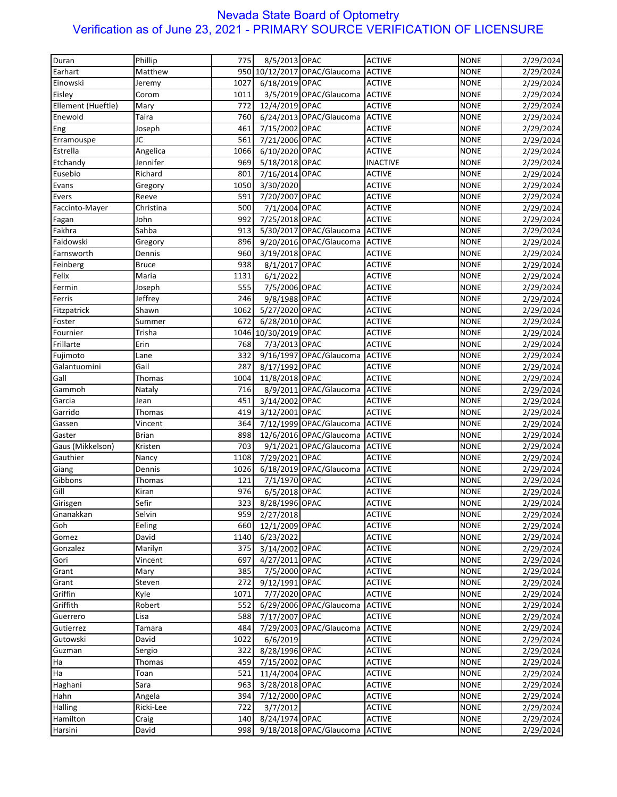| Duran              | Phillip      | 775         | 8/5/2013 OPAC   |                                | <b>ACTIVE</b>                  | <b>NONE</b> | 2/29/2024 |
|--------------------|--------------|-------------|-----------------|--------------------------------|--------------------------------|-------------|-----------|
| Earhart            | Matthew      | 950         |                 | 10/12/2017 OPAC/Glaucoma       | <b>ACTIVE</b>                  | <b>NONE</b> | 2/29/2024 |
| Einowski           | Jeremy       | 1027        | 6/18/2019 OPAC  |                                | <b>ACTIVE</b>                  | <b>NONE</b> | 2/29/2024 |
| Eisley             | Corom        | 1011        |                 | 3/5/2019 OPAC/Glaucoma ACTIVE  |                                | <b>NONE</b> | 2/29/2024 |
| Ellement (Hueftle) | Mary         | 772         | 12/4/2019 OPAC  |                                | <b>ACTIVE</b>                  | <b>NONE</b> | 2/29/2024 |
| Enewold            | Taira        | 760         |                 | 6/24/2013 OPAC/Glaucoma        | <b>ACTIVE</b>                  | <b>NONE</b> | 2/29/2024 |
|                    | Joseph       | 461         | 7/15/2002 OPAC  |                                | <b>ACTIVE</b>                  | <b>NONE</b> |           |
| Eng                | JC           | 561         |                 |                                | <b>ACTIVE</b>                  |             | 2/29/2024 |
| Erramouspe         |              |             | 7/21/2006 OPAC  |                                |                                | <b>NONE</b> | 2/29/2024 |
| Estrella           | Angelica     | 1066        | 6/10/2020 OPAC  |                                | <b>ACTIVE</b>                  | <b>NONE</b> | 2/29/2024 |
| Etchandy           | Jennifer     | 969         | 5/18/2018 OPAC  |                                | <b>INACTIVE</b>                | <b>NONE</b> | 2/29/2024 |
| Eusebio            | Richard      | 801         | 7/16/2014 OPAC  |                                | <b>ACTIVE</b>                  | <b>NONE</b> | 2/29/2024 |
| Evans              | Gregory      | 1050        | 3/30/2020       |                                | <b>ACTIVE</b>                  | <b>NONE</b> | 2/29/2024 |
| Evers              | Reeve        | 591         | 7/20/2007 OPAC  |                                | <b>ACTIVE</b>                  | <b>NONE</b> | 2/29/2024 |
| Faccinto-Mayer     | Christina    | 500         | 7/1/2004 OPAC   |                                | <b>ACTIVE</b>                  | <b>NONE</b> | 2/29/2024 |
| Fagan              | John         | 992         | 7/25/2018 OPAC  |                                | <b>ACTIVE</b>                  | <b>NONE</b> | 2/29/2024 |
| Fakhra             | Sahba        | 913         |                 | 5/30/2017 OPAC/Glaucoma        | <b>ACTIVE</b>                  | <b>NONE</b> | 2/29/2024 |
| Faldowski          | Gregory      | 896         |                 | 9/20/2016 OPAC/Glaucoma        | <b>ACTIVE</b>                  | <b>NONE</b> | 2/29/2024 |
| Farnsworth         | Dennis       | 960         | 3/19/2018 OPAC  |                                | <b>ACTIVE</b>                  | <b>NONE</b> | 2/29/2024 |
| Feinberg           | <b>Bruce</b> | 938         | 8/1/2017 OPAC   |                                | <b>ACTIVE</b>                  | <b>NONE</b> | 2/29/2024 |
| Felix              | Maria        | 1131        | 6/1/2022        |                                | <b>ACTIVE</b>                  | <b>NONE</b> | 2/29/2024 |
| Fermin             | Joseph       | 555         | 7/5/2006 OPAC   |                                | <b>ACTIVE</b>                  | <b>NONE</b> | 2/29/2024 |
| Ferris             | Jeffrey      | 246         | 9/8/1988 OPAC   |                                | <b>ACTIVE</b>                  | <b>NONE</b> | 2/29/2024 |
| Fitzpatrick        | Shawn        | 1062        | 5/27/2020 OPAC  |                                | <b>ACTIVE</b>                  | <b>NONE</b> | 2/29/2024 |
| Foster             | Summer       | 672         | 6/28/2010 OPAC  |                                | <b>ACTIVE</b>                  | <b>NONE</b> | 2/29/2024 |
| Fournier           | Trisha       | 1046        | 10/30/2019 OPAC |                                | <b>ACTIVE</b>                  | <b>NONE</b> | 2/29/2024 |
| Frillarte          | Erin         | 768         | 7/3/2013 OPAC   |                                | <b>ACTIVE</b>                  | <b>NONE</b> | 2/29/2024 |
| Fujimoto           | Lane         | 332         |                 | 9/16/1997 OPAC/Glaucoma        | <b>ACTIVE</b>                  | <b>NONE</b> | 2/29/2024 |
| Galantuomini       | Gail         | 287         | 8/17/1992 OPAC  |                                | <b>ACTIVE</b>                  | <b>NONE</b> | 2/29/2024 |
| Gall               | Thomas       | 1004        | 11/8/2018 OPAC  |                                | <b>ACTIVE</b>                  | <b>NONE</b> | 2/29/2024 |
| Gammoh             | Nataly       | 716         |                 | 8/9/2011 OPAC/Glaucoma         | <b>ACTIVE</b>                  | <b>NONE</b> | 2/29/2024 |
| Garcia             | Jean         | 451         | 3/14/2002 OPAC  |                                | <b>ACTIVE</b>                  | <b>NONE</b> | 2/29/2024 |
| Garrido            | Thomas       | 419         | 3/12/2001 OPAC  |                                | <b>ACTIVE</b>                  | <b>NONE</b> | 2/29/2024 |
| Gassen             | Vincent      | 364         |                 | 7/12/1999 OPAC/Glaucoma ACTIVE |                                | <b>NONE</b> | 2/29/2024 |
| Gaster             | <b>Brian</b> | 898         |                 | 12/6/2016 OPAC/Glaucoma        | <b>ACTIVE</b>                  | <b>NONE</b> | 2/29/2024 |
| Gaus (Mikkelson)   | Kristen      | 703         |                 | 9/1/2021 OPAC/Glaucoma         | <b>ACTIVE</b>                  | <b>NONE</b> | 2/29/2024 |
| Gauthier           | Nancy        | 1108        | 7/29/2021 OPAC  |                                | <b>ACTIVE</b>                  | <b>NONE</b> |           |
|                    |              |             |                 | 6/18/2019 OPAC/Glaucoma        |                                |             | 2/29/2024 |
| Giang              | Dennis       | 1026<br>121 |                 |                                | <b>ACTIVE</b>                  | <b>NONE</b> | 2/29/2024 |
| Gibbons            | Thomas       |             | 7/1/1970 OPAC   |                                | <b>ACTIVE</b><br><b>ACTIVE</b> | <b>NONE</b> | 2/29/2024 |
| Gill               | Kiran        | 976         | 6/5/2018 OPAC   |                                |                                | <b>NONE</b> | 2/29/2024 |
| Girisgen           | Sefir        | 323         | 8/28/1996 OPAC  |                                | <b>ACTIVE</b>                  | <b>NONE</b> | 2/29/2024 |
| Gnanakkan          | Selvin       | 959         | 2/27/2018       |                                | <b>ACTIVE</b>                  | <b>NONE</b> | 2/29/2024 |
| Goh                | Eeling       | 660         | 12/1/2009 OPAC  |                                | <b>ACTIVE</b>                  | <b>NONE</b> | 2/29/2024 |
| Gomez              | David        | 1140        | 6/23/2022       |                                | <b>ACTIVE</b>                  | <b>NONE</b> | 2/29/2024 |
| Gonzalez           | Marilyn      | 375         | 3/14/2002 OPAC  |                                | <b>ACTIVE</b>                  | <b>NONE</b> | 2/29/2024 |
| Gori               | Vincent      | 697         | 4/27/2011 OPAC  |                                | <b>ACTIVE</b>                  | <b>NONE</b> | 2/29/2024 |
| Grant              | Mary         | 385         | 7/5/2000 OPAC   |                                | <b>ACTIVE</b>                  | <b>NONE</b> | 2/29/2024 |
| Grant              | Steven       | 272         | 9/12/1991 OPAC  |                                | <b>ACTIVE</b>                  | <b>NONE</b> | 2/29/2024 |
| Griffin            | Kyle         | 1071        | 7/7/2020 OPAC   |                                | <b>ACTIVE</b>                  | <b>NONE</b> | 2/29/2024 |
| Griffith           | Robert       | 552         |                 | 6/29/2006 OPAC/Glaucoma        | <b>ACTIVE</b>                  | <b>NONE</b> | 2/29/2024 |
| Guerrero           | Lisa         | 588         | 7/17/2007 OPAC  |                                | <b>ACTIVE</b>                  | <b>NONE</b> | 2/29/2024 |
| Gutierrez          | Tamara       | 484         |                 | 7/29/2003 OPAC/Glaucoma        | <b>ACTIVE</b>                  | <b>NONE</b> | 2/29/2024 |
| Gutowski           | David        | 1022        | 6/6/2019        |                                | <b>ACTIVE</b>                  | <b>NONE</b> | 2/29/2024 |
| Guzman             | Sergio       | 322         | 8/28/1996 OPAC  |                                | <b>ACTIVE</b>                  | <b>NONE</b> | 2/29/2024 |
| Ha                 | Thomas       | 459         | 7/15/2002 OPAC  |                                | <b>ACTIVE</b>                  | <b>NONE</b> | 2/29/2024 |
| Ha                 | Toan         | 521         | 11/4/2004 OPAC  |                                | <b>ACTIVE</b>                  | <b>NONE</b> | 2/29/2024 |
| Haghani            | Sara         | 963         | 3/28/2018 OPAC  |                                | <b>ACTIVE</b>                  | <b>NONE</b> | 2/29/2024 |
| Hahn               | Angela       | 394         | 7/12/2000 OPAC  |                                | <b>ACTIVE</b>                  | <b>NONE</b> | 2/29/2024 |
| Halling            | Ricki-Lee    | 722         | 3/7/2012        |                                | <b>ACTIVE</b>                  | <b>NONE</b> | 2/29/2024 |
| Hamilton           | Craig        | 140         | 8/24/1974 OPAC  |                                | <b>ACTIVE</b>                  | <b>NONE</b> | 2/29/2024 |
| Harsini            | David        | 998         |                 | 9/18/2018 OPAC/Glaucoma        | <b>ACTIVE</b>                  | <b>NONE</b> | 2/29/2024 |
|                    |              |             |                 |                                |                                |             |           |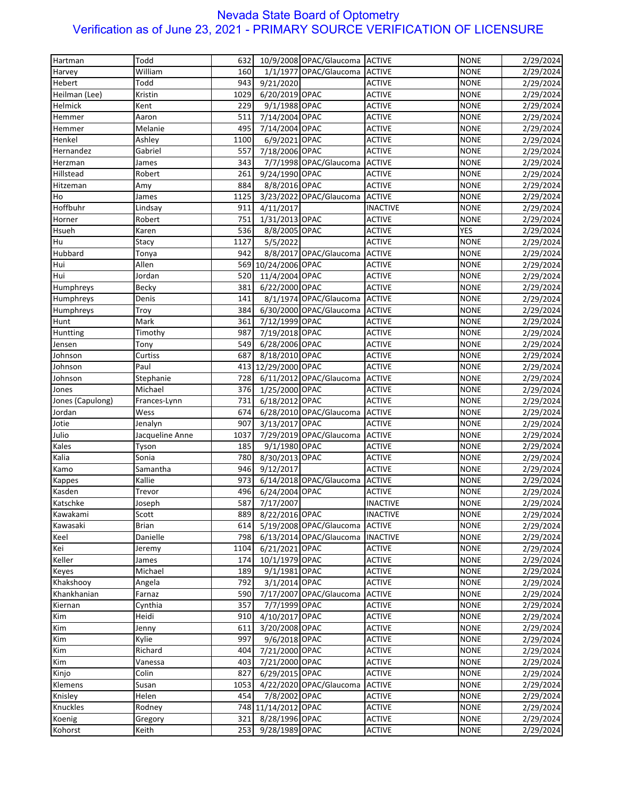| William<br>1/1/1977 OPAC/Glaucoma<br><b>NONE</b><br>160<br><b>ACTIVE</b><br>2/29/2024<br>Harvey<br>Todd<br>943<br>9/21/2020<br><b>NONE</b><br>Hebert<br><b>ACTIVE</b><br>2/29/2024<br>Kristin<br>6/20/2019 OPAC<br><b>ACTIVE</b><br><b>NONE</b><br>Heilman (Lee)<br>1029<br>2/29/2024<br>Helmick<br>229<br>9/1/1988 OPAC<br><b>ACTIVE</b><br><b>NONE</b><br>Kent<br>2/29/2024<br>511<br>7/14/2004 OPAC<br><b>ACTIVE</b><br><b>NONE</b><br>Hemmer<br>Aaron<br>2/29/2024<br>Melanie<br>495<br>7/14/2004 OPAC<br><b>ACTIVE</b><br><b>NONE</b><br>Hemmer<br>2/29/2024<br>Henkel<br>1100<br>6/9/2021 OPAC<br><b>ACTIVE</b><br><b>NONE</b><br>Ashley<br>2/29/2024<br>Hernandez<br>Gabriel<br>7/18/2006 OPAC<br><b>ACTIVE</b><br><b>NONE</b><br>557<br>2/29/2024<br>7/7/1998 OPAC/Glaucoma<br><b>ACTIVE</b><br><b>NONE</b><br>Herzman<br>James<br>343<br>2/29/2024<br>Hillstead<br>261<br>9/24/1990 OPAC<br><b>NONE</b><br>Robert<br><b>ACTIVE</b><br>2/29/2024<br>884<br>8/8/2016 OPAC<br><b>ACTIVE</b><br><b>NONE</b><br>Hitzeman<br>2/29/2024<br>Amy<br>1125<br>3/23/2022 OPAC/Glaucoma<br><b>ACTIVE</b><br><b>NONE</b><br>Ho<br>James<br>2/29/2024<br>Hoffbuhr<br>4/11/2017<br><b>INACTIVE</b><br><b>NONE</b><br>2/29/2024<br>Lindsay<br>911<br>1/31/2013 OPAC<br>751<br><b>ACTIVE</b><br><b>NONE</b><br>2/29/2024<br>Horner<br>Robert<br>Hsueh<br>536<br>8/8/2005 OPAC<br><b>ACTIVE</b><br><b>YES</b><br>Karen<br>2/29/2024<br>1127<br>5/5/2022<br><b>ACTIVE</b><br><b>NONE</b><br>Hu<br>Stacy<br>2/29/2024<br>Hubbard<br>8/8/2017 OPAC/Glaucoma<br><b>ACTIVE</b><br><b>NONE</b><br>Tonya<br>942<br>2/29/2024<br><b>NONE</b><br>Hui<br>Allen<br>569 10/24/2006 OPAC<br><b>ACTIVE</b><br>2/29/2024<br>Jordan<br>520<br>11/4/2004 OPAC<br><b>NONE</b><br>Hui<br><b>ACTIVE</b><br>2/29/2024<br>Becky<br>381<br>6/22/2000 OPAC<br><b>ACTIVE</b><br><b>NONE</b><br>Humphreys<br>2/29/2024<br>8/1/1974 OPAC/Glaucoma<br><b>ACTIVE</b><br><b>NONE</b><br>Denis<br>141<br>2/29/2024<br>6/30/2000 OPAC/Glaucoma<br><b>ACTIVE</b><br><b>NONE</b><br>Troy<br>384<br>2/29/2024<br>Mark<br>7/12/1999 OPAC<br><b>ACTIVE</b><br><b>NONE</b><br>2/29/2024<br>361<br>987<br>7/19/2018 OPAC<br><b>ACTIVE</b><br><b>NONE</b><br>2/29/2024<br>Timothy<br>6/28/2006 OPAC<br><b>ACTIVE</b><br><b>NONE</b><br>Jensen<br>549<br>2/29/2024<br>Tony<br>8/18/2010 OPAC<br><b>NONE</b><br>Johnson<br>Curtiss<br>687<br><b>ACTIVE</b><br>2/29/2024<br>Paul<br>12/29/2000 OPAC<br><b>NONE</b><br>Johnson<br>413<br><b>ACTIVE</b><br>2/29/2024<br>728<br>6/11/2012 OPAC/Glaucoma<br><b>ACTIVE</b><br><b>NONE</b><br>Johnson<br>Stephanie<br>2/29/2024<br>Michael<br>376<br>1/25/2000 OPAC<br><b>ACTIVE</b><br><b>NONE</b><br>Jones<br>2/29/2024<br>6/18/2012 OPAC<br><b>ACTIVE</b><br><b>NONE</b><br>Jones (Capulong)<br>Frances-Lynn<br>731<br>2/29/2024<br>Jordan<br>Wess<br>674<br>6/28/2010 OPAC/Glaucoma<br><b>ACTIVE</b><br><b>NONE</b><br>2/29/2024<br>Jenalyn<br>907<br>3/13/2017 OPAC<br><b>ACTIVE</b><br><b>NONE</b><br>Jotie<br>2/29/2024<br>Julio<br>Jacqueline Anne<br>1037<br>7/29/2019 OPAC/Glaucoma<br><b>ACTIVE</b><br><b>NONE</b><br>2/29/2024<br>Kales<br>9/1/1980 OPAC<br><b>NONE</b><br>Tyson<br>185<br><b>ACTIVE</b><br>2/29/2024<br>Sonia<br>780<br>8/30/2013 OPAC<br><b>NONE</b><br>Kalia<br><b>ACTIVE</b><br>2/29/2024<br>Samantha<br>946<br>9/12/2017<br><b>ACTIVE</b><br><b>NONE</b><br>Kamo<br>2/29/2024<br>Kallie<br>6/14/2018 OPAC/Glaucoma<br>973<br><b>ACTIVE</b><br><b>NONE</b><br>2/29/2024<br>Kappes<br>496<br>6/24/2004 OPAC<br><b>ACTIVE</b><br><b>NONE</b><br>2/29/2024<br>Kasden<br>Trevor<br>7/17/2007<br>Katschke<br>587<br><b>INACTIVE</b><br><b>NONE</b><br>2/29/2024<br>Joseph<br>889<br>8/22/2016 OPAC<br><b>INACTIVE</b><br><b>NONE</b><br>2/29/2024<br>Kawakami<br>Scott<br><b>NONE</b><br>Kawasaki<br><b>Brian</b><br>614<br>5/19/2008 OPAC/Glaucoma<br><b>ACTIVE</b><br>2/29/2024<br>Danielle<br>6/13/2014 OPAC/Glaucoma<br><b>INACTIVE</b><br><b>NONE</b><br>Keel<br>798<br>2/29/2024<br><b>NONE</b><br>Kei<br>1104<br>6/21/2021 OPAC<br><b>ACTIVE</b><br>Jeremy<br>2/29/2024<br>10/1/1979 OPAC<br><b>NONE</b><br>Keller<br>James<br>174<br><b>ACTIVE</b><br>2/29/2024<br>Michael<br>189<br>9/1/1981 OPAC<br><b>ACTIVE</b><br><b>NONE</b><br>Keyes<br>2/29/2024<br>3/1/2014 OPAC<br><b>NONE</b><br>Khakshooy<br>Angela<br>792<br><b>ACTIVE</b><br>2/29/2024<br>590<br>7/17/2007 OPAC/Glaucoma<br><b>ACTIVE</b><br><b>NONE</b><br>Khankhanian<br>Farnaz<br>2/29/2024<br>357<br>7/7/1999 OPAC<br><b>NONE</b><br>2/29/2024<br>Kiernan<br>Cynthia<br><b>ACTIVE</b><br>4/10/2017 OPAC<br>Heidi<br>910<br><b>ACTIVE</b><br><b>NONE</b><br>2/29/2024<br>Kim<br>3/20/2008 OPAC<br><b>NONE</b><br>Kim<br>611<br><b>ACTIVE</b><br>2/29/2024<br>Jenny<br>9/6/2018 OPAC<br>Kim<br>Kylie<br>997<br><b>ACTIVE</b><br><b>NONE</b><br>2/29/2024<br>Kim<br>7/21/2000 OPAC<br>Richard<br>404<br><b>ACTIVE</b><br><b>NONE</b><br>2/29/2024<br><b>NONE</b><br>Vanessa<br>403<br>7/21/2000 OPAC<br><b>ACTIVE</b><br>2/29/2024<br>6/29/2015 OPAC<br><b>ACTIVE</b><br><b>NONE</b><br>Colin<br>827<br>2/29/2024<br>4/22/2020 OPAC/Glaucoma<br><b>ACTIVE</b><br><b>NONE</b><br>Susan<br>1053<br>2/29/2024<br>454<br>7/8/2002 OPAC<br><b>NONE</b><br>Helen<br><b>ACTIVE</b><br>2/29/2024<br>748 11/14/2012 OPAC<br><b>NONE</b><br>Rodney<br><b>ACTIVE</b><br>2/29/2024<br><b>NONE</b><br>Gregory<br>321<br>8/28/1996 OPAC<br><b>ACTIVE</b><br>2/29/2024<br>Keith<br>253<br>9/28/1989 OPAC<br><b>ACTIVE</b><br><b>NONE</b><br>2/29/2024 | Hartman   | Todd | 632 | 10/9/2008 OPAC/Glaucoma ACTIVE | <b>NONE</b> | 2/29/2024 |
|-------------------------------------------------------------------------------------------------------------------------------------------------------------------------------------------------------------------------------------------------------------------------------------------------------------------------------------------------------------------------------------------------------------------------------------------------------------------------------------------------------------------------------------------------------------------------------------------------------------------------------------------------------------------------------------------------------------------------------------------------------------------------------------------------------------------------------------------------------------------------------------------------------------------------------------------------------------------------------------------------------------------------------------------------------------------------------------------------------------------------------------------------------------------------------------------------------------------------------------------------------------------------------------------------------------------------------------------------------------------------------------------------------------------------------------------------------------------------------------------------------------------------------------------------------------------------------------------------------------------------------------------------------------------------------------------------------------------------------------------------------------------------------------------------------------------------------------------------------------------------------------------------------------------------------------------------------------------------------------------------------------------------------------------------------------------------------------------------------------------------------------------------------------------------------------------------------------------------------------------------------------------------------------------------------------------------------------------------------------------------------------------------------------------------------------------------------------------------------------------------------------------------------------------------------------------------------------------------------------------------------------------------------------------------------------------------------------------------------------------------------------------------------------------------------------------------------------------------------------------------------------------------------------------------------------------------------------------------------------------------------------------------------------------------------------------------------------------------------------------------------------------------------------------------------------------------------------------------------------------------------------------------------------------------------------------------------------------------------------------------------------------------------------------------------------------------------------------------------------------------------------------------------------------------------------------------------------------------------------------------------------------------------------------------------------------------------------------------------------------------------------------------------------------------------------------------------------------------------------------------------------------------------------------------------------------------------------------------------------------------------------------------------------------------------------------------------------------------------------------------------------------------------------------------------------------------------------------------------------------------------------------------------------------------------------------------------------------------------------------------------------------------------------------------------------------------------------------------------------------------------------------------------------------------------------------------------------------------------------------------------------------------------------------------------------------------------------------------------------------------------------------------------------------------------------------------------------------------------------------------------------------------------------------------------------------------------------------------------------------------------------------------------------------------------------------------------------------------------------------------------------------------------------------------------------------------------------------------------------------------------------------------------------------------------------------------------------------------------------------------------------------------------------------------------------------------------------------------------------------------------------------------------|-----------|------|-----|--------------------------------|-------------|-----------|
|                                                                                                                                                                                                                                                                                                                                                                                                                                                                                                                                                                                                                                                                                                                                                                                                                                                                                                                                                                                                                                                                                                                                                                                                                                                                                                                                                                                                                                                                                                                                                                                                                                                                                                                                                                                                                                                                                                                                                                                                                                                                                                                                                                                                                                                                                                                                                                                                                                                                                                                                                                                                                                                                                                                                                                                                                                                                                                                                                                                                                                                                                                                                                                                                                                                                                                                                                                                                                                                                                                                                                                                                                                                                                                                                                                                                                                                                                                                                                                                                                                                                                                                                                                                                                                                                                                                                                                                                                                                                                                                                                                                                                                                                                                                                                                                                                                                                                                                                                                                                                                                                                                                                                                                                                                                                                                                                                                                                                                                                                                                               |           |      |     |                                |             |           |
|                                                                                                                                                                                                                                                                                                                                                                                                                                                                                                                                                                                                                                                                                                                                                                                                                                                                                                                                                                                                                                                                                                                                                                                                                                                                                                                                                                                                                                                                                                                                                                                                                                                                                                                                                                                                                                                                                                                                                                                                                                                                                                                                                                                                                                                                                                                                                                                                                                                                                                                                                                                                                                                                                                                                                                                                                                                                                                                                                                                                                                                                                                                                                                                                                                                                                                                                                                                                                                                                                                                                                                                                                                                                                                                                                                                                                                                                                                                                                                                                                                                                                                                                                                                                                                                                                                                                                                                                                                                                                                                                                                                                                                                                                                                                                                                                                                                                                                                                                                                                                                                                                                                                                                                                                                                                                                                                                                                                                                                                                                                               |           |      |     |                                |             |           |
|                                                                                                                                                                                                                                                                                                                                                                                                                                                                                                                                                                                                                                                                                                                                                                                                                                                                                                                                                                                                                                                                                                                                                                                                                                                                                                                                                                                                                                                                                                                                                                                                                                                                                                                                                                                                                                                                                                                                                                                                                                                                                                                                                                                                                                                                                                                                                                                                                                                                                                                                                                                                                                                                                                                                                                                                                                                                                                                                                                                                                                                                                                                                                                                                                                                                                                                                                                                                                                                                                                                                                                                                                                                                                                                                                                                                                                                                                                                                                                                                                                                                                                                                                                                                                                                                                                                                                                                                                                                                                                                                                                                                                                                                                                                                                                                                                                                                                                                                                                                                                                                                                                                                                                                                                                                                                                                                                                                                                                                                                                                               |           |      |     |                                |             |           |
|                                                                                                                                                                                                                                                                                                                                                                                                                                                                                                                                                                                                                                                                                                                                                                                                                                                                                                                                                                                                                                                                                                                                                                                                                                                                                                                                                                                                                                                                                                                                                                                                                                                                                                                                                                                                                                                                                                                                                                                                                                                                                                                                                                                                                                                                                                                                                                                                                                                                                                                                                                                                                                                                                                                                                                                                                                                                                                                                                                                                                                                                                                                                                                                                                                                                                                                                                                                                                                                                                                                                                                                                                                                                                                                                                                                                                                                                                                                                                                                                                                                                                                                                                                                                                                                                                                                                                                                                                                                                                                                                                                                                                                                                                                                                                                                                                                                                                                                                                                                                                                                                                                                                                                                                                                                                                                                                                                                                                                                                                                                               |           |      |     |                                |             |           |
|                                                                                                                                                                                                                                                                                                                                                                                                                                                                                                                                                                                                                                                                                                                                                                                                                                                                                                                                                                                                                                                                                                                                                                                                                                                                                                                                                                                                                                                                                                                                                                                                                                                                                                                                                                                                                                                                                                                                                                                                                                                                                                                                                                                                                                                                                                                                                                                                                                                                                                                                                                                                                                                                                                                                                                                                                                                                                                                                                                                                                                                                                                                                                                                                                                                                                                                                                                                                                                                                                                                                                                                                                                                                                                                                                                                                                                                                                                                                                                                                                                                                                                                                                                                                                                                                                                                                                                                                                                                                                                                                                                                                                                                                                                                                                                                                                                                                                                                                                                                                                                                                                                                                                                                                                                                                                                                                                                                                                                                                                                                               |           |      |     |                                |             |           |
|                                                                                                                                                                                                                                                                                                                                                                                                                                                                                                                                                                                                                                                                                                                                                                                                                                                                                                                                                                                                                                                                                                                                                                                                                                                                                                                                                                                                                                                                                                                                                                                                                                                                                                                                                                                                                                                                                                                                                                                                                                                                                                                                                                                                                                                                                                                                                                                                                                                                                                                                                                                                                                                                                                                                                                                                                                                                                                                                                                                                                                                                                                                                                                                                                                                                                                                                                                                                                                                                                                                                                                                                                                                                                                                                                                                                                                                                                                                                                                                                                                                                                                                                                                                                                                                                                                                                                                                                                                                                                                                                                                                                                                                                                                                                                                                                                                                                                                                                                                                                                                                                                                                                                                                                                                                                                                                                                                                                                                                                                                                               |           |      |     |                                |             |           |
|                                                                                                                                                                                                                                                                                                                                                                                                                                                                                                                                                                                                                                                                                                                                                                                                                                                                                                                                                                                                                                                                                                                                                                                                                                                                                                                                                                                                                                                                                                                                                                                                                                                                                                                                                                                                                                                                                                                                                                                                                                                                                                                                                                                                                                                                                                                                                                                                                                                                                                                                                                                                                                                                                                                                                                                                                                                                                                                                                                                                                                                                                                                                                                                                                                                                                                                                                                                                                                                                                                                                                                                                                                                                                                                                                                                                                                                                                                                                                                                                                                                                                                                                                                                                                                                                                                                                                                                                                                                                                                                                                                                                                                                                                                                                                                                                                                                                                                                                                                                                                                                                                                                                                                                                                                                                                                                                                                                                                                                                                                                               |           |      |     |                                |             |           |
|                                                                                                                                                                                                                                                                                                                                                                                                                                                                                                                                                                                                                                                                                                                                                                                                                                                                                                                                                                                                                                                                                                                                                                                                                                                                                                                                                                                                                                                                                                                                                                                                                                                                                                                                                                                                                                                                                                                                                                                                                                                                                                                                                                                                                                                                                                                                                                                                                                                                                                                                                                                                                                                                                                                                                                                                                                                                                                                                                                                                                                                                                                                                                                                                                                                                                                                                                                                                                                                                                                                                                                                                                                                                                                                                                                                                                                                                                                                                                                                                                                                                                                                                                                                                                                                                                                                                                                                                                                                                                                                                                                                                                                                                                                                                                                                                                                                                                                                                                                                                                                                                                                                                                                                                                                                                                                                                                                                                                                                                                                                               |           |      |     |                                |             |           |
|                                                                                                                                                                                                                                                                                                                                                                                                                                                                                                                                                                                                                                                                                                                                                                                                                                                                                                                                                                                                                                                                                                                                                                                                                                                                                                                                                                                                                                                                                                                                                                                                                                                                                                                                                                                                                                                                                                                                                                                                                                                                                                                                                                                                                                                                                                                                                                                                                                                                                                                                                                                                                                                                                                                                                                                                                                                                                                                                                                                                                                                                                                                                                                                                                                                                                                                                                                                                                                                                                                                                                                                                                                                                                                                                                                                                                                                                                                                                                                                                                                                                                                                                                                                                                                                                                                                                                                                                                                                                                                                                                                                                                                                                                                                                                                                                                                                                                                                                                                                                                                                                                                                                                                                                                                                                                                                                                                                                                                                                                                                               |           |      |     |                                |             |           |
|                                                                                                                                                                                                                                                                                                                                                                                                                                                                                                                                                                                                                                                                                                                                                                                                                                                                                                                                                                                                                                                                                                                                                                                                                                                                                                                                                                                                                                                                                                                                                                                                                                                                                                                                                                                                                                                                                                                                                                                                                                                                                                                                                                                                                                                                                                                                                                                                                                                                                                                                                                                                                                                                                                                                                                                                                                                                                                                                                                                                                                                                                                                                                                                                                                                                                                                                                                                                                                                                                                                                                                                                                                                                                                                                                                                                                                                                                                                                                                                                                                                                                                                                                                                                                                                                                                                                                                                                                                                                                                                                                                                                                                                                                                                                                                                                                                                                                                                                                                                                                                                                                                                                                                                                                                                                                                                                                                                                                                                                                                                               |           |      |     |                                |             |           |
|                                                                                                                                                                                                                                                                                                                                                                                                                                                                                                                                                                                                                                                                                                                                                                                                                                                                                                                                                                                                                                                                                                                                                                                                                                                                                                                                                                                                                                                                                                                                                                                                                                                                                                                                                                                                                                                                                                                                                                                                                                                                                                                                                                                                                                                                                                                                                                                                                                                                                                                                                                                                                                                                                                                                                                                                                                                                                                                                                                                                                                                                                                                                                                                                                                                                                                                                                                                                                                                                                                                                                                                                                                                                                                                                                                                                                                                                                                                                                                                                                                                                                                                                                                                                                                                                                                                                                                                                                                                                                                                                                                                                                                                                                                                                                                                                                                                                                                                                                                                                                                                                                                                                                                                                                                                                                                                                                                                                                                                                                                                               |           |      |     |                                |             |           |
|                                                                                                                                                                                                                                                                                                                                                                                                                                                                                                                                                                                                                                                                                                                                                                                                                                                                                                                                                                                                                                                                                                                                                                                                                                                                                                                                                                                                                                                                                                                                                                                                                                                                                                                                                                                                                                                                                                                                                                                                                                                                                                                                                                                                                                                                                                                                                                                                                                                                                                                                                                                                                                                                                                                                                                                                                                                                                                                                                                                                                                                                                                                                                                                                                                                                                                                                                                                                                                                                                                                                                                                                                                                                                                                                                                                                                                                                                                                                                                                                                                                                                                                                                                                                                                                                                                                                                                                                                                                                                                                                                                                                                                                                                                                                                                                                                                                                                                                                                                                                                                                                                                                                                                                                                                                                                                                                                                                                                                                                                                                               |           |      |     |                                |             |           |
|                                                                                                                                                                                                                                                                                                                                                                                                                                                                                                                                                                                                                                                                                                                                                                                                                                                                                                                                                                                                                                                                                                                                                                                                                                                                                                                                                                                                                                                                                                                                                                                                                                                                                                                                                                                                                                                                                                                                                                                                                                                                                                                                                                                                                                                                                                                                                                                                                                                                                                                                                                                                                                                                                                                                                                                                                                                                                                                                                                                                                                                                                                                                                                                                                                                                                                                                                                                                                                                                                                                                                                                                                                                                                                                                                                                                                                                                                                                                                                                                                                                                                                                                                                                                                                                                                                                                                                                                                                                                                                                                                                                                                                                                                                                                                                                                                                                                                                                                                                                                                                                                                                                                                                                                                                                                                                                                                                                                                                                                                                                               |           |      |     |                                |             |           |
|                                                                                                                                                                                                                                                                                                                                                                                                                                                                                                                                                                                                                                                                                                                                                                                                                                                                                                                                                                                                                                                                                                                                                                                                                                                                                                                                                                                                                                                                                                                                                                                                                                                                                                                                                                                                                                                                                                                                                                                                                                                                                                                                                                                                                                                                                                                                                                                                                                                                                                                                                                                                                                                                                                                                                                                                                                                                                                                                                                                                                                                                                                                                                                                                                                                                                                                                                                                                                                                                                                                                                                                                                                                                                                                                                                                                                                                                                                                                                                                                                                                                                                                                                                                                                                                                                                                                                                                                                                                                                                                                                                                                                                                                                                                                                                                                                                                                                                                                                                                                                                                                                                                                                                                                                                                                                                                                                                                                                                                                                                                               |           |      |     |                                |             |           |
|                                                                                                                                                                                                                                                                                                                                                                                                                                                                                                                                                                                                                                                                                                                                                                                                                                                                                                                                                                                                                                                                                                                                                                                                                                                                                                                                                                                                                                                                                                                                                                                                                                                                                                                                                                                                                                                                                                                                                                                                                                                                                                                                                                                                                                                                                                                                                                                                                                                                                                                                                                                                                                                                                                                                                                                                                                                                                                                                                                                                                                                                                                                                                                                                                                                                                                                                                                                                                                                                                                                                                                                                                                                                                                                                                                                                                                                                                                                                                                                                                                                                                                                                                                                                                                                                                                                                                                                                                                                                                                                                                                                                                                                                                                                                                                                                                                                                                                                                                                                                                                                                                                                                                                                                                                                                                                                                                                                                                                                                                                                               |           |      |     |                                |             |           |
|                                                                                                                                                                                                                                                                                                                                                                                                                                                                                                                                                                                                                                                                                                                                                                                                                                                                                                                                                                                                                                                                                                                                                                                                                                                                                                                                                                                                                                                                                                                                                                                                                                                                                                                                                                                                                                                                                                                                                                                                                                                                                                                                                                                                                                                                                                                                                                                                                                                                                                                                                                                                                                                                                                                                                                                                                                                                                                                                                                                                                                                                                                                                                                                                                                                                                                                                                                                                                                                                                                                                                                                                                                                                                                                                                                                                                                                                                                                                                                                                                                                                                                                                                                                                                                                                                                                                                                                                                                                                                                                                                                                                                                                                                                                                                                                                                                                                                                                                                                                                                                                                                                                                                                                                                                                                                                                                                                                                                                                                                                                               |           |      |     |                                |             |           |
|                                                                                                                                                                                                                                                                                                                                                                                                                                                                                                                                                                                                                                                                                                                                                                                                                                                                                                                                                                                                                                                                                                                                                                                                                                                                                                                                                                                                                                                                                                                                                                                                                                                                                                                                                                                                                                                                                                                                                                                                                                                                                                                                                                                                                                                                                                                                                                                                                                                                                                                                                                                                                                                                                                                                                                                                                                                                                                                                                                                                                                                                                                                                                                                                                                                                                                                                                                                                                                                                                                                                                                                                                                                                                                                                                                                                                                                                                                                                                                                                                                                                                                                                                                                                                                                                                                                                                                                                                                                                                                                                                                                                                                                                                                                                                                                                                                                                                                                                                                                                                                                                                                                                                                                                                                                                                                                                                                                                                                                                                                                               |           |      |     |                                |             |           |
|                                                                                                                                                                                                                                                                                                                                                                                                                                                                                                                                                                                                                                                                                                                                                                                                                                                                                                                                                                                                                                                                                                                                                                                                                                                                                                                                                                                                                                                                                                                                                                                                                                                                                                                                                                                                                                                                                                                                                                                                                                                                                                                                                                                                                                                                                                                                                                                                                                                                                                                                                                                                                                                                                                                                                                                                                                                                                                                                                                                                                                                                                                                                                                                                                                                                                                                                                                                                                                                                                                                                                                                                                                                                                                                                                                                                                                                                                                                                                                                                                                                                                                                                                                                                                                                                                                                                                                                                                                                                                                                                                                                                                                                                                                                                                                                                                                                                                                                                                                                                                                                                                                                                                                                                                                                                                                                                                                                                                                                                                                                               |           |      |     |                                |             |           |
|                                                                                                                                                                                                                                                                                                                                                                                                                                                                                                                                                                                                                                                                                                                                                                                                                                                                                                                                                                                                                                                                                                                                                                                                                                                                                                                                                                                                                                                                                                                                                                                                                                                                                                                                                                                                                                                                                                                                                                                                                                                                                                                                                                                                                                                                                                                                                                                                                                                                                                                                                                                                                                                                                                                                                                                                                                                                                                                                                                                                                                                                                                                                                                                                                                                                                                                                                                                                                                                                                                                                                                                                                                                                                                                                                                                                                                                                                                                                                                                                                                                                                                                                                                                                                                                                                                                                                                                                                                                                                                                                                                                                                                                                                                                                                                                                                                                                                                                                                                                                                                                                                                                                                                                                                                                                                                                                                                                                                                                                                                                               |           |      |     |                                |             |           |
|                                                                                                                                                                                                                                                                                                                                                                                                                                                                                                                                                                                                                                                                                                                                                                                                                                                                                                                                                                                                                                                                                                                                                                                                                                                                                                                                                                                                                                                                                                                                                                                                                                                                                                                                                                                                                                                                                                                                                                                                                                                                                                                                                                                                                                                                                                                                                                                                                                                                                                                                                                                                                                                                                                                                                                                                                                                                                                                                                                                                                                                                                                                                                                                                                                                                                                                                                                                                                                                                                                                                                                                                                                                                                                                                                                                                                                                                                                                                                                                                                                                                                                                                                                                                                                                                                                                                                                                                                                                                                                                                                                                                                                                                                                                                                                                                                                                                                                                                                                                                                                                                                                                                                                                                                                                                                                                                                                                                                                                                                                                               |           |      |     |                                |             |           |
|                                                                                                                                                                                                                                                                                                                                                                                                                                                                                                                                                                                                                                                                                                                                                                                                                                                                                                                                                                                                                                                                                                                                                                                                                                                                                                                                                                                                                                                                                                                                                                                                                                                                                                                                                                                                                                                                                                                                                                                                                                                                                                                                                                                                                                                                                                                                                                                                                                                                                                                                                                                                                                                                                                                                                                                                                                                                                                                                                                                                                                                                                                                                                                                                                                                                                                                                                                                                                                                                                                                                                                                                                                                                                                                                                                                                                                                                                                                                                                                                                                                                                                                                                                                                                                                                                                                                                                                                                                                                                                                                                                                                                                                                                                                                                                                                                                                                                                                                                                                                                                                                                                                                                                                                                                                                                                                                                                                                                                                                                                                               |           |      |     |                                |             |           |
|                                                                                                                                                                                                                                                                                                                                                                                                                                                                                                                                                                                                                                                                                                                                                                                                                                                                                                                                                                                                                                                                                                                                                                                                                                                                                                                                                                                                                                                                                                                                                                                                                                                                                                                                                                                                                                                                                                                                                                                                                                                                                                                                                                                                                                                                                                                                                                                                                                                                                                                                                                                                                                                                                                                                                                                                                                                                                                                                                                                                                                                                                                                                                                                                                                                                                                                                                                                                                                                                                                                                                                                                                                                                                                                                                                                                                                                                                                                                                                                                                                                                                                                                                                                                                                                                                                                                                                                                                                                                                                                                                                                                                                                                                                                                                                                                                                                                                                                                                                                                                                                                                                                                                                                                                                                                                                                                                                                                                                                                                                                               | Humphreys |      |     |                                |             |           |
|                                                                                                                                                                                                                                                                                                                                                                                                                                                                                                                                                                                                                                                                                                                                                                                                                                                                                                                                                                                                                                                                                                                                                                                                                                                                                                                                                                                                                                                                                                                                                                                                                                                                                                                                                                                                                                                                                                                                                                                                                                                                                                                                                                                                                                                                                                                                                                                                                                                                                                                                                                                                                                                                                                                                                                                                                                                                                                                                                                                                                                                                                                                                                                                                                                                                                                                                                                                                                                                                                                                                                                                                                                                                                                                                                                                                                                                                                                                                                                                                                                                                                                                                                                                                                                                                                                                                                                                                                                                                                                                                                                                                                                                                                                                                                                                                                                                                                                                                                                                                                                                                                                                                                                                                                                                                                                                                                                                                                                                                                                                               | Humphreys |      |     |                                |             |           |
|                                                                                                                                                                                                                                                                                                                                                                                                                                                                                                                                                                                                                                                                                                                                                                                                                                                                                                                                                                                                                                                                                                                                                                                                                                                                                                                                                                                                                                                                                                                                                                                                                                                                                                                                                                                                                                                                                                                                                                                                                                                                                                                                                                                                                                                                                                                                                                                                                                                                                                                                                                                                                                                                                                                                                                                                                                                                                                                                                                                                                                                                                                                                                                                                                                                                                                                                                                                                                                                                                                                                                                                                                                                                                                                                                                                                                                                                                                                                                                                                                                                                                                                                                                                                                                                                                                                                                                                                                                                                                                                                                                                                                                                                                                                                                                                                                                                                                                                                                                                                                                                                                                                                                                                                                                                                                                                                                                                                                                                                                                                               | Hunt      |      |     |                                |             |           |
|                                                                                                                                                                                                                                                                                                                                                                                                                                                                                                                                                                                                                                                                                                                                                                                                                                                                                                                                                                                                                                                                                                                                                                                                                                                                                                                                                                                                                                                                                                                                                                                                                                                                                                                                                                                                                                                                                                                                                                                                                                                                                                                                                                                                                                                                                                                                                                                                                                                                                                                                                                                                                                                                                                                                                                                                                                                                                                                                                                                                                                                                                                                                                                                                                                                                                                                                                                                                                                                                                                                                                                                                                                                                                                                                                                                                                                                                                                                                                                                                                                                                                                                                                                                                                                                                                                                                                                                                                                                                                                                                                                                                                                                                                                                                                                                                                                                                                                                                                                                                                                                                                                                                                                                                                                                                                                                                                                                                                                                                                                                               | Huntting  |      |     |                                |             |           |
|                                                                                                                                                                                                                                                                                                                                                                                                                                                                                                                                                                                                                                                                                                                                                                                                                                                                                                                                                                                                                                                                                                                                                                                                                                                                                                                                                                                                                                                                                                                                                                                                                                                                                                                                                                                                                                                                                                                                                                                                                                                                                                                                                                                                                                                                                                                                                                                                                                                                                                                                                                                                                                                                                                                                                                                                                                                                                                                                                                                                                                                                                                                                                                                                                                                                                                                                                                                                                                                                                                                                                                                                                                                                                                                                                                                                                                                                                                                                                                                                                                                                                                                                                                                                                                                                                                                                                                                                                                                                                                                                                                                                                                                                                                                                                                                                                                                                                                                                                                                                                                                                                                                                                                                                                                                                                                                                                                                                                                                                                                                               |           |      |     |                                |             |           |
|                                                                                                                                                                                                                                                                                                                                                                                                                                                                                                                                                                                                                                                                                                                                                                                                                                                                                                                                                                                                                                                                                                                                                                                                                                                                                                                                                                                                                                                                                                                                                                                                                                                                                                                                                                                                                                                                                                                                                                                                                                                                                                                                                                                                                                                                                                                                                                                                                                                                                                                                                                                                                                                                                                                                                                                                                                                                                                                                                                                                                                                                                                                                                                                                                                                                                                                                                                                                                                                                                                                                                                                                                                                                                                                                                                                                                                                                                                                                                                                                                                                                                                                                                                                                                                                                                                                                                                                                                                                                                                                                                                                                                                                                                                                                                                                                                                                                                                                                                                                                                                                                                                                                                                                                                                                                                                                                                                                                                                                                                                                               |           |      |     |                                |             |           |
|                                                                                                                                                                                                                                                                                                                                                                                                                                                                                                                                                                                                                                                                                                                                                                                                                                                                                                                                                                                                                                                                                                                                                                                                                                                                                                                                                                                                                                                                                                                                                                                                                                                                                                                                                                                                                                                                                                                                                                                                                                                                                                                                                                                                                                                                                                                                                                                                                                                                                                                                                                                                                                                                                                                                                                                                                                                                                                                                                                                                                                                                                                                                                                                                                                                                                                                                                                                                                                                                                                                                                                                                                                                                                                                                                                                                                                                                                                                                                                                                                                                                                                                                                                                                                                                                                                                                                                                                                                                                                                                                                                                                                                                                                                                                                                                                                                                                                                                                                                                                                                                                                                                                                                                                                                                                                                                                                                                                                                                                                                                               |           |      |     |                                |             |           |
|                                                                                                                                                                                                                                                                                                                                                                                                                                                                                                                                                                                                                                                                                                                                                                                                                                                                                                                                                                                                                                                                                                                                                                                                                                                                                                                                                                                                                                                                                                                                                                                                                                                                                                                                                                                                                                                                                                                                                                                                                                                                                                                                                                                                                                                                                                                                                                                                                                                                                                                                                                                                                                                                                                                                                                                                                                                                                                                                                                                                                                                                                                                                                                                                                                                                                                                                                                                                                                                                                                                                                                                                                                                                                                                                                                                                                                                                                                                                                                                                                                                                                                                                                                                                                                                                                                                                                                                                                                                                                                                                                                                                                                                                                                                                                                                                                                                                                                                                                                                                                                                                                                                                                                                                                                                                                                                                                                                                                                                                                                                               |           |      |     |                                |             |           |
|                                                                                                                                                                                                                                                                                                                                                                                                                                                                                                                                                                                                                                                                                                                                                                                                                                                                                                                                                                                                                                                                                                                                                                                                                                                                                                                                                                                                                                                                                                                                                                                                                                                                                                                                                                                                                                                                                                                                                                                                                                                                                                                                                                                                                                                                                                                                                                                                                                                                                                                                                                                                                                                                                                                                                                                                                                                                                                                                                                                                                                                                                                                                                                                                                                                                                                                                                                                                                                                                                                                                                                                                                                                                                                                                                                                                                                                                                                                                                                                                                                                                                                                                                                                                                                                                                                                                                                                                                                                                                                                                                                                                                                                                                                                                                                                                                                                                                                                                                                                                                                                                                                                                                                                                                                                                                                                                                                                                                                                                                                                               |           |      |     |                                |             |           |
|                                                                                                                                                                                                                                                                                                                                                                                                                                                                                                                                                                                                                                                                                                                                                                                                                                                                                                                                                                                                                                                                                                                                                                                                                                                                                                                                                                                                                                                                                                                                                                                                                                                                                                                                                                                                                                                                                                                                                                                                                                                                                                                                                                                                                                                                                                                                                                                                                                                                                                                                                                                                                                                                                                                                                                                                                                                                                                                                                                                                                                                                                                                                                                                                                                                                                                                                                                                                                                                                                                                                                                                                                                                                                                                                                                                                                                                                                                                                                                                                                                                                                                                                                                                                                                                                                                                                                                                                                                                                                                                                                                                                                                                                                                                                                                                                                                                                                                                                                                                                                                                                                                                                                                                                                                                                                                                                                                                                                                                                                                                               |           |      |     |                                |             |           |
|                                                                                                                                                                                                                                                                                                                                                                                                                                                                                                                                                                                                                                                                                                                                                                                                                                                                                                                                                                                                                                                                                                                                                                                                                                                                                                                                                                                                                                                                                                                                                                                                                                                                                                                                                                                                                                                                                                                                                                                                                                                                                                                                                                                                                                                                                                                                                                                                                                                                                                                                                                                                                                                                                                                                                                                                                                                                                                                                                                                                                                                                                                                                                                                                                                                                                                                                                                                                                                                                                                                                                                                                                                                                                                                                                                                                                                                                                                                                                                                                                                                                                                                                                                                                                                                                                                                                                                                                                                                                                                                                                                                                                                                                                                                                                                                                                                                                                                                                                                                                                                                                                                                                                                                                                                                                                                                                                                                                                                                                                                                               |           |      |     |                                |             |           |
|                                                                                                                                                                                                                                                                                                                                                                                                                                                                                                                                                                                                                                                                                                                                                                                                                                                                                                                                                                                                                                                                                                                                                                                                                                                                                                                                                                                                                                                                                                                                                                                                                                                                                                                                                                                                                                                                                                                                                                                                                                                                                                                                                                                                                                                                                                                                                                                                                                                                                                                                                                                                                                                                                                                                                                                                                                                                                                                                                                                                                                                                                                                                                                                                                                                                                                                                                                                                                                                                                                                                                                                                                                                                                                                                                                                                                                                                                                                                                                                                                                                                                                                                                                                                                                                                                                                                                                                                                                                                                                                                                                                                                                                                                                                                                                                                                                                                                                                                                                                                                                                                                                                                                                                                                                                                                                                                                                                                                                                                                                                               |           |      |     |                                |             |           |
|                                                                                                                                                                                                                                                                                                                                                                                                                                                                                                                                                                                                                                                                                                                                                                                                                                                                                                                                                                                                                                                                                                                                                                                                                                                                                                                                                                                                                                                                                                                                                                                                                                                                                                                                                                                                                                                                                                                                                                                                                                                                                                                                                                                                                                                                                                                                                                                                                                                                                                                                                                                                                                                                                                                                                                                                                                                                                                                                                                                                                                                                                                                                                                                                                                                                                                                                                                                                                                                                                                                                                                                                                                                                                                                                                                                                                                                                                                                                                                                                                                                                                                                                                                                                                                                                                                                                                                                                                                                                                                                                                                                                                                                                                                                                                                                                                                                                                                                                                                                                                                                                                                                                                                                                                                                                                                                                                                                                                                                                                                                               |           |      |     |                                |             |           |
|                                                                                                                                                                                                                                                                                                                                                                                                                                                                                                                                                                                                                                                                                                                                                                                                                                                                                                                                                                                                                                                                                                                                                                                                                                                                                                                                                                                                                                                                                                                                                                                                                                                                                                                                                                                                                                                                                                                                                                                                                                                                                                                                                                                                                                                                                                                                                                                                                                                                                                                                                                                                                                                                                                                                                                                                                                                                                                                                                                                                                                                                                                                                                                                                                                                                                                                                                                                                                                                                                                                                                                                                                                                                                                                                                                                                                                                                                                                                                                                                                                                                                                                                                                                                                                                                                                                                                                                                                                                                                                                                                                                                                                                                                                                                                                                                                                                                                                                                                                                                                                                                                                                                                                                                                                                                                                                                                                                                                                                                                                                               |           |      |     |                                |             |           |
|                                                                                                                                                                                                                                                                                                                                                                                                                                                                                                                                                                                                                                                                                                                                                                                                                                                                                                                                                                                                                                                                                                                                                                                                                                                                                                                                                                                                                                                                                                                                                                                                                                                                                                                                                                                                                                                                                                                                                                                                                                                                                                                                                                                                                                                                                                                                                                                                                                                                                                                                                                                                                                                                                                                                                                                                                                                                                                                                                                                                                                                                                                                                                                                                                                                                                                                                                                                                                                                                                                                                                                                                                                                                                                                                                                                                                                                                                                                                                                                                                                                                                                                                                                                                                                                                                                                                                                                                                                                                                                                                                                                                                                                                                                                                                                                                                                                                                                                                                                                                                                                                                                                                                                                                                                                                                                                                                                                                                                                                                                                               |           |      |     |                                |             |           |
|                                                                                                                                                                                                                                                                                                                                                                                                                                                                                                                                                                                                                                                                                                                                                                                                                                                                                                                                                                                                                                                                                                                                                                                                                                                                                                                                                                                                                                                                                                                                                                                                                                                                                                                                                                                                                                                                                                                                                                                                                                                                                                                                                                                                                                                                                                                                                                                                                                                                                                                                                                                                                                                                                                                                                                                                                                                                                                                                                                                                                                                                                                                                                                                                                                                                                                                                                                                                                                                                                                                                                                                                                                                                                                                                                                                                                                                                                                                                                                                                                                                                                                                                                                                                                                                                                                                                                                                                                                                                                                                                                                                                                                                                                                                                                                                                                                                                                                                                                                                                                                                                                                                                                                                                                                                                                                                                                                                                                                                                                                                               |           |      |     |                                |             |           |
|                                                                                                                                                                                                                                                                                                                                                                                                                                                                                                                                                                                                                                                                                                                                                                                                                                                                                                                                                                                                                                                                                                                                                                                                                                                                                                                                                                                                                                                                                                                                                                                                                                                                                                                                                                                                                                                                                                                                                                                                                                                                                                                                                                                                                                                                                                                                                                                                                                                                                                                                                                                                                                                                                                                                                                                                                                                                                                                                                                                                                                                                                                                                                                                                                                                                                                                                                                                                                                                                                                                                                                                                                                                                                                                                                                                                                                                                                                                                                                                                                                                                                                                                                                                                                                                                                                                                                                                                                                                                                                                                                                                                                                                                                                                                                                                                                                                                                                                                                                                                                                                                                                                                                                                                                                                                                                                                                                                                                                                                                                                               |           |      |     |                                |             |           |
|                                                                                                                                                                                                                                                                                                                                                                                                                                                                                                                                                                                                                                                                                                                                                                                                                                                                                                                                                                                                                                                                                                                                                                                                                                                                                                                                                                                                                                                                                                                                                                                                                                                                                                                                                                                                                                                                                                                                                                                                                                                                                                                                                                                                                                                                                                                                                                                                                                                                                                                                                                                                                                                                                                                                                                                                                                                                                                                                                                                                                                                                                                                                                                                                                                                                                                                                                                                                                                                                                                                                                                                                                                                                                                                                                                                                                                                                                                                                                                                                                                                                                                                                                                                                                                                                                                                                                                                                                                                                                                                                                                                                                                                                                                                                                                                                                                                                                                                                                                                                                                                                                                                                                                                                                                                                                                                                                                                                                                                                                                                               |           |      |     |                                |             |           |
|                                                                                                                                                                                                                                                                                                                                                                                                                                                                                                                                                                                                                                                                                                                                                                                                                                                                                                                                                                                                                                                                                                                                                                                                                                                                                                                                                                                                                                                                                                                                                                                                                                                                                                                                                                                                                                                                                                                                                                                                                                                                                                                                                                                                                                                                                                                                                                                                                                                                                                                                                                                                                                                                                                                                                                                                                                                                                                                                                                                                                                                                                                                                                                                                                                                                                                                                                                                                                                                                                                                                                                                                                                                                                                                                                                                                                                                                                                                                                                                                                                                                                                                                                                                                                                                                                                                                                                                                                                                                                                                                                                                                                                                                                                                                                                                                                                                                                                                                                                                                                                                                                                                                                                                                                                                                                                                                                                                                                                                                                                                               |           |      |     |                                |             |           |
|                                                                                                                                                                                                                                                                                                                                                                                                                                                                                                                                                                                                                                                                                                                                                                                                                                                                                                                                                                                                                                                                                                                                                                                                                                                                                                                                                                                                                                                                                                                                                                                                                                                                                                                                                                                                                                                                                                                                                                                                                                                                                                                                                                                                                                                                                                                                                                                                                                                                                                                                                                                                                                                                                                                                                                                                                                                                                                                                                                                                                                                                                                                                                                                                                                                                                                                                                                                                                                                                                                                                                                                                                                                                                                                                                                                                                                                                                                                                                                                                                                                                                                                                                                                                                                                                                                                                                                                                                                                                                                                                                                                                                                                                                                                                                                                                                                                                                                                                                                                                                                                                                                                                                                                                                                                                                                                                                                                                                                                                                                                               |           |      |     |                                |             |           |
|                                                                                                                                                                                                                                                                                                                                                                                                                                                                                                                                                                                                                                                                                                                                                                                                                                                                                                                                                                                                                                                                                                                                                                                                                                                                                                                                                                                                                                                                                                                                                                                                                                                                                                                                                                                                                                                                                                                                                                                                                                                                                                                                                                                                                                                                                                                                                                                                                                                                                                                                                                                                                                                                                                                                                                                                                                                                                                                                                                                                                                                                                                                                                                                                                                                                                                                                                                                                                                                                                                                                                                                                                                                                                                                                                                                                                                                                                                                                                                                                                                                                                                                                                                                                                                                                                                                                                                                                                                                                                                                                                                                                                                                                                                                                                                                                                                                                                                                                                                                                                                                                                                                                                                                                                                                                                                                                                                                                                                                                                                                               |           |      |     |                                |             |           |
|                                                                                                                                                                                                                                                                                                                                                                                                                                                                                                                                                                                                                                                                                                                                                                                                                                                                                                                                                                                                                                                                                                                                                                                                                                                                                                                                                                                                                                                                                                                                                                                                                                                                                                                                                                                                                                                                                                                                                                                                                                                                                                                                                                                                                                                                                                                                                                                                                                                                                                                                                                                                                                                                                                                                                                                                                                                                                                                                                                                                                                                                                                                                                                                                                                                                                                                                                                                                                                                                                                                                                                                                                                                                                                                                                                                                                                                                                                                                                                                                                                                                                                                                                                                                                                                                                                                                                                                                                                                                                                                                                                                                                                                                                                                                                                                                                                                                                                                                                                                                                                                                                                                                                                                                                                                                                                                                                                                                                                                                                                                               |           |      |     |                                |             |           |
|                                                                                                                                                                                                                                                                                                                                                                                                                                                                                                                                                                                                                                                                                                                                                                                                                                                                                                                                                                                                                                                                                                                                                                                                                                                                                                                                                                                                                                                                                                                                                                                                                                                                                                                                                                                                                                                                                                                                                                                                                                                                                                                                                                                                                                                                                                                                                                                                                                                                                                                                                                                                                                                                                                                                                                                                                                                                                                                                                                                                                                                                                                                                                                                                                                                                                                                                                                                                                                                                                                                                                                                                                                                                                                                                                                                                                                                                                                                                                                                                                                                                                                                                                                                                                                                                                                                                                                                                                                                                                                                                                                                                                                                                                                                                                                                                                                                                                                                                                                                                                                                                                                                                                                                                                                                                                                                                                                                                                                                                                                                               |           |      |     |                                |             |           |
|                                                                                                                                                                                                                                                                                                                                                                                                                                                                                                                                                                                                                                                                                                                                                                                                                                                                                                                                                                                                                                                                                                                                                                                                                                                                                                                                                                                                                                                                                                                                                                                                                                                                                                                                                                                                                                                                                                                                                                                                                                                                                                                                                                                                                                                                                                                                                                                                                                                                                                                                                                                                                                                                                                                                                                                                                                                                                                                                                                                                                                                                                                                                                                                                                                                                                                                                                                                                                                                                                                                                                                                                                                                                                                                                                                                                                                                                                                                                                                                                                                                                                                                                                                                                                                                                                                                                                                                                                                                                                                                                                                                                                                                                                                                                                                                                                                                                                                                                                                                                                                                                                                                                                                                                                                                                                                                                                                                                                                                                                                                               |           |      |     |                                |             |           |
|                                                                                                                                                                                                                                                                                                                                                                                                                                                                                                                                                                                                                                                                                                                                                                                                                                                                                                                                                                                                                                                                                                                                                                                                                                                                                                                                                                                                                                                                                                                                                                                                                                                                                                                                                                                                                                                                                                                                                                                                                                                                                                                                                                                                                                                                                                                                                                                                                                                                                                                                                                                                                                                                                                                                                                                                                                                                                                                                                                                                                                                                                                                                                                                                                                                                                                                                                                                                                                                                                                                                                                                                                                                                                                                                                                                                                                                                                                                                                                                                                                                                                                                                                                                                                                                                                                                                                                                                                                                                                                                                                                                                                                                                                                                                                                                                                                                                                                                                                                                                                                                                                                                                                                                                                                                                                                                                                                                                                                                                                                                               |           |      |     |                                |             |           |
|                                                                                                                                                                                                                                                                                                                                                                                                                                                                                                                                                                                                                                                                                                                                                                                                                                                                                                                                                                                                                                                                                                                                                                                                                                                                                                                                                                                                                                                                                                                                                                                                                                                                                                                                                                                                                                                                                                                                                                                                                                                                                                                                                                                                                                                                                                                                                                                                                                                                                                                                                                                                                                                                                                                                                                                                                                                                                                                                                                                                                                                                                                                                                                                                                                                                                                                                                                                                                                                                                                                                                                                                                                                                                                                                                                                                                                                                                                                                                                                                                                                                                                                                                                                                                                                                                                                                                                                                                                                                                                                                                                                                                                                                                                                                                                                                                                                                                                                                                                                                                                                                                                                                                                                                                                                                                                                                                                                                                                                                                                                               |           |      |     |                                |             |           |
|                                                                                                                                                                                                                                                                                                                                                                                                                                                                                                                                                                                                                                                                                                                                                                                                                                                                                                                                                                                                                                                                                                                                                                                                                                                                                                                                                                                                                                                                                                                                                                                                                                                                                                                                                                                                                                                                                                                                                                                                                                                                                                                                                                                                                                                                                                                                                                                                                                                                                                                                                                                                                                                                                                                                                                                                                                                                                                                                                                                                                                                                                                                                                                                                                                                                                                                                                                                                                                                                                                                                                                                                                                                                                                                                                                                                                                                                                                                                                                                                                                                                                                                                                                                                                                                                                                                                                                                                                                                                                                                                                                                                                                                                                                                                                                                                                                                                                                                                                                                                                                                                                                                                                                                                                                                                                                                                                                                                                                                                                                                               |           |      |     |                                |             |           |
|                                                                                                                                                                                                                                                                                                                                                                                                                                                                                                                                                                                                                                                                                                                                                                                                                                                                                                                                                                                                                                                                                                                                                                                                                                                                                                                                                                                                                                                                                                                                                                                                                                                                                                                                                                                                                                                                                                                                                                                                                                                                                                                                                                                                                                                                                                                                                                                                                                                                                                                                                                                                                                                                                                                                                                                                                                                                                                                                                                                                                                                                                                                                                                                                                                                                                                                                                                                                                                                                                                                                                                                                                                                                                                                                                                                                                                                                                                                                                                                                                                                                                                                                                                                                                                                                                                                                                                                                                                                                                                                                                                                                                                                                                                                                                                                                                                                                                                                                                                                                                                                                                                                                                                                                                                                                                                                                                                                                                                                                                                                               |           |      |     |                                |             |           |
|                                                                                                                                                                                                                                                                                                                                                                                                                                                                                                                                                                                                                                                                                                                                                                                                                                                                                                                                                                                                                                                                                                                                                                                                                                                                                                                                                                                                                                                                                                                                                                                                                                                                                                                                                                                                                                                                                                                                                                                                                                                                                                                                                                                                                                                                                                                                                                                                                                                                                                                                                                                                                                                                                                                                                                                                                                                                                                                                                                                                                                                                                                                                                                                                                                                                                                                                                                                                                                                                                                                                                                                                                                                                                                                                                                                                                                                                                                                                                                                                                                                                                                                                                                                                                                                                                                                                                                                                                                                                                                                                                                                                                                                                                                                                                                                                                                                                                                                                                                                                                                                                                                                                                                                                                                                                                                                                                                                                                                                                                                                               |           |      |     |                                |             |           |
|                                                                                                                                                                                                                                                                                                                                                                                                                                                                                                                                                                                                                                                                                                                                                                                                                                                                                                                                                                                                                                                                                                                                                                                                                                                                                                                                                                                                                                                                                                                                                                                                                                                                                                                                                                                                                                                                                                                                                                                                                                                                                                                                                                                                                                                                                                                                                                                                                                                                                                                                                                                                                                                                                                                                                                                                                                                                                                                                                                                                                                                                                                                                                                                                                                                                                                                                                                                                                                                                                                                                                                                                                                                                                                                                                                                                                                                                                                                                                                                                                                                                                                                                                                                                                                                                                                                                                                                                                                                                                                                                                                                                                                                                                                                                                                                                                                                                                                                                                                                                                                                                                                                                                                                                                                                                                                                                                                                                                                                                                                                               |           |      |     |                                |             |           |
|                                                                                                                                                                                                                                                                                                                                                                                                                                                                                                                                                                                                                                                                                                                                                                                                                                                                                                                                                                                                                                                                                                                                                                                                                                                                                                                                                                                                                                                                                                                                                                                                                                                                                                                                                                                                                                                                                                                                                                                                                                                                                                                                                                                                                                                                                                                                                                                                                                                                                                                                                                                                                                                                                                                                                                                                                                                                                                                                                                                                                                                                                                                                                                                                                                                                                                                                                                                                                                                                                                                                                                                                                                                                                                                                                                                                                                                                                                                                                                                                                                                                                                                                                                                                                                                                                                                                                                                                                                                                                                                                                                                                                                                                                                                                                                                                                                                                                                                                                                                                                                                                                                                                                                                                                                                                                                                                                                                                                                                                                                                               |           |      |     |                                |             |           |
|                                                                                                                                                                                                                                                                                                                                                                                                                                                                                                                                                                                                                                                                                                                                                                                                                                                                                                                                                                                                                                                                                                                                                                                                                                                                                                                                                                                                                                                                                                                                                                                                                                                                                                                                                                                                                                                                                                                                                                                                                                                                                                                                                                                                                                                                                                                                                                                                                                                                                                                                                                                                                                                                                                                                                                                                                                                                                                                                                                                                                                                                                                                                                                                                                                                                                                                                                                                                                                                                                                                                                                                                                                                                                                                                                                                                                                                                                                                                                                                                                                                                                                                                                                                                                                                                                                                                                                                                                                                                                                                                                                                                                                                                                                                                                                                                                                                                                                                                                                                                                                                                                                                                                                                                                                                                                                                                                                                                                                                                                                                               |           |      |     |                                |             |           |
|                                                                                                                                                                                                                                                                                                                                                                                                                                                                                                                                                                                                                                                                                                                                                                                                                                                                                                                                                                                                                                                                                                                                                                                                                                                                                                                                                                                                                                                                                                                                                                                                                                                                                                                                                                                                                                                                                                                                                                                                                                                                                                                                                                                                                                                                                                                                                                                                                                                                                                                                                                                                                                                                                                                                                                                                                                                                                                                                                                                                                                                                                                                                                                                                                                                                                                                                                                                                                                                                                                                                                                                                                                                                                                                                                                                                                                                                                                                                                                                                                                                                                                                                                                                                                                                                                                                                                                                                                                                                                                                                                                                                                                                                                                                                                                                                                                                                                                                                                                                                                                                                                                                                                                                                                                                                                                                                                                                                                                                                                                                               |           |      |     |                                |             |           |
|                                                                                                                                                                                                                                                                                                                                                                                                                                                                                                                                                                                                                                                                                                                                                                                                                                                                                                                                                                                                                                                                                                                                                                                                                                                                                                                                                                                                                                                                                                                                                                                                                                                                                                                                                                                                                                                                                                                                                                                                                                                                                                                                                                                                                                                                                                                                                                                                                                                                                                                                                                                                                                                                                                                                                                                                                                                                                                                                                                                                                                                                                                                                                                                                                                                                                                                                                                                                                                                                                                                                                                                                                                                                                                                                                                                                                                                                                                                                                                                                                                                                                                                                                                                                                                                                                                                                                                                                                                                                                                                                                                                                                                                                                                                                                                                                                                                                                                                                                                                                                                                                                                                                                                                                                                                                                                                                                                                                                                                                                                                               | Kim       |      |     |                                |             |           |
|                                                                                                                                                                                                                                                                                                                                                                                                                                                                                                                                                                                                                                                                                                                                                                                                                                                                                                                                                                                                                                                                                                                                                                                                                                                                                                                                                                                                                                                                                                                                                                                                                                                                                                                                                                                                                                                                                                                                                                                                                                                                                                                                                                                                                                                                                                                                                                                                                                                                                                                                                                                                                                                                                                                                                                                                                                                                                                                                                                                                                                                                                                                                                                                                                                                                                                                                                                                                                                                                                                                                                                                                                                                                                                                                                                                                                                                                                                                                                                                                                                                                                                                                                                                                                                                                                                                                                                                                                                                                                                                                                                                                                                                                                                                                                                                                                                                                                                                                                                                                                                                                                                                                                                                                                                                                                                                                                                                                                                                                                                                               | Kinjo     |      |     |                                |             |           |
|                                                                                                                                                                                                                                                                                                                                                                                                                                                                                                                                                                                                                                                                                                                                                                                                                                                                                                                                                                                                                                                                                                                                                                                                                                                                                                                                                                                                                                                                                                                                                                                                                                                                                                                                                                                                                                                                                                                                                                                                                                                                                                                                                                                                                                                                                                                                                                                                                                                                                                                                                                                                                                                                                                                                                                                                                                                                                                                                                                                                                                                                                                                                                                                                                                                                                                                                                                                                                                                                                                                                                                                                                                                                                                                                                                                                                                                                                                                                                                                                                                                                                                                                                                                                                                                                                                                                                                                                                                                                                                                                                                                                                                                                                                                                                                                                                                                                                                                                                                                                                                                                                                                                                                                                                                                                                                                                                                                                                                                                                                                               | Klemens   |      |     |                                |             |           |
|                                                                                                                                                                                                                                                                                                                                                                                                                                                                                                                                                                                                                                                                                                                                                                                                                                                                                                                                                                                                                                                                                                                                                                                                                                                                                                                                                                                                                                                                                                                                                                                                                                                                                                                                                                                                                                                                                                                                                                                                                                                                                                                                                                                                                                                                                                                                                                                                                                                                                                                                                                                                                                                                                                                                                                                                                                                                                                                                                                                                                                                                                                                                                                                                                                                                                                                                                                                                                                                                                                                                                                                                                                                                                                                                                                                                                                                                                                                                                                                                                                                                                                                                                                                                                                                                                                                                                                                                                                                                                                                                                                                                                                                                                                                                                                                                                                                                                                                                                                                                                                                                                                                                                                                                                                                                                                                                                                                                                                                                                                                               | Knisley   |      |     |                                |             |           |
|                                                                                                                                                                                                                                                                                                                                                                                                                                                                                                                                                                                                                                                                                                                                                                                                                                                                                                                                                                                                                                                                                                                                                                                                                                                                                                                                                                                                                                                                                                                                                                                                                                                                                                                                                                                                                                                                                                                                                                                                                                                                                                                                                                                                                                                                                                                                                                                                                                                                                                                                                                                                                                                                                                                                                                                                                                                                                                                                                                                                                                                                                                                                                                                                                                                                                                                                                                                                                                                                                                                                                                                                                                                                                                                                                                                                                                                                                                                                                                                                                                                                                                                                                                                                                                                                                                                                                                                                                                                                                                                                                                                                                                                                                                                                                                                                                                                                                                                                                                                                                                                                                                                                                                                                                                                                                                                                                                                                                                                                                                                               | Knuckles  |      |     |                                |             |           |
|                                                                                                                                                                                                                                                                                                                                                                                                                                                                                                                                                                                                                                                                                                                                                                                                                                                                                                                                                                                                                                                                                                                                                                                                                                                                                                                                                                                                                                                                                                                                                                                                                                                                                                                                                                                                                                                                                                                                                                                                                                                                                                                                                                                                                                                                                                                                                                                                                                                                                                                                                                                                                                                                                                                                                                                                                                                                                                                                                                                                                                                                                                                                                                                                                                                                                                                                                                                                                                                                                                                                                                                                                                                                                                                                                                                                                                                                                                                                                                                                                                                                                                                                                                                                                                                                                                                                                                                                                                                                                                                                                                                                                                                                                                                                                                                                                                                                                                                                                                                                                                                                                                                                                                                                                                                                                                                                                                                                                                                                                                                               | Koenig    |      |     |                                |             |           |
|                                                                                                                                                                                                                                                                                                                                                                                                                                                                                                                                                                                                                                                                                                                                                                                                                                                                                                                                                                                                                                                                                                                                                                                                                                                                                                                                                                                                                                                                                                                                                                                                                                                                                                                                                                                                                                                                                                                                                                                                                                                                                                                                                                                                                                                                                                                                                                                                                                                                                                                                                                                                                                                                                                                                                                                                                                                                                                                                                                                                                                                                                                                                                                                                                                                                                                                                                                                                                                                                                                                                                                                                                                                                                                                                                                                                                                                                                                                                                                                                                                                                                                                                                                                                                                                                                                                                                                                                                                                                                                                                                                                                                                                                                                                                                                                                                                                                                                                                                                                                                                                                                                                                                                                                                                                                                                                                                                                                                                                                                                                               | Kohorst   |      |     |                                |             |           |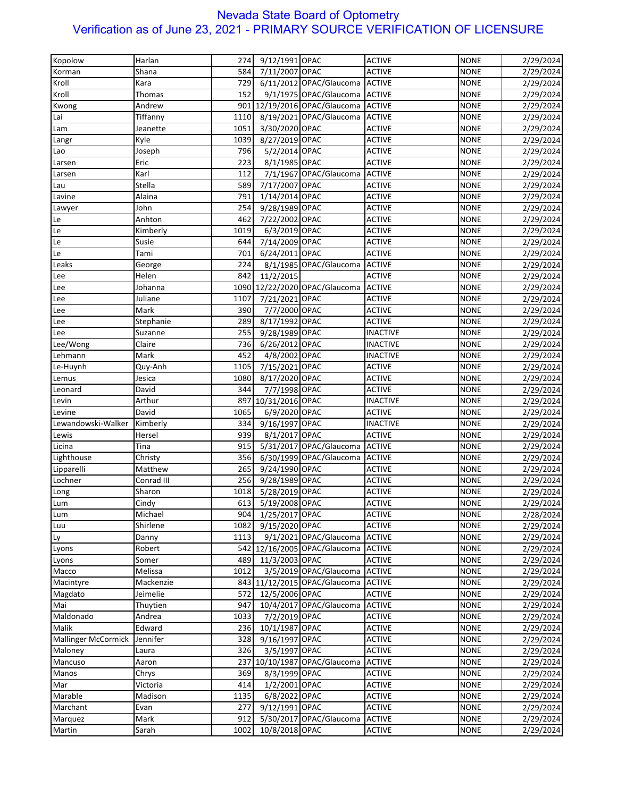| Kopolow                    | Harlan     | 274  | 9/12/1991 OPAC      |                                      | <b>ACTIVE</b>   | <b>NONE</b> | 2/29/2024              |
|----------------------------|------------|------|---------------------|--------------------------------------|-----------------|-------------|------------------------|
| Korman                     | Shana      | 584  | 7/11/2007 OPAC      |                                      | <b>ACTIVE</b>   | <b>NONE</b> | 2/29/2024              |
| Kroll                      | Kara       | 729  |                     | 6/11/2012 OPAC/Glaucoma ACTIVE       |                 | <b>NONE</b> | 2/29/2024              |
| Kroll                      | Thomas     | 152  |                     | 9/1/1975 OPAC/Glaucoma ACTIVE        |                 | <b>NONE</b> | 2/29/2024              |
| Kwong                      | Andrew     |      |                     | 901 12/19/2016 OPAC/Glaucoma ACTIVE  |                 | <b>NONE</b> | 2/29/2024              |
| Lai                        | Tiffanny   | 1110 |                     | 8/19/2021 OPAC/Glaucoma              | <b>ACTIVE</b>   | <b>NONE</b> | 2/29/2024              |
|                            | Jeanette   | 1051 | 3/30/2020 OPAC      |                                      | <b>ACTIVE</b>   | <b>NONE</b> |                        |
| Lam                        |            |      |                     |                                      |                 |             | 2/29/2024              |
| Langr                      | Kyle       | 1039 | 8/27/2019 OPAC      |                                      | <b>ACTIVE</b>   | <b>NONE</b> | 2/29/2024              |
| Lao                        | Joseph     | 796  | 5/2/2014 OPAC       |                                      | <b>ACTIVE</b>   | <b>NONE</b> | 2/29/2024              |
| Larsen                     | Eric       | 223  | 8/1/1985 OPAC       |                                      | <b>ACTIVE</b>   | <b>NONE</b> | 2/29/2024              |
| Larsen                     | Karl       | 112  |                     | 7/1/1967 OPAC/Glaucoma               | <b>ACTIVE</b>   | <b>NONE</b> | 2/29/2024              |
| Lau                        | Stella     | 589  | 7/17/2007 OPAC      |                                      | <b>ACTIVE</b>   | <b>NONE</b> | 2/29/2024              |
| Lavine                     | Alaina     | 791  | 1/14/2014 OPAC      |                                      | <b>ACTIVE</b>   | <b>NONE</b> | 2/29/2024              |
| Lawyer                     | John       | 254  | 9/28/1989 OPAC      |                                      | <b>ACTIVE</b>   | <b>NONE</b> | 2/29/2024              |
| Le                         | Anhton     | 462  | 7/22/2002 OPAC      |                                      | <b>ACTIVE</b>   | <b>NONE</b> | 2/29/2024              |
| Le                         | Kimberly   | 1019 | 6/3/2019 OPAC       |                                      | <b>ACTIVE</b>   | <b>NONE</b> | 2/29/2024              |
| Le                         | Susie      | 644  | 7/14/2009 OPAC      |                                      | <b>ACTIVE</b>   | <b>NONE</b> | 2/29/2024              |
| Le                         | Tami       | 701  | 6/24/2011 OPAC      |                                      | <b>ACTIVE</b>   | <b>NONE</b> | 2/29/2024              |
| Leaks                      | George     | 224  |                     | 8/1/1985 OPAC/Glaucoma               | <b>ACTIVE</b>   | <b>NONE</b> | 2/29/2024              |
| Lee                        | Helen      | 842  | 11/2/2015           |                                      | <b>ACTIVE</b>   | <b>NONE</b> | 2/29/2024              |
| Lee                        | Johanna    |      |                     | 1090 12/22/2020 OPAC/Glaucoma ACTIVE |                 | <b>NONE</b> | 2/29/2024              |
| Lee                        | Juliane    | 1107 | 7/21/2021 OPAC      |                                      | <b>ACTIVE</b>   | <b>NONE</b> | 2/29/2024              |
| Lee                        | Mark       | 390  | 7/7/2000 OPAC       |                                      | <b>ACTIVE</b>   | <b>NONE</b> | 2/29/2024              |
| Lee                        | Stephanie  | 289  | 8/17/1992 OPAC      |                                      | <b>ACTIVE</b>   | <b>NONE</b> | 2/29/2024              |
| Lee                        | Suzanne    | 255  | 9/28/1989 OPAC      |                                      | <b>INACTIVE</b> | <b>NONE</b> | 2/29/2024              |
| Lee/Wong                   | Claire     | 736  | 6/26/2012 OPAC      |                                      | <b>INACTIVE</b> | <b>NONE</b> |                        |
|                            |            |      |                     |                                      |                 |             | 2/29/2024              |
| Lehmann                    | Mark       | 452  | 4/8/2002 OPAC       |                                      | <b>INACTIVE</b> | <b>NONE</b> | 2/29/2024              |
| Le-Huynh                   | Quy-Anh    | 1105 | 7/15/2021 OPAC      |                                      | <b>ACTIVE</b>   | <b>NONE</b> | 2/29/2024              |
| Lemus                      | Jesica     | 1080 | 8/17/2020 OPAC      |                                      | <b>ACTIVE</b>   | <b>NONE</b> | 2/29/2024              |
| Leonard                    | David      | 344  | 7/7/1998 OPAC       |                                      | <b>ACTIVE</b>   | <b>NONE</b> | 2/29/2024              |
| Levin                      | Arthur     |      | 897 10/31/2016 OPAC |                                      | <b>INACTIVE</b> | <b>NONE</b> | 2/29/2024              |
| Levine                     | David      | 1065 | 6/9/2020 OPAC       |                                      | <b>ACTIVE</b>   | <b>NONE</b> | 2/29/2024              |
| Lewandowski-Walker         | Kimberly   | 334  | 9/16/1997 OPAC      |                                      | <b>INACTIVE</b> | <b>NONE</b> | 2/29/2024              |
| Lewis                      | Hersel     | 939  | 8/1/2017 OPAC       |                                      | <b>ACTIVE</b>   | <b>NONE</b> | 2/29/2024              |
| Licina                     | Tina       | 915  |                     | 5/31/2017 OPAC/Glaucoma              | <b>ACTIVE</b>   | <b>NONE</b> | 2/29/2024              |
| Lighthouse                 | Christy    | 356  |                     | 6/30/1999 OPAC/Glaucoma              | <b>ACTIVE</b>   | <b>NONE</b> | 2/29/2024              |
| Lipparelli                 | Matthew    | 265  | 9/24/1990 OPAC      |                                      | <b>ACTIVE</b>   | <b>NONE</b> | 2/29/2024              |
| Lochner                    | Conrad III | 256  | 9/28/1989 OPAC      |                                      | <b>ACTIVE</b>   | <b>NONE</b> | 2/29/2024              |
| Long                       | Sharon     | 1018 | 5/28/2019 OPAC      |                                      | <b>ACTIVE</b>   | <b>NONE</b> | 2/29/2024              |
| Lum                        | Cindy      | 613  | 5/19/2008 OPAC      |                                      | <b>ACTIVE</b>   | <b>NONE</b> | 2/29/2024              |
| Lum                        | Michael    |      | 904 1/25/2017 OPAC  |                                      | <b>ACTIVE</b>   | <b>NONE</b> | 2/28/2024              |
| Luu                        | Shirlene   | 1082 | 9/15/2020 OPAC      |                                      | <b>ACTIVE</b>   | <b>NONE</b> | 2/29/2024              |
| Ly                         | Danny      | 1113 |                     | 9/1/2021 OPAC/Glaucoma               | <b>ACTIVE</b>   | <b>NONE</b> | 2/29/2024              |
| Lyons                      | Robert     |      |                     | 542 12/16/2005 OPAC/Glaucoma         | <b>ACTIVE</b>   | <b>NONE</b> | 2/29/2024              |
| Lyons                      | Somer      | 489  | 11/3/2003 OPAC      |                                      | <b>ACTIVE</b>   | <b>NONE</b> | 2/29/2024              |
| Macco                      | Melissa    | 1012 |                     | 3/5/2019 OPAC/Glaucoma ACTIVE        |                 | <b>NONE</b> |                        |
| Macintyre                  | Mackenzie  |      |                     | 843 11/12/2015 OPAC/Glaucoma         | <b>ACTIVE</b>   | <b>NONE</b> | 2/29/2024              |
| Magdato                    | Jeimelie   | 572  | 12/5/2006 OPAC      |                                      | <b>ACTIVE</b>   | <b>NONE</b> | 2/29/2024<br>2/29/2024 |
|                            |            |      |                     |                                      |                 |             |                        |
| Mai                        | Thuytien   | 947  |                     | 10/4/2017 OPAC/Glaucoma              | <b>ACTIVE</b>   | <b>NONE</b> | 2/29/2024              |
| Maldonado                  | Andrea     | 1033 | 7/2/2019 OPAC       |                                      | <b>ACTIVE</b>   | <b>NONE</b> | 2/29/2024              |
| Malik                      | Edward     | 236  | 10/1/1987 OPAC      |                                      | <b>ACTIVE</b>   | <b>NONE</b> | 2/29/2024              |
| <b>Mallinger McCormick</b> | Jennifer   | 328  | 9/16/1997 OPAC      |                                      | <b>ACTIVE</b>   | <b>NONE</b> | 2/29/2024              |
| Maloney                    | Laura      | 326  | 3/5/1997 OPAC       |                                      | <b>ACTIVE</b>   | <b>NONE</b> | 2/29/2024              |
| Mancuso                    | Aaron      |      |                     | 237 10/10/1987 OPAC/Glaucoma         | <b>ACTIVE</b>   | <b>NONE</b> | 2/29/2024              |
| Manos                      | Chrys      | 369  | 8/3/1999 OPAC       |                                      | <b>ACTIVE</b>   | <b>NONE</b> | 2/29/2024              |
| Mar                        | Victoria   | 414  | 1/2/2001 OPAC       |                                      | <b>ACTIVE</b>   | <b>NONE</b> | 2/29/2024              |
| Marable                    | Madison    | 1135 | 6/8/2022 OPAC       |                                      | <b>ACTIVE</b>   | <b>NONE</b> | 2/29/2024              |
| Marchant                   | Evan       | 277  | 9/12/1991 OPAC      |                                      | <b>ACTIVE</b>   | <b>NONE</b> | 2/29/2024              |
| Marquez                    | Mark       | 912  |                     | 5/30/2017 OPAC/Glaucoma              | <b>ACTIVE</b>   | <b>NONE</b> | 2/29/2024              |
| Martin                     | Sarah      | 1002 | 10/8/2018 OPAC      |                                      | <b>ACTIVE</b>   | <b>NONE</b> | 2/29/2024              |
|                            |            |      |                     |                                      |                 |             |                        |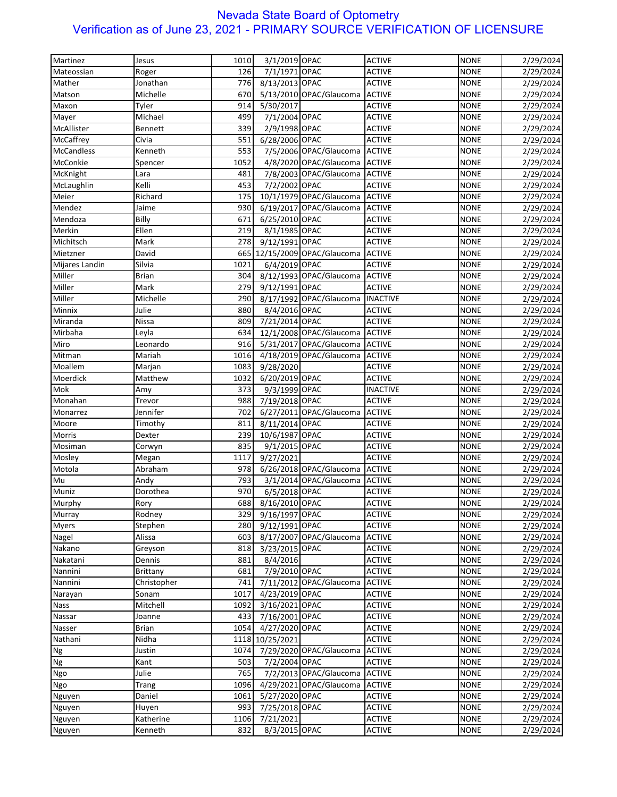| Martinez          | Jesus        | 1010 | 3/1/2019 OPAC   |                                | <b>ACTIVE</b>   | <b>NONE</b> | 2/29/2024 |
|-------------------|--------------|------|-----------------|--------------------------------|-----------------|-------------|-----------|
| Mateossian        | Roger        | 126  | 7/1/1971 OPAC   |                                | <b>ACTIVE</b>   | <b>NONE</b> | 2/29/2024 |
| Mather            | Jonathan     | 776  | 8/13/2013 OPAC  |                                | <b>ACTIVE</b>   | <b>NONE</b> | 2/29/2024 |
| Matson            | Michelle     | 670  |                 | 5/13/2010 OPAC/Glaucoma        | <b>ACTIVE</b>   | <b>NONE</b> |           |
|                   |              | 914  | 5/30/2017       |                                | <b>ACTIVE</b>   | <b>NONE</b> | 2/29/2024 |
| Maxon             | Tyler        |      |                 |                                |                 |             | 2/29/2024 |
| Mayer             | Michael      | 499  | 7/1/2004 OPAC   |                                | <b>ACTIVE</b>   | <b>NONE</b> | 2/29/2024 |
| McAllister        | Bennett      | 339  | 2/9/1998 OPAC   |                                | <b>ACTIVE</b>   | <b>NONE</b> | 2/29/2024 |
| McCaffrey         | Civia        | 551  | 6/28/2006 OPAC  |                                | <b>ACTIVE</b>   | <b>NONE</b> | 2/29/2024 |
| <b>McCandless</b> | Kenneth      | 553  |                 | 7/5/2006 OPAC/Glaucoma         | <b>ACTIVE</b>   | <b>NONE</b> | 2/29/2024 |
| McConkie          | Spencer      | 1052 |                 | 4/8/2020 OPAC/Glaucoma         | <b>ACTIVE</b>   | <b>NONE</b> | 2/29/2024 |
| McKnight          | Lara         | 481  |                 | 7/8/2003 OPAC/Glaucoma         | <b>ACTIVE</b>   | <b>NONE</b> | 2/29/2024 |
| McLaughlin        | Kelli        | 453  | 7/2/2002 OPAC   |                                | <b>ACTIVE</b>   | <b>NONE</b> | 2/29/2024 |
| Meier             | Richard      | 175  |                 | 10/1/1979 OPAC/Glaucoma        | <b>ACTIVE</b>   | <b>NONE</b> | 2/29/2024 |
| Mendez            | Jaime        | 930  |                 | 6/19/2017 OPAC/Glaucoma        | <b>ACTIVE</b>   | <b>NONE</b> | 2/29/2024 |
| Mendoza           | Billy        | 671  | 6/25/2010 OPAC  |                                | <b>ACTIVE</b>   | <b>NONE</b> | 2/29/2024 |
| Merkin            | Ellen        | 219  | 8/1/1985 OPAC   |                                | <b>ACTIVE</b>   | <b>NONE</b> | 2/29/2024 |
| Michitsch         | Mark         | 278  | 9/12/1991 OPAC  |                                | <b>ACTIVE</b>   | <b>NONE</b> | 2/29/2024 |
| Mietzner          | David        | 665  |                 | 12/15/2009 OPAC/Glaucoma       | <b>ACTIVE</b>   | <b>NONE</b> | 2/29/2024 |
| Mijares Landin    | Silvia       | 1021 | 6/4/2019 OPAC   |                                | <b>ACTIVE</b>   | <b>NONE</b> | 2/29/2024 |
| Miller            | <b>Brian</b> | 304  |                 | 8/12/1993 OPAC/Glaucoma ACTIVE |                 | <b>NONE</b> | 2/29/2024 |
| Miller            | Mark         | 279  | 9/12/1991 OPAC  |                                | <b>ACTIVE</b>   | <b>NONE</b> | 2/29/2024 |
| Miller            | Michelle     | 290  |                 | 8/17/1992 OPAC/Glaucoma        | <b>INACTIVE</b> | <b>NONE</b> | 2/29/2024 |
| Minnix            | Julie        | 880  | 8/4/2016 OPAC   |                                | <b>ACTIVE</b>   | <b>NONE</b> | 2/29/2024 |
| Miranda           | Nissa        | 809  | 7/21/2014 OPAC  |                                | <b>ACTIVE</b>   | <b>NONE</b> | 2/29/2024 |
| Mirbaha           | Leyla        | 634  |                 | 12/1/2008 OPAC/Glaucoma ACTIVE |                 | <b>NONE</b> | 2/29/2024 |
| Miro              | Leonardo     | 916  |                 | 5/31/2017 OPAC/Glaucoma        | <b>ACTIVE</b>   | <b>NONE</b> | 2/29/2024 |
| Mitman            | Mariah       | 1016 |                 | 4/18/2019 OPAC/Glaucoma        | <b>ACTIVE</b>   | <b>NONE</b> |           |
|                   |              |      |                 |                                |                 |             | 2/29/2024 |
| Moallem           | Marjan       | 1083 | 9/28/2020       |                                | <b>ACTIVE</b>   | <b>NONE</b> | 2/29/2024 |
| Moerdick          | Matthew      | 1032 | 6/20/2019 OPAC  |                                | <b>ACTIVE</b>   | <b>NONE</b> | 2/29/2024 |
| Mok               | Amy          | 373  | 9/3/1999 OPAC   |                                | <b>INACTIVE</b> | <b>NONE</b> | 2/29/2024 |
| Monahan           | Trevor       | 988  | 7/19/2018 OPAC  |                                | <b>ACTIVE</b>   | <b>NONE</b> | 2/29/2024 |
| Monarrez          | Jennifer     | 702  |                 | 6/27/2011 OPAC/Glaucoma        | <b>ACTIVE</b>   | <b>NONE</b> | 2/29/2024 |
| Moore             | Timothy      | 811  | 8/11/2014 OPAC  |                                | <b>ACTIVE</b>   | <b>NONE</b> | 2/29/2024 |
| Morris            | Dexter       | 239  | 10/6/1987 OPAC  |                                | <b>ACTIVE</b>   | <b>NONE</b> | 2/29/2024 |
| Mosiman           | Corwyn       | 835  | 9/1/2015 OPAC   |                                | <b>ACTIVE</b>   | <b>NONE</b> | 2/29/2024 |
| Mosley            | Megan        | 1117 | 9/27/2021       |                                | <b>ACTIVE</b>   | <b>NONE</b> | 2/29/2024 |
| Motola            | Abraham      | 978  |                 | 6/26/2018 OPAC/Glaucoma ACTIVE |                 | <b>NONE</b> | 2/29/2024 |
| Mu                | Andy         | 793  |                 | 3/1/2014 OPAC/Glaucoma ACTIVE  |                 | <b>NONE</b> | 2/29/2024 |
| Muniz             | Dorothea     | 970  | 6/5/2018 OPAC   |                                | <b>ACTIVE</b>   | <b>NONE</b> | 2/29/2024 |
| Murphy            | Rory         | 688  | 8/16/2010 OPAC  |                                | <b>ACTIVE</b>   | <b>NONE</b> | 2/29/2024 |
| Murray            | Rodney       | 329  | 9/16/1997 OPAC  |                                | <b>ACTIVE</b>   | <b>NONE</b> | 2/29/2024 |
| <b>Myers</b>      | Stephen      | 280  | 9/12/1991 OPAC  |                                | <b>ACTIVE</b>   | <b>NONE</b> | 2/29/2024 |
| Nagel             | Alissa       | 603  |                 | 8/17/2007 OPAC/Glaucoma        | <b>ACTIVE</b>   | <b>NONE</b> | 2/29/2024 |
| Nakano            | Greyson      | 818  | 3/23/2015 OPAC  |                                | <b>ACTIVE</b>   | <b>NONE</b> | 2/29/2024 |
| Nakatani          | Dennis       | 881  | 8/4/2016        |                                | <b>ACTIVE</b>   | <b>NONE</b> | 2/29/2024 |
| Nannini           | Brittany     | 681  | 7/9/2010 OPAC   |                                | <b>ACTIVE</b>   | <b>NONE</b> | 2/29/2024 |
| Nannini           | Christopher  | 741  |                 | 7/11/2012 OPAC/Glaucoma        | <b>ACTIVE</b>   | <b>NONE</b> | 2/29/2024 |
| Narayan           | Sonam        | 1017 | 4/23/2019 OPAC  |                                | <b>ACTIVE</b>   | <b>NONE</b> | 2/29/2024 |
| <b>Nass</b>       | Mitchell     | 1092 | 3/16/2021 OPAC  |                                | <b>ACTIVE</b>   | <b>NONE</b> | 2/29/2024 |
| Nassar            | Joanne       | 433  | 7/16/2001 OPAC  |                                | <b>ACTIVE</b>   | <b>NONE</b> | 2/29/2024 |
|                   | <b>Brian</b> | 1054 | 4/27/2020 OPAC  |                                | <b>ACTIVE</b>   | <b>NONE</b> |           |
| Nasser            |              |      |                 |                                |                 |             | 2/29/2024 |
| Nathani           | Nidha        |      | 1118 10/25/2021 |                                | <b>ACTIVE</b>   | <b>NONE</b> | 2/29/2024 |
| Ng                | Justin       | 1074 |                 | 7/29/2020 OPAC/Glaucoma        | <b>ACTIVE</b>   | <b>NONE</b> | 2/29/2024 |
| Ng                | Kant         | 503  | 7/2/2004 OPAC   |                                | <b>ACTIVE</b>   | <b>NONE</b> | 2/29/2024 |
| Ngo               | Julie        | 765  |                 | 7/2/2013 OPAC/Glaucoma         | <b>ACTIVE</b>   | <b>NONE</b> | 2/29/2024 |
| Ngo               | Trang        | 1096 |                 | 4/29/2021 OPAC/Glaucoma        | <b>ACTIVE</b>   | <b>NONE</b> | 2/29/2024 |
| Nguyen            | Daniel       | 1061 | 5/27/2020 OPAC  |                                | <b>ACTIVE</b>   | <b>NONE</b> | 2/29/2024 |
| Nguyen            | Huyen        | 993  | 7/25/2018 OPAC  |                                | <b>ACTIVE</b>   | <b>NONE</b> | 2/29/2024 |
| Nguyen            | Katherine    | 1106 | 7/21/2021       |                                | <b>ACTIVE</b>   | <b>NONE</b> | 2/29/2024 |
| Nguyen            | Kenneth      | 832  | 8/3/2015 OPAC   |                                | <b>ACTIVE</b>   | <b>NONE</b> | 2/29/2024 |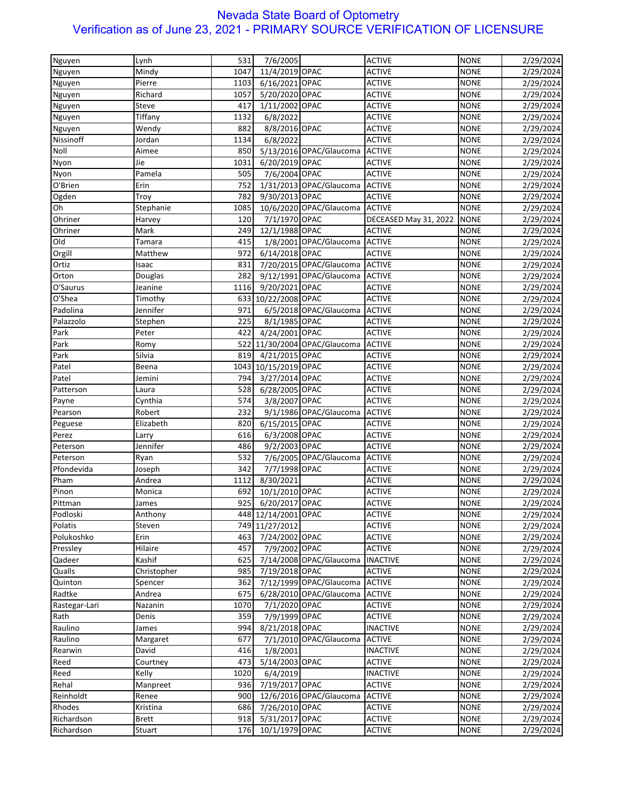| Nguyen               | Lynh         | 531  | 7/6/2005             |                                | <b>ACTIVE</b>         | <b>NONE</b> | 2/29/2024 |
|----------------------|--------------|------|----------------------|--------------------------------|-----------------------|-------------|-----------|
| Nguyen               | Mindy        | 1047 | 11/4/2019 OPAC       |                                | <b>ACTIVE</b>         | <b>NONE</b> | 2/29/2024 |
| Nguyen               | Pierre       | 1103 | 6/16/2021 OPAC       |                                | <b>ACTIVE</b>         | <b>NONE</b> | 2/29/2024 |
| Nguyen               | Richard      | 1057 | 5/20/2020 OPAC       |                                | <b>ACTIVE</b>         | <b>NONE</b> | 2/29/2024 |
| Nguyen               | Steve        | 417  | 1/11/2002 OPAC       |                                | <b>ACTIVE</b>         | <b>NONE</b> | 2/29/2024 |
| Nguyen               | Tiffany      | 1132 | 6/8/2022             |                                | <b>ACTIVE</b>         | <b>NONE</b> | 2/29/2024 |
|                      | Wendy        | 882  | 8/8/2016 OPAC        |                                | <b>ACTIVE</b>         | <b>NONE</b> |           |
| Nguyen<br>Nissinoff  |              |      |                      |                                |                       |             | 2/29/2024 |
|                      | Jordan       | 1134 | 6/8/2022             |                                | <b>ACTIVE</b>         | <b>NONE</b> | 2/29/2024 |
| Noll                 | Aimee        | 850  |                      | 5/13/2016 OPAC/Glaucoma        | <b>ACTIVE</b>         | <b>NONE</b> | 2/29/2024 |
| Nyon                 | Jie          | 1031 | 6/20/2019 OPAC       |                                | <b>ACTIVE</b>         | <b>NONE</b> | 2/29/2024 |
| Nyon                 | Pamela       | 505  | 7/6/2004 OPAC        |                                | <b>ACTIVE</b>         | <b>NONE</b> | 2/29/2024 |
| O'Brien              | Erin         | 752  |                      | 1/31/2013 OPAC/Glaucoma        | <b>ACTIVE</b>         | <b>NONE</b> | 2/29/2024 |
| Ogden                | Troy         | 782  | 9/30/2013 OPAC       |                                | <b>ACTIVE</b>         | <b>NONE</b> | 2/29/2024 |
| Oh                   | Stephanie    | 1085 |                      | 10/6/2020 OPAC/Glaucoma        | <b>ACTIVE</b>         | <b>NONE</b> | 2/29/2024 |
| Ohriner              | Harvey       | 120  | 7/1/1970 OPAC        |                                | DECEASED May 31, 2022 | <b>NONE</b> | 2/29/2024 |
| Ohriner              | Mark         | 249  | 12/1/1988 OPAC       |                                | <b>ACTIVE</b>         | <b>NONE</b> | 2/29/2024 |
| Old                  | Tamara       | 415  |                      | 1/8/2001 OPAC/Glaucoma ACTIVE  |                       | <b>NONE</b> | 2/29/2024 |
| Orgill               | Matthew      | 972  | 6/14/2018 OPAC       |                                | <b>ACTIVE</b>         | <b>NONE</b> | 2/29/2024 |
| Ortiz                | Isaac        | 831  |                      | 7/20/2015 OPAC/Glaucoma ACTIVE |                       | <b>NONE</b> | 2/29/2024 |
| Orton                | Douglas      | 282  |                      | 9/12/1991 OPAC/Glaucoma ACTIVE |                       | <b>NONE</b> | 2/29/2024 |
| O'Saurus             | Jeanine      | 1116 | 9/20/2021 OPAC       |                                | <b>ACTIVE</b>         | <b>NONE</b> | 2/29/2024 |
| $\overline{O}$ 'Shea | Timothy      |      | 633 10/22/2008 OPAC  |                                | <b>ACTIVE</b>         | <b>NONE</b> | 2/29/2024 |
| Padolina             | Jennifer     | 971  |                      | 6/5/2018 OPAC/Glaucoma         | <b>ACTIVE</b>         | <b>NONE</b> | 2/29/2024 |
| Palazzolo            | Stephen      | 225  | 8/1/1985 OPAC        |                                | <b>ACTIVE</b>         | <b>NONE</b> | 2/29/2024 |
| Park                 | Peter        | 422  | 4/24/2001 OPAC       |                                | <b>ACTIVE</b>         | <b>NONE</b> | 2/29/2024 |
| Park                 | Romy         |      |                      | 522 11/30/2004 OPAC/Glaucoma   | <b>ACTIVE</b>         | <b>NONE</b> | 2/29/2024 |
| Park                 | Silvia       | 819  | 4/21/2015 OPAC       |                                | <b>ACTIVE</b>         | <b>NONE</b> | 2/29/2024 |
| Patel                | Beena        |      | 1043 10/15/2019 OPAC |                                | <b>ACTIVE</b>         | <b>NONE</b> | 2/29/2024 |
| Patel                | Jemini       | 794  | 3/27/2014 OPAC       |                                | <b>ACTIVE</b>         | <b>NONE</b> | 2/29/2024 |
| Patterson            | Laura        | 528  | 6/28/2005 OPAC       |                                | <b>ACTIVE</b>         | <b>NONE</b> | 2/29/2024 |
| Payne                | Cynthia      | 574  | 3/8/2007 OPAC        |                                | <b>ACTIVE</b>         | <b>NONE</b> | 2/29/2024 |
| Pearson              | Robert       | 232  |                      | 9/1/1986 OPAC/Glaucoma         | <b>ACTIVE</b>         | <b>NONE</b> | 2/29/2024 |
| Peguese              | Elizabeth    | 820  | 6/15/2015 OPAC       |                                | <b>ACTIVE</b>         | <b>NONE</b> | 2/29/2024 |
|                      |              |      |                      |                                |                       |             |           |
| Perez                | Larry        | 616  | 6/3/2008 OPAC        |                                | <b>ACTIVE</b>         | <b>NONE</b> | 2/29/2024 |
| Peterson             | Jennifer     | 486  | 9/2/2003 OPAC        |                                | <b>ACTIVE</b>         | <b>NONE</b> | 2/29/2024 |
| Peterson             | Ryan         | 532  |                      | 7/6/2005 OPAC/Glaucoma         | <b>ACTIVE</b>         | <b>NONE</b> | 2/29/2024 |
| Pfondevida           | Joseph       | 342  | 7/7/1998 OPAC        |                                | <b>ACTIVE</b>         | <b>NONE</b> | 2/29/2024 |
| Pham                 | Andrea       | 1112 | 8/30/2021            |                                | <b>ACTIVE</b>         | <b>NONE</b> | 2/29/2024 |
| Pinon                | Monica       | 692  | 10/1/2010 OPAC       |                                | <b>ACTIVE</b>         | <b>NONE</b> | 2/29/2024 |
| Pittman              | James        | 925  | 6/20/2017 OPAC       |                                | <b>ACTIVE</b>         | <b>NONE</b> | 2/29/2024 |
| Podloski             | Anthony      |      | 448 12/14/2001 OPAC  |                                | <b>ACTIVE</b>         | <b>NONE</b> | 2/29/2024 |
| Polatis              | Steven       |      | 749 11/27/2012       |                                | <b>ACTIVE</b>         | <b>NONE</b> | 2/29/2024 |
| Polukoshko           | Erin         | 463  | 7/24/2002 OPAC       |                                | <b>ACTIVE</b>         | <b>NONE</b> | 2/29/2024 |
| Pressley             | Hilaire      | 457  | 7/9/2002 OPAC        |                                | <b>ACTIVE</b>         | <b>NONE</b> | 2/29/2024 |
| Qadeer               | Kashif       | 625  |                      | 7/14/2008 OPAC/Glaucoma        | <b>INACTIVE</b>       | <b>NONE</b> | 2/29/2024 |
| Qualls               | Christopher  | 985  | 7/19/2018 OPAC       |                                | <b>ACTIVE</b>         | <b>NONE</b> | 2/29/2024 |
| Quinton              | Spencer      | 362  |                      | 7/12/1999 OPAC/Glaucoma        | <b>ACTIVE</b>         | <b>NONE</b> | 2/29/2024 |
| Radtke               | Andrea       | 675  |                      | 6/28/2010 OPAC/Glaucoma        | <b>ACTIVE</b>         | <b>NONE</b> | 2/29/2024 |
| Rastegar-Lari        | Nazanin      | 1070 | 7/1/2020 OPAC        |                                | <b>ACTIVE</b>         | <b>NONE</b> | 2/29/2024 |
| Rath                 | Denis        | 359  | 7/9/1999 OPAC        |                                | <b>ACTIVE</b>         | <b>NONE</b> | 2/29/2024 |
| Raulino              | James        | 994  | 8/21/2018 OPAC       |                                | <b>INACTIVE</b>       | <b>NONE</b> | 2/29/2024 |
| Raulino              | Margaret     | 677  |                      | 7/1/2010 OPAC/Glaucoma         | <b>ACTIVE</b>         | <b>NONE</b> | 2/29/2024 |
| Rearwin              | David        | 416  | 1/8/2001             |                                | <b>INACTIVE</b>       | <b>NONE</b> | 2/29/2024 |
| Reed                 | Courtney     | 473  | 5/14/2003 OPAC       |                                | <b>ACTIVE</b>         | <b>NONE</b> | 2/29/2024 |
| Reed                 | Kelly        | 1020 | 6/4/2019             |                                | <b>INACTIVE</b>       | <b>NONE</b> | 2/29/2024 |
| Rehal                | Manpreet     | 936  | 7/19/2017 OPAC       |                                | <b>ACTIVE</b>         | <b>NONE</b> | 2/29/2024 |
| Reinholdt            | Renee        | 900  |                      | 12/6/2016 OPAC/Glaucoma        | <b>ACTIVE</b>         | <b>NONE</b> | 2/29/2024 |
| Rhodes               | Kristina     | 686  | 7/26/2010 OPAC       |                                | <b>ACTIVE</b>         | <b>NONE</b> | 2/29/2024 |
| Richardson           | <b>Brett</b> | 918  | 5/31/2017 OPAC       |                                | <b>ACTIVE</b>         | <b>NONE</b> |           |
|                      |              |      |                      |                                |                       |             | 2/29/2024 |
| Richardson           | Stuart       | 176  | 10/1/1979 OPAC       |                                | <b>ACTIVE</b>         | <b>NONE</b> | 2/29/2024 |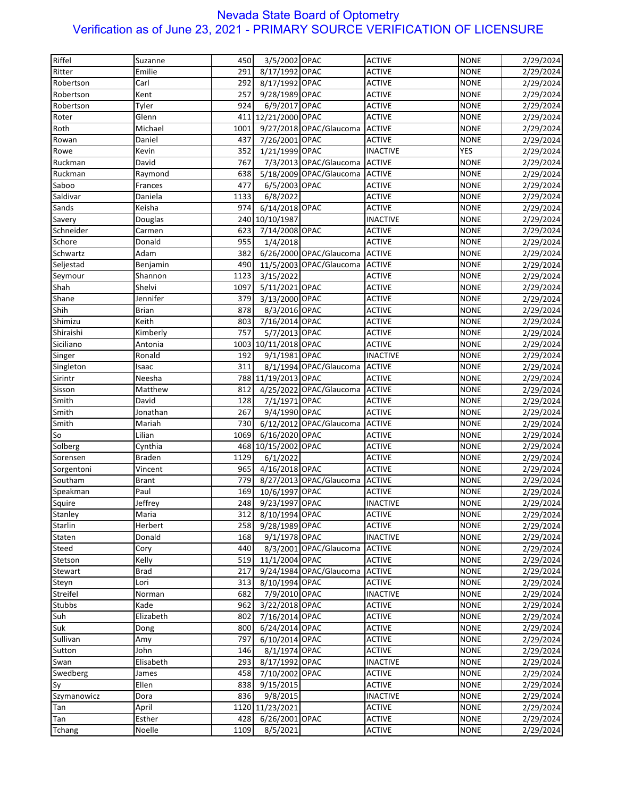| Riffel      | Suzanne       | 450  | 3/5/2002 OPAC        |                                | <b>ACTIVE</b>   | <b>NONE</b> | 2/29/2024 |
|-------------|---------------|------|----------------------|--------------------------------|-----------------|-------------|-----------|
| Ritter      | Emilie        | 291  | 8/17/1992 OPAC       |                                | <b>ACTIVE</b>   | <b>NONE</b> | 2/29/2024 |
| Robertson   | Carl          | 292  | 8/17/1992 OPAC       |                                | <b>ACTIVE</b>   | <b>NONE</b> | 2/29/2024 |
| Robertson   | Kent          | 257  | 9/28/1989 OPAC       |                                | <b>ACTIVE</b>   | <b>NONE</b> | 2/29/2024 |
| Robertson   | Tyler         | 924  | 6/9/2017 OPAC        |                                | <b>ACTIVE</b>   | <b>NONE</b> | 2/29/2024 |
| Roter       | Glenn         |      | 411 12/21/2000 OPAC  |                                | <b>ACTIVE</b>   | <b>NONE</b> | 2/29/2024 |
| Roth        | Michael       | 1001 |                      | 9/27/2018 OPAC/Glaucoma        | <b>ACTIVE</b>   | <b>NONE</b> |           |
|             | Daniel        | 437  |                      |                                |                 |             | 2/29/2024 |
| Rowan       |               |      | 7/26/2001 OPAC       |                                | <b>ACTIVE</b>   | <b>NONE</b> | 2/29/2024 |
| Rowe        | Kevin         | 352  | 1/21/1999 OPAC       |                                | <b>INACTIVE</b> | <b>YES</b>  | 2/29/2024 |
| Ruckman     | David         | 767  |                      | 7/3/2013 OPAC/Glaucoma         | <b>ACTIVE</b>   | <b>NONE</b> | 2/29/2024 |
| Ruckman     | Raymond       | 638  |                      | 5/18/2009 OPAC/Glaucoma        | <b>ACTIVE</b>   | <b>NONE</b> | 2/29/2024 |
| Saboo       | Frances       | 477  | 6/5/2003 OPAC        |                                | <b>ACTIVE</b>   | <b>NONE</b> | 2/29/2024 |
| Saldivar    | Daniela       | 1133 | 6/8/2022             |                                | <b>ACTIVE</b>   | <b>NONE</b> | 2/29/2024 |
| Sands       | Keisha        | 974  | 6/14/2018 OPAC       |                                | <b>ACTIVE</b>   | <b>NONE</b> | 2/29/2024 |
| Savery      | Douglas       |      | 240 10/10/1987       |                                | <b>INACTIVE</b> | <b>NONE</b> | 2/29/2024 |
| Schneider   | Carmen        | 623  | 7/14/2008 OPAC       |                                | <b>ACTIVE</b>   | <b>NONE</b> | 2/29/2024 |
| Schore      | Donald        | 955  | 1/4/2018             |                                | <b>ACTIVE</b>   | <b>NONE</b> | 2/29/2024 |
| Schwartz    | Adam          | 382  |                      | 6/26/2000 OPAC/Glaucoma        | <b>ACTIVE</b>   | <b>NONE</b> | 2/29/2024 |
| Seljestad   | Benjamin      | 490  |                      | 11/5/2003 OPAC/Glaucoma        | <b>ACTIVE</b>   | <b>NONE</b> | 2/29/2024 |
| Seymour     | Shannon       | 1123 | 3/15/2022            |                                | <b>ACTIVE</b>   | <b>NONE</b> | 2/29/2024 |
| Shah        | Shelvi        | 1097 | 5/11/2021 OPAC       |                                | <b>ACTIVE</b>   | <b>NONE</b> | 2/29/2024 |
| Shane       | Jennifer      | 379  | 3/13/2000 OPAC       |                                | <b>ACTIVE</b>   | <b>NONE</b> | 2/29/2024 |
| Shih        | <b>Brian</b>  | 878  | 8/3/2016 OPAC        |                                | <b>ACTIVE</b>   | <b>NONE</b> | 2/29/2024 |
| Shimizu     | Keith         | 803  | 7/16/2014 OPAC       |                                | <b>ACTIVE</b>   | <b>NONE</b> | 2/29/2024 |
| Shiraishi   | Kimberly      | 757  | 5/7/2013 OPAC        |                                | <b>ACTIVE</b>   | <b>NONE</b> | 2/29/2024 |
| Siciliano   | Antonia       |      | 1003 10/11/2018 OPAC |                                | <b>ACTIVE</b>   | <b>NONE</b> | 2/29/2024 |
| Singer      | Ronald        | 192  | 9/1/1981 OPAC        |                                | <b>INACTIVE</b> | <b>NONE</b> | 2/29/2024 |
| Singleton   | Isaac         | 311  |                      | 8/1/1994 OPAC/Glaucoma         | <b>ACTIVE</b>   | <b>NONE</b> | 2/29/2024 |
| Sirintr     | Neesha        |      | 788 11/19/2013 OPAC  |                                | <b>ACTIVE</b>   | <b>NONE</b> | 2/29/2024 |
| Sisson      | Matthew       | 812  |                      | 4/25/2022 OPAC/Glaucoma        | <b>ACTIVE</b>   | <b>NONE</b> | 2/29/2024 |
| Smith       | David         | 128  | 7/1/1971 OPAC        |                                | <b>ACTIVE</b>   | <b>NONE</b> | 2/29/2024 |
| Smith       | Jonathan      | 267  | 9/4/1990 OPAC        |                                | <b>ACTIVE</b>   | <b>NONE</b> | 2/29/2024 |
| Smith       | Mariah        | 730  |                      | 6/12/2012 OPAC/Glaucoma ACTIVE |                 | <b>NONE</b> | 2/29/2024 |
| So          | Lilian        | 1069 | 6/16/2020 OPAC       |                                | <b>ACTIVE</b>   | <b>NONE</b> | 2/29/2024 |
| Solberg     | Cynthia       |      | 468 10/15/2002 OPAC  |                                | <b>ACTIVE</b>   | <b>NONE</b> | 2/29/2024 |
| Sorensen    | <b>Braden</b> | 1129 | 6/1/2022             |                                | <b>ACTIVE</b>   | <b>NONE</b> | 2/29/2024 |
|             | Vincent       | 965  | 4/16/2018 OPAC       |                                | <b>ACTIVE</b>   | <b>NONE</b> |           |
| Sorgentoni  |               | 779  |                      |                                |                 |             | 2/29/2024 |
| Southam     | <b>Brant</b>  |      |                      | 8/27/2013 OPAC/Glaucoma        | <b>ACTIVE</b>   | <b>NONE</b> | 2/29/2024 |
| Speakman    | Paul          | 169  | 10/6/1997 OPAC       |                                | <b>ACTIVE</b>   | <b>NONE</b> | 2/29/2024 |
| Squire      | Jeffrey       | 248  | 9/23/1997 OPAC       |                                | <b>INACTIVE</b> | <b>NONE</b> | 2/29/2024 |
| Stanley     | Maria         | 312  | 8/10/1994 OPAC       |                                | <b>ACTIVE</b>   | <b>NONE</b> | 2/29/2024 |
| Starlin     | Herbert       | 258  | 9/28/1989 OPAC       |                                | <b>ACTIVE</b>   | <b>NONE</b> | 2/29/2024 |
| Staten      | Donald        | 168  | 9/1/1978 OPAC        |                                | <b>INACTIVE</b> | <b>NONE</b> | 2/29/2024 |
| Steed       | Cory          | 440  |                      | 8/3/2001 OPAC/Glaucoma         | <b>ACTIVE</b>   | <b>NONE</b> | 2/29/2024 |
| Stetson     | Kelly         |      | 519 11/1/2004 OPAC   |                                | <b>ACTIVE</b>   | <b>NONE</b> | 2/29/2024 |
| Stewart     | <b>Brad</b>   | 217  |                      | 9/24/1984 OPAC/Glaucoma        | <b>ACTIVE</b>   | <b>NONE</b> | 2/29/2024 |
| Steyn       | Lori          | 313  | 8/10/1994 OPAC       |                                | <b>ACTIVE</b>   | <b>NONE</b> | 2/29/2024 |
| Streifel    | Norman        | 682  | 7/9/2010 OPAC        |                                | <b>INACTIVE</b> | <b>NONE</b> | 2/29/2024 |
| Stubbs      | Kade          | 962  | 3/22/2018 OPAC       |                                | <b>ACTIVE</b>   | <b>NONE</b> | 2/29/2024 |
| Suh         | Elizabeth     | 802  | 7/16/2014 OPAC       |                                | <b>ACTIVE</b>   | <b>NONE</b> | 2/29/2024 |
| Suk         | Dong          | 800  | 6/24/2014 OPAC       |                                | <b>ACTIVE</b>   | <b>NONE</b> | 2/29/2024 |
| Sullivan    | Amy           | 797  | 6/10/2014 OPAC       |                                | <b>ACTIVE</b>   | <b>NONE</b> | 2/29/2024 |
| Sutton      | John          | 146  | 8/1/1974 OPAC        |                                | <b>ACTIVE</b>   | <b>NONE</b> | 2/29/2024 |
| Swan        | Elisabeth     | 293  | 8/17/1992 OPAC       |                                | <b>INACTIVE</b> | <b>NONE</b> | 2/29/2024 |
| Swedberg    | James         | 458  | 7/10/2002 OPAC       |                                | <b>ACTIVE</b>   | <b>NONE</b> | 2/29/2024 |
| Sy          | Ellen         | 838  | 9/15/2015            |                                | <b>ACTIVE</b>   | <b>NONE</b> | 2/29/2024 |
| Szymanowicz | Dora          | 836  | 9/8/2015             |                                | <b>INACTIVE</b> | <b>NONE</b> | 2/29/2024 |
| Tan         | April         |      | 1120 11/23/2021      |                                | <b>ACTIVE</b>   | <b>NONE</b> | 2/29/2024 |
| Tan         | Esther        | 428  | 6/26/2001 OPAC       |                                | <b>ACTIVE</b>   | <b>NONE</b> | 2/29/2024 |
| Tchang      | Noelle        | 1109 | 8/5/2021             |                                | <b>ACTIVE</b>   | <b>NONE</b> | 2/29/2024 |
|             |               |      |                      |                                |                 |             |           |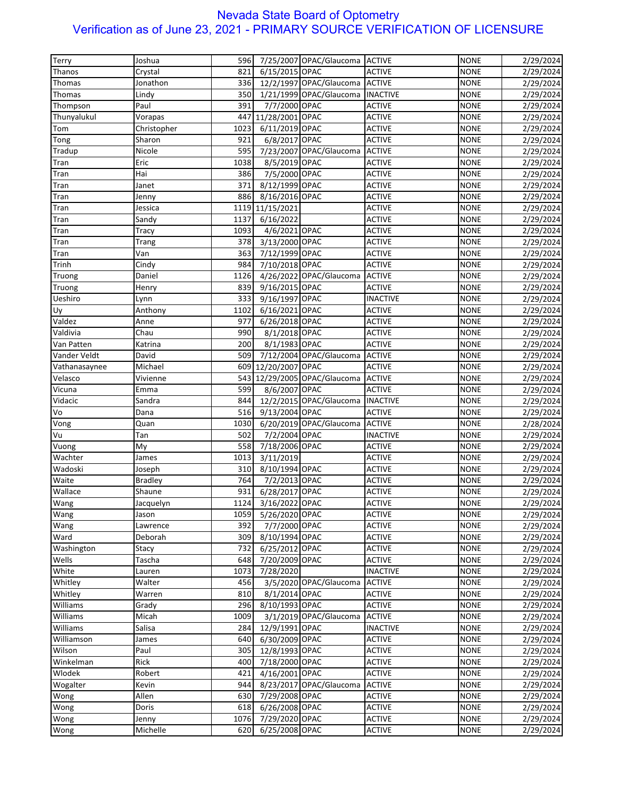| Terry               | Joshua              | 596  |                     | 7/25/2007 OPAC/Glaucoma ACTIVE     |                                | <b>NONE</b>                | 2/29/2024 |
|---------------------|---------------------|------|---------------------|------------------------------------|--------------------------------|----------------------------|-----------|
| Thanos              | Crystal             | 821  | 6/15/2015 OPAC      |                                    | <b>ACTIVE</b>                  | <b>NONE</b>                | 2/29/2024 |
| Thomas              | Jonathon            | 336  |                     | 12/2/1997 OPAC/Glaucoma ACTIVE     |                                | <b>NONE</b>                | 2/29/2024 |
| Thomas              | Lindy               | 350  |                     | 1/21/1999 OPAC/Glaucoma   INACTIVE |                                | <b>NONE</b>                | 2/29/2024 |
| Thompson            | Paul                | 391  | 7/7/2000 OPAC       |                                    | <b>ACTIVE</b>                  | <b>NONE</b>                | 2/29/2024 |
| Thunyalukul         | Vorapas             | 447  | 11/28/2001 OPAC     |                                    | <b>ACTIVE</b>                  | <b>NONE</b>                | 2/29/2024 |
| Tom                 | Christopher         | 1023 | 6/11/2019 OPAC      |                                    | <b>ACTIVE</b>                  | <b>NONE</b>                | 2/29/2024 |
| Tong                | Sharon              | 921  | 6/8/2017 OPAC       |                                    | <b>ACTIVE</b>                  | <b>NONE</b>                | 2/29/2024 |
| Tradup              | Nicole              | 595  |                     | 7/23/2007 OPAC/Glaucoma            | <b>ACTIVE</b>                  | <b>NONE</b>                | 2/29/2024 |
| Tran                | Eric                | 1038 | 8/5/2019 OPAC       |                                    | <b>ACTIVE</b>                  | <b>NONE</b>                | 2/29/2024 |
| Tran                | Hai                 | 386  | 7/5/2000 OPAC       |                                    | <b>ACTIVE</b>                  | <b>NONE</b>                |           |
|                     |                     | 371  | 8/12/1999 OPAC      |                                    |                                |                            | 2/29/2024 |
| Tran                | Janet               |      |                     |                                    | <b>ACTIVE</b>                  | <b>NONE</b>                | 2/29/2024 |
| Tran                | Jenny               | 886  | 8/16/2016 OPAC      |                                    | <b>ACTIVE</b>                  | <b>NONE</b>                | 2/29/2024 |
| Tran                | Jessica             | 1119 | 11/15/2021          |                                    | <b>ACTIVE</b>                  | <b>NONE</b>                | 2/29/2024 |
| Tran                | Sandy               | 1137 | 6/16/2022           |                                    | <b>ACTIVE</b>                  | <b>NONE</b>                | 2/29/2024 |
| Tran                | Tracy               | 1093 | 4/6/2021 OPAC       |                                    | <b>ACTIVE</b>                  | <b>NONE</b>                | 2/29/2024 |
| Tran                | Trang               | 378  | 3/13/2000 OPAC      |                                    | <b>ACTIVE</b>                  | <b>NONE</b>                | 2/29/2024 |
| Tran                | Van                 | 363  | 7/12/1999 OPAC      |                                    | <b>ACTIVE</b>                  | <b>NONE</b>                | 2/29/2024 |
| Trinh               | Cindy               | 984  | 7/10/2018 OPAC      |                                    | <b>ACTIVE</b>                  | <b>NONE</b>                | 2/29/2024 |
| Truong              | Daniel              | 1126 |                     | 4/26/2022 OPAC/Glaucoma            | <b>ACTIVE</b>                  | <b>NONE</b>                | 2/29/2024 |
| Truong              | Henry               | 839  | 9/16/2015 OPAC      |                                    | <b>ACTIVE</b>                  | <b>NONE</b>                | 2/29/2024 |
| Ueshiro             | Lynn                | 333  | 9/16/1997 OPAC      |                                    | <b>INACTIVE</b>                | <b>NONE</b>                | 2/29/2024 |
| Uy                  | Anthony             | 1102 | 6/16/2021 OPAC      |                                    | <b>ACTIVE</b>                  | <b>NONE</b>                | 2/29/2024 |
| Valdez              | Anne                | 977  | 6/26/2018 OPAC      |                                    | <b>ACTIVE</b>                  | <b>NONE</b>                | 2/29/2024 |
| Valdivia            | Chau                | 990  | 8/1/2018 OPAC       |                                    | <b>ACTIVE</b>                  | <b>NONE</b>                | 2/29/2024 |
| Van Patten          | Katrina             | 200  | 8/1/1983 OPAC       |                                    | <b>ACTIVE</b>                  | <b>NONE</b>                | 2/29/2024 |
| Vander Veldt        | David               | 509  |                     | 7/12/2004 OPAC/Glaucoma            | <b>ACTIVE</b>                  | <b>NONE</b>                | 2/29/2024 |
| Vathanasaynee       | Michael             |      | 609 12/20/2007 OPAC |                                    | <b>ACTIVE</b>                  | <b>NONE</b>                | 2/29/2024 |
| Velasco             | Vivienne            | 543  |                     | 12/29/2005 OPAC/Glaucoma           | <b>ACTIVE</b>                  | <b>NONE</b>                | 2/29/2024 |
| Vicuna              | Emma                | 599  | 8/6/2007 OPAC       |                                    | <b>ACTIVE</b>                  | <b>NONE</b>                | 2/29/2024 |
| Vidacic             | Sandra              | 844  |                     | 12/2/2015 OPAC/Glaucoma            | <b>INACTIVE</b>                | <b>NONE</b>                | 2/29/2024 |
| Vo                  | Dana                | 516  | 9/13/2004 OPAC      |                                    | <b>ACTIVE</b>                  | <b>NONE</b>                | 2/29/2024 |
| Vong                | Quan                | 1030 |                     | 6/20/2019 OPAC/Glaucoma            | <b>ACTIVE</b>                  | <b>NONE</b>                | 2/28/2024 |
| Vu                  | Tan                 | 502  | 7/2/2004 OPAC       |                                    | <b>INACTIVE</b>                | <b>NONE</b>                | 2/29/2024 |
| Vuong               | My                  | 558  | 7/18/2006 OPAC      |                                    | <b>ACTIVE</b>                  | <b>NONE</b>                | 2/29/2024 |
| Wachter             | James               | 1013 | 3/11/2019           |                                    | <b>ACTIVE</b>                  | <b>NONE</b>                | 2/29/2024 |
| Wadoski             | Joseph              | 310  | 8/10/1994 OPAC      |                                    | <b>ACTIVE</b>                  | <b>NONE</b>                | 2/29/2024 |
| Waite               | <b>Bradley</b>      | 764  | 7/2/2013 OPAC       |                                    | <b>ACTIVE</b>                  | <b>NONE</b>                | 2/29/2024 |
| Wallace             | Shaune              | 931  | 6/28/2017 OPAC      |                                    | <b>ACTIVE</b>                  | <b>NONE</b>                | 2/29/2024 |
| Wang                | Jacquelyn           | 1124 | 3/16/2022 OPAC      |                                    | <b>ACTIVE</b>                  | <b>NONE</b>                | 2/29/2024 |
| Wang                | Jason               | 1059 | 5/26/2020 OPAC      |                                    | <b>ACTIVE</b>                  | <b>NONE</b>                | 2/29/2024 |
|                     |                     | 392  | 7/7/2000 OPAC       |                                    | <b>ACTIVE</b>                  | <b>NONE</b>                |           |
| Wang<br>Ward        | Lawrence<br>Deborah | 309  | 8/10/1994 OPAC      |                                    | <b>ACTIVE</b>                  |                            | 2/29/2024 |
|                     |                     | 732  | 6/25/2012 OPAC      |                                    |                                | <b>NONE</b><br><b>NONE</b> | 2/29/2024 |
| Washington<br>Wells | Stacy<br>Tascha     | 648  |                     |                                    | <b>ACTIVE</b><br><b>ACTIVE</b> | <b>NONE</b>                | 2/29/2024 |
|                     |                     |      | 7/20/2009 OPAC      |                                    |                                |                            | 2/29/2024 |
| White               | Lauren              | 1073 | 7/28/2020           |                                    | <b>INACTIVE</b>                | <b>NONE</b>                | 2/29/2024 |
| Whitley             | Walter              | 456  |                     | 3/5/2020 OPAC/Glaucoma             | <b>ACTIVE</b>                  | <b>NONE</b>                | 2/29/2024 |
| Whitley             | Warren              | 810  | 8/1/2014 OPAC       |                                    | <b>ACTIVE</b>                  | <b>NONE</b>                | 2/29/2024 |
| Williams            | Grady               | 296  | 8/10/1993 OPAC      |                                    | <b>ACTIVE</b>                  | <b>NONE</b>                | 2/29/2024 |
| Williams            | Micah               | 1009 |                     | 3/1/2019 OPAC/Glaucoma             | <b>ACTIVE</b>                  | <b>NONE</b>                | 2/29/2024 |
| Williams            | Salisa              | 284  | 12/9/1991 OPAC      |                                    | <b>INACTIVE</b>                | <b>NONE</b>                | 2/29/2024 |
| Williamson          | James               | 640  | 6/30/2009 OPAC      |                                    | <b>ACTIVE</b>                  | <b>NONE</b>                | 2/29/2024 |
| Wilson              | Paul                | 305  | 12/8/1993 OPAC      |                                    | <b>ACTIVE</b>                  | <b>NONE</b>                | 2/29/2024 |
| Winkelman           | Rick                | 400  | 7/18/2000 OPAC      |                                    | <b>ACTIVE</b>                  | <b>NONE</b>                | 2/29/2024 |
| Wlodek              | Robert              | 421  | 4/16/2001 OPAC      |                                    | <b>ACTIVE</b>                  | <b>NONE</b>                | 2/29/2024 |
| Wogalter            | Kevin               | 944  |                     | 8/23/2017 OPAC/Glaucoma            | <b>ACTIVE</b>                  | <b>NONE</b>                | 2/29/2024 |
| Wong                | Allen               | 630  | 7/29/2008 OPAC      |                                    | <b>ACTIVE</b>                  | <b>NONE</b>                | 2/29/2024 |
| Wong                | Doris               | 618  | 6/26/2008 OPAC      |                                    | <b>ACTIVE</b>                  | <b>NONE</b>                | 2/29/2024 |
| Wong                | Jenny               | 1076 | 7/29/2020 OPAC      |                                    | <b>ACTIVE</b>                  | <b>NONE</b>                | 2/29/2024 |
| Wong                | Michelle            | 620  | 6/25/2008 OPAC      |                                    | <b>ACTIVE</b>                  | <b>NONE</b>                | 2/29/2024 |